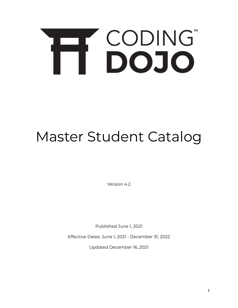# H CODING

# Master Student Catalog

Version 4.2

Published June 1, 2021

Effective Dates: June 1, 2021 - December 31, 2022

Updated December 16, 2021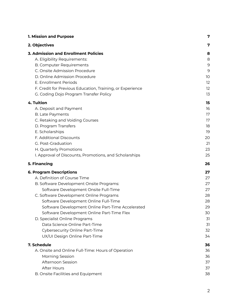| 1. Mission and Purpose                                    | 7             |
|-----------------------------------------------------------|---------------|
| 2. Objectives                                             | 7             |
| <b>3. Admission and Enrollment Policies</b>               | 8             |
| A. Eligibility Requirements:                              | 8             |
| <b>B. Computer Requirements</b>                           | $\mathcal{G}$ |
| C. Onsite Admission Procedure                             | 9             |
| D. Online Admission Procedure                             | 10            |
| E. Enrollment Periods                                     | 12            |
| F. Credit for Previous Education, Training, or Experience | 12            |
| G. Coding Dojo Program Transfer Policy                    | 13            |
| 4. Tuition                                                | 15            |
| A. Deposit and Payment                                    | 16            |
| <b>B.</b> Late Payments                                   | 17            |
| C. Retaking and Voiding Courses                           | 17            |
| D. Program Transfers                                      | 18            |
| E. Scholarships                                           | 19            |
| F. Additional Discounts                                   | 20            |
| G. Post-Graduation                                        | 21            |
| H. Quarterly Promotions                                   | 23            |
| I. Approval of Discounts, Promotions, and Scholarships    | 25            |
| 5. Financing                                              | 26            |
| <b>6. Program Descriptions</b>                            | 27            |
| A. Definition of Course Time                              | 27            |
| B. Software Development Onsite Programs:                  | 27            |
| Software Development Onsite Full-Time                     | 27            |
| C. Software Development Online Programs                   | 28            |
| Software Development Online Full-Time                     | 28            |
| Software Development Online Part-Time Accelerated         | 29            |
| Software Development Online Part-Time Flex                | 30            |
| D. Specialist Online Programs                             | 31            |
| Data Science Online Part-Time                             | 31            |
| Cybersecurity Online Part-Time                            | 32            |
| UX/UI Design Online Part-Time                             | 34            |
| 7. Schedule                                               | 36            |
| A. Onsite and Online Full-Time: Hours of Operation        | 36            |
| Morning Session                                           | 36            |
| Afternoon Session                                         | 37            |
| <b>After Hours</b>                                        | 37            |
| B. Onsite Facilities and Equipment                        | 38            |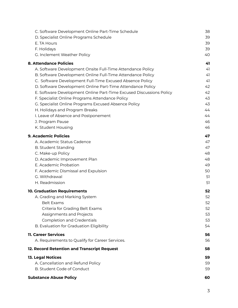| C. Software Development Online Part-Time Schedule                   | 38 |
|---------------------------------------------------------------------|----|
| D. Specialist Online Programs Schedule                              | 39 |
| E. TA Hours                                                         | 39 |
| F. Holidays                                                         | 39 |
| G. Inclement Weather Policy                                         | 40 |
| <b>8. Attendance Policies</b>                                       | 41 |
| A. Software Development Onsite Full-Time Attendance Policy          | 41 |
| B. Software Development Online Full-Time Attendance Policy          | 41 |
| C. Software Development Full-Time Excused Absence Policy            | 41 |
| D. Software Development Online Part-Time Attendance Policy          | 42 |
| E. Software Development Online Part-Time Excused Discussions Policy | 42 |
| F. Specialist Online Programs Attendance Policy                     | 43 |
| G. Specialist Online Programs Excused Absence Policy                | 43 |
| H. Holidays and Program Breaks                                      | 44 |
| I. Leave of Absence and Postponement                                | 44 |
| J. Program Pause                                                    | 46 |
| K. Student Housing                                                  | 46 |
| <b>9. Academic Policies</b>                                         | 47 |
| A. Academic Status Cadence                                          | 47 |
| <b>B. Student Standing</b>                                          | 47 |
| C. Make-up Policy                                                   | 48 |
| D. Academic Improvement Plan                                        | 48 |
| E. Academic Probation                                               | 49 |
| F. Academic Dismissal and Expulsion                                 | 50 |
| G. Withdrawal                                                       | 51 |
| H. Readmission                                                      | 51 |
| <b>10. Graduation Requirements</b>                                  | 52 |
| A. Grading and Marking System                                       | 52 |
| Belt Exams                                                          | 52 |
| Criteria for Grading Belt Exams                                     | 52 |
| Assignments and Projects                                            | 53 |
| <b>Completion and Credentials</b>                                   | 53 |
| B. Evaluation for Graduation Eligibility                            | 54 |
| 11. Career Services                                                 | 56 |
| A. Requirements to Qualify for Career Services.                     | 56 |
| 12. Record Retention and Transcript Request                         | 58 |
| <b>13. Legal Notices</b>                                            | 59 |
| A. Cancellation and Refund Policy                                   | 59 |
| B. Student Code of Conduct                                          | 59 |
| <b>Substance Abuse Policy</b>                                       | 60 |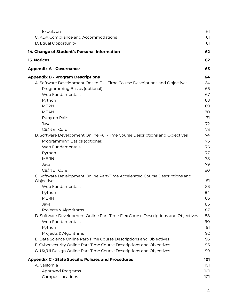| Expulsion                                                                                  | 61         |
|--------------------------------------------------------------------------------------------|------------|
| C. ADA Compliance and Accommodations                                                       | 61         |
| D. Equal Opportunity                                                                       | 61         |
| 14. Change of Student's Personal Information                                               | 62         |
| <b>15. Notices</b>                                                                         | 62         |
| <b>Appendix A - Governance</b>                                                             | 63         |
| <b>Appendix B - Program Descriptions</b>                                                   | 64         |
| A. Software Development Onsite Full-Time Course Descriptions and Objectives                | 64         |
| Programming Basics (optional)                                                              | 66         |
| Web Fundamentals                                                                           | 67         |
| Python                                                                                     | 68         |
| <b>MERN</b>                                                                                | 69         |
| <b>MEAN</b>                                                                                | 70         |
| Ruby on Rails                                                                              | 71         |
| Java                                                                                       | 72         |
| C#/.NET Core                                                                               | 73         |
| B. Software Development Online Full-Time Course Descriptions and Objectives                | 74         |
| Programming Basics (optional)                                                              | 75         |
| Web Fundamentals                                                                           | 76         |
| Python                                                                                     | 77         |
| <b>MERN</b>                                                                                | 78         |
| Java                                                                                       | 79         |
| C#/NET Core                                                                                | 80         |
| C. Software Development Online Part-Time Accelerated Course Descriptions and<br>Objectives | 81         |
| Web Fundamentals                                                                           | 83         |
| Python                                                                                     | 84         |
| <b>MERN</b>                                                                                | 85         |
| Java                                                                                       | 86         |
| Projects & Algorithms                                                                      | 87         |
| D. Software Development Online Part-Time Flex Course Descriptions and Objectives           | 88         |
| Web Fundamentals                                                                           | 90         |
| Python                                                                                     | 91         |
| Projects & Algorithms                                                                      | 92         |
| E. Data Science Online Part-Time Course Descriptions and Objectives                        | 93         |
| F. Cybersecurity Online Part-Time Course Descriptions and Objectives                       | 96         |
| G. UX/UI Design Online Part-Time Course Descriptions and Objectives                        | 99         |
| <b>Appendix C - State Specific Policies and Procedures</b>                                 | 101        |
| A. California                                                                              | 101        |
| <b>Approved Programs</b><br>Campus Locations:                                              | 101<br>101 |
|                                                                                            |            |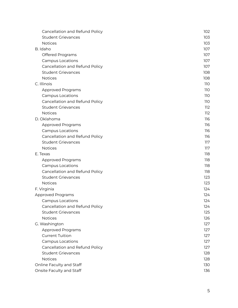| Cancellation and Refund Policy | 102 |
|--------------------------------|-----|
| <b>Student Grievances</b>      | 103 |
| <b>Notices</b>                 | 103 |
| B. Idaho                       | 107 |
| Offered Programs               | 107 |
| Campus Locations               | 107 |
| Cancellation and Refund Policy | 107 |
| <b>Student Grievances</b>      | 108 |
| <b>Notices</b>                 | 108 |
| C. Illinois                    | 110 |
| Approved Programs              | 110 |
| Campus Locations               | 110 |
| Cancellation and Refund Policy | 110 |
| <b>Student Grievances</b>      | 112 |
| <b>Notices</b>                 | 112 |
| D. Oklahoma                    | 116 |
| Approved Programs              | 116 |
| Campus Locations               | 116 |
| Cancellation and Refund Policy | 116 |
| <b>Student Grievances</b>      | 117 |
| <b>Notices</b>                 | 117 |
| E. Texas                       | 118 |
| <b>Approved Programs</b>       | 118 |
| Campus Locations               | 118 |
| Cancellation and Refund Policy | 118 |
| <b>Student Grievances</b>      | 123 |
| <b>Notices</b>                 | 123 |
| F. Virginia                    | 124 |
| Approved Programs              | 124 |
| Campus Locations               | 124 |
| Cancellation and Refund Policy | 124 |
| <b>Student Grievances</b>      | 125 |
| <b>Notices</b>                 | 126 |
| G. Washington                  | 127 |
| Approved Programs              | 127 |
| <b>Current Tuition</b>         | 127 |
| <b>Campus Locations</b>        | 127 |
| Cancellation and Refund Policy | 127 |
| <b>Student Grievances</b>      | 128 |
| <b>Notices</b>                 | 128 |
| Online Faculty and Staff       | 130 |
| Onsite Faculty and Staff       | 136 |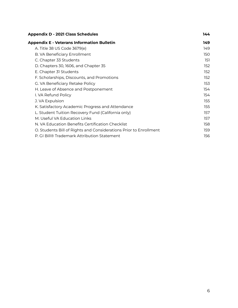| <b>Appendix D - 2021 Class Schedules</b>                          | 144               |  |
|-------------------------------------------------------------------|-------------------|--|
| <b>Appendix E - Veterans Information Bulletin</b>                 | 149               |  |
| A. Title 38 US Code 3679(e)                                       | 149               |  |
| B. VA Beneficiary Enrollment                                      | 150               |  |
| C. Chapter 33 Students                                            | 151               |  |
| D. Chapters 30, 1606, and Chapter 35                              | 152 <sub>15</sub> |  |
| E. Chapter 31 Students                                            | 152               |  |
| F. Scholarships, Discounts, and Promotions                        | 152 <sub>1</sub>  |  |
| G. VA Beneficiary Retake Policy                                   | 153               |  |
| H. Leave of Absence and Postponement                              | 154               |  |
| I. VA Refund Policy                                               | 154               |  |
| J. VA Expulsion                                                   | 155               |  |
| K. Satisfactory Academic Progress and Attendance                  | 155               |  |
| L. Student Tuition Recovery Fund (California only)                | 157               |  |
| M. Useful VA Education Links                                      | 157               |  |
| N. VA Education Benefits Certification Checklist                  | 158               |  |
| O. Students Bill of Rights and Considerations Prior to Enrollment | 159               |  |
| P. GI Bill® Trademark Attribution Statement                       | 156               |  |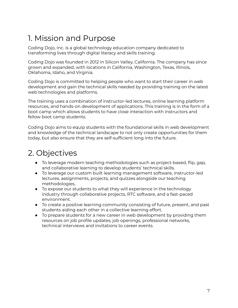# <span id="page-6-0"></span>1. Mission and Purpose

Coding Dojo, Inc. is a global technology education company dedicated to transforming lives through digital literacy and skills training.

Coding Dojo was founded in 2012 in Silicon Valley, California. The company has since grown and expanded, with locations in California, Washington, Texas, Illinois, Oklahoma, Idaho, and Virginia.

Coding Dojo is committed to helping people who want to start their career in web development and gain the technical skills needed by providing training on the latest web technologies and platforms.

The training uses a combination of instructor-led lectures, online learning platform resources, and hands-on development of applications. This training is in the form of a boot camp which allows students to have close interaction with instructors and fellow boot camp students.

Coding Dojo aims to equip students with the foundational skills in web development and knowledge of the technical landscape to not only create opportunities for them today, but also ensure that they are self-sufficient long into the future.

# <span id="page-6-1"></span>2. Objectives

- To leverage modern teaching methodologies such as project-based, flip, gap, and collaborative learning to develop students' technical skills.
- To leverage our custom built learning management software, instructor-led lectures, assignments, projects, and quizzes alongside our teaching methodologies.
- To expose our students to what they will experience in the technology industry through collaborative projects, RTC software, and a fast-paced environment.
- To create a positive learning community consisting of future, present, and past students aiding each other in a collective learning effort.
- To prepare students for a new career in web development by providing them resources on job profile updates, job openings, professional networks, technical interviews and invitations to career events.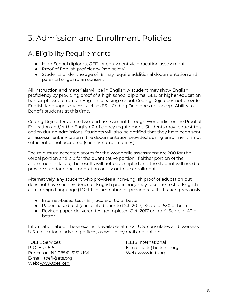# <span id="page-7-0"></span>3. Admission and Enrollment Policies

## <span id="page-7-1"></span>A. Eligibility Requirements:

- High School diploma, GED, or equivalent via education assessment
- Proof of English proficiency (see below)
- Students under the age of 18 may require additional documentation and parental or guardian consent

All instruction and materials will be in English. A student may show English proficiency by providing proof of a high school diploma, GED or higher education transcript issued from an English speaking school. Coding Dojo does not provide English language services such as ESL. Coding Dojo does not accept Ability to Benefit students at this time.

Coding Dojo offers a free two-part assessment through Wonderlic for the Proof of Education and/or the English Proficiency requirement. Students may request this option during admissions. Students will also be notified that they have been sent an assessment invitation if the documentation provided during enrollment is not sufficient or not accepted (such as corrupted files).

The minimum accepted scores for the Wonderlic assessment are 200 for the verbal portion and 210 for the quantitative portion. If either portion of the assessment is failed, the results will not be accepted and the student will need to provide standard documentation or discontinue enrollment.

Alternatively, any student who provides a non-English proof of education but does not have such evidence of English proficiency may take the Test of English as a Foreign Language (TOEFL) examination or provide results if taken previously:

- Internet-based test (iBT): Score of 60 or better
- Paper-based test (completed prior to Oct. 2017): Score of 530 or better
- Revised paper-delivered test (completed Oct. 2017 or later): Score of 40 or better

Information about these exams is available at most U.S. consulates and overseas U.S. educational advising offices, as well as by mail and online:

TOEFL Services **IELTS** International P. O. Box 6151 E-mail: ielts@ieltsintl.org Princeton, NJ 08541-6151 USA Web: [www.ielts.org](http://www.ielts.org) E-mail: toefl@ets.org Web: [www.toefl.org](http://www.toefl.org)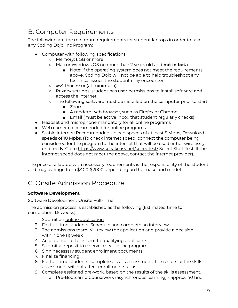## <span id="page-8-0"></span>B. Computer Requirements

The following are the minimum requirements for student laptops in order to take any Coding Dojo, Inc Program:

- Computer with following specifications
	- Memory: 8GB or more
	- Mac or Windows OS no more than 2 years old and **not in beta**
		- Note: if the operating system does not meet the requirements above, Coding Dojo will not be able to help troubleshoot any technical issues the student may encounter
	- x64 Processor (at minimum)
	- Privacy settings: student has user permissions to install software and access the internet
	- The following software must be installed on the computer prior to start
		- Zoom
		- A modern web browser, such as Firefox or Chrome
		- Email (must be active inbox that student regularly checks)
- Headset and microphone mandatory for all online programs
- Web camera recommended for online programs.
- Stable Internet: Recommended upload speeds of at least 5 Mbps, Download speeds of 10 Mpbs. (To check internet speed, connect the computer being considered for the program to the internet that will be used either wirelessly or directly. Go to <https://www.speakeasy.net/speedtest/> Select Start Test. If the internet speed does not meet the above, contact the internet provider).

The price of a laptop with necessary requirements is the responsibility of the student and may average from \$400-\$2000 depending on the make and model.

## <span id="page-8-1"></span>C. Onsite Admission Procedure

## **Software Development**

Software Development Onsite Full-Time

The admission process is established as the following [Estimated time to completion: 1.5 weeks]:

- 1. Submit an online [application](http://www.codingdojo.com/apply)
- 2. For full-time students: Schedule and complete an interview
- 3. The admissions team will review the application and provide a decision within one (1) week
- 4. Acceptance Letter is sent to qualifying applicants
- 5. Submit a deposit to reserve a seat in the program
- 6. Sign necessary student enrollment documents
- 7. Finalize financing
- 8. For full-time students: complete a skills assessment. The results of the skills assessment will not affect enrollment status.
- 9. Complete assigned pre-work, based on the results of the skills assessment.
	- a. Pre-Bootcamp Coursework (asynchronous learning) approx. 40 hrs.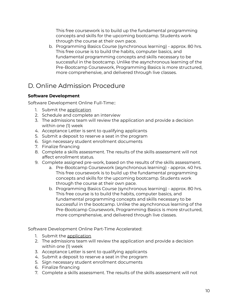This free coursework is to build up the fundamental programming concepts and skills for the upcoming bootcamp. Students work through the course at their own pace.

b. Programming Basics Course (synchronous learning) - approx. 80 hrs. This free course is to build the habits, computer basics, and fundamental programming concepts and skills necessary to be successful in the bootcamp. Unlike the asynchronous learning of the Pre-Bootcamp Coursework, Programming Basics is more structured, more comprehensive, and delivered through live classes.

## <span id="page-9-0"></span>D. Online Admission Procedure

## **Software Development**

Software Development Online Full-Time::

- 1. Submit the [application](http://www.codingdojo.com/apply)
- 2. Schedule and complete an interview
- 3. The admissions team will review the application and provide a decision within one (1) week
- 4. Acceptance Letter is sent to qualifying applicants
- 5. Submit a deposit to reserve a seat in the program
- 6. Sign necessary student enrollment documents
- 7. Finalize financing
- 8. Complete a skills assessment. The results of the skills assessment will not affect enrollment status.
- 9. Complete assigned pre-work, based on the results of the skills assessment.
	- a. Pre-Bootcamp Coursework (asynchronous learning) approx. 40 hrs. This free coursework is to build up the fundamental programming concepts and skills for the upcoming bootcamp. Students work through the course at their own pace.
	- b. Programming Basics Course (synchronous learning) approx. 80 hrs. This free course is to build the habits, computer basics, and fundamental programming concepts and skills necessary to be successful in the bootcamp. Unlike the asynchronous learning of the Pre-Bootcamp Coursework, Programming Basics is more structured, more comprehensive, and delivered through live classes.

Software Development Online Part-Time Accelerated:

- 1. Submit the [application](http://www.codingdojo.com/apply)
- 2. The admissions team will review the application and provide a decision within one (1) week
- 3. Acceptance Letter is sent to qualifying applicants
- 4. Submit a deposit to reserve a seat in the program
- 5. Sign necessary student enrollment documents
- 6. Finalize financing
- 7. Complete a skills assessment. The results of the skills assessment will not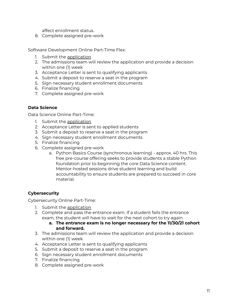affect enrollment status.

8. Complete assigned pre-work

Software Development Online Part-Time Flex:

- 1. Submit the [application](http://www.codingdojo.com/apply)
- 2. The admissions team will review the application and provide a decision within one (1) week
- 3. Acceptance Letter is sent to qualifying applicants
- 4. Submit a deposit to reserve a seat in the program
- 5. Sign necessary student enrollment documents
- 6. Finalize financing
- 7. Complete assigned pre-work

#### **Data Science**

Data Science Online Part-Time:

- 1. Submit the [application](https://www.codingdojo.com/apply/data-science)
- 2. Acceptance Letter is sent to applied students
- 3. Submit a deposit to reserve a seat in the program
- 4. Sign necessary student enrollment documents
- 5. Finalize financing
- 6. Complete assigned pre-work
	- a. Python Basics Course (synchronous learning) approx. 40 hrs. This free pre-course offering seeks to provide students a stable Python foundation prior to beginning the core Data Science content. Mentor-hosted sessions drive student learning and build accountability to ensure students are prepared to succeed in core material.

## **Cybersecurity**

Cybersecurity Online Part-Time:

- 1. Submit the [application](https://www.codingdojo.com/apply/cybersecurity)
- 2. Complete and pass the entrance exam. If a student fails the entrance exam, the student will have to wait for the next cohort to try again
	- **a. The entrance exam is no longer necessary for the 11/30/21 cohort and forward.**
- 3. The admissions team will review the application and provide a decision within one (1) week
- 4. Acceptance Letter is sent to qualifying applicants
- 5. Submit a deposit to reserve a seat in the program
- 6. Sign necessary student enrollment documents
- 7. Finalize financing
- 8. Complete assigned pre-work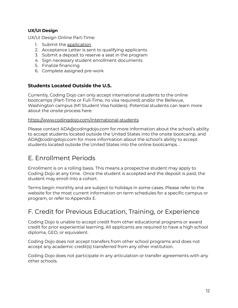## **UX/UI Design**

UX/UI Design Online Part-Time:

- 1. Submit the [application](http://www.codingdojo.com/apply)
- 2. Acceptance Letter is sent to qualifying applicants
- 3. Submit a deposit to reserve a seat in the program
- 4. Sign necessary student enrollment documents
- 5. Finalize financing
- 6. Complete assigned pre-work

## **Students Located Outside the U.S.**

Currently, Coding Dojo can only accept international students to the online bootcamps (Part-Time or Full-Time, no visa required) and/or the Bellevue, Washington campus (M1 Student Visa holders). Potential students can learn more about the onsite process here:

#### <https://www.codingdojo.com/international-students>

Please contact ADA@codingdojo.com for more information about the school's ability to accept students located outside the United States into the onsite bootcamp, and ADA@codingdojo.com for more information about the school's ability to accept students located outside the United States into the online bootcamps. .

## <span id="page-11-0"></span>E. Enrollment Periods

Enrollment is on a rolling basis. This means a prospective student may apply to Coding Dojo at any time. Once the student is accepted and the deposit is paid, the student may enroll into a cohort.

Terms begin monthly and are subject to holidays in some cases. Please refer to the website for the most current information on term schedules for a specific campus or program, or refer to Appendix E.

## <span id="page-11-1"></span>F. Credit for Previous Education, Training, or Experience

Coding Dojo is unable to accept credit from other educational programs or award credit for prior experiential learning. All applicants are required to have a high school diploma, GED, or equivalent.

Coding Dojo does not accept transfers from other school programs and does not accept any academic credit(s) transferred from any other institution.

Coding Dojo does not participate in any articulation or transfer agreements with any other schools.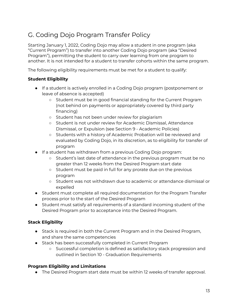## <span id="page-12-0"></span>G. Coding Dojo Program Transfer Policy

Starting January 1, 2022, Coding Dojo may allow a student in one program (aka "Current Program") to transfer into another Coding Dojo program (aka "Desired Program"), permitting the student to carry over learning from one program to another. It is not intended for a student to transfer cohorts within the same program.

The following eligibility requirements must be met for a student to qualify:

## **Student Eligibility**

- If a student is actively enrolled in a Coding Dojo program (postponement or leave of absence is accepted)
	- Student must be in good financial standing for the Current Program (not behind on payments or appropriately covered by third party financing)
	- Student has not been under review for plagiarism
	- Student is not under review for Academic Dismissal, Attendance Dismissal, or Expulsion (see Section 9 - Academic Policies)
	- Students with a history of Academic Probation will be reviewed and evaluated by Coding Dojo, in its discretion, as to eligibility for transfer of program
- If a student has withdrawn from a previous Coding Dojo program:
	- Student's last date of attendance in the previous program must be no greater than 12 weeks from the Desired Program start date
	- Student must be paid in full for any prorate due on the previous program
	- Student was not withdrawn due to academic or attendance dismissal or expelled
- Student must complete all required documentation for the Program Transfer process prior to the start of the Desired Program
- Student must satisfy all requirements of a standard incoming student of the Desired Program prior to acceptance into the Desired Program.

## **Stack Eligibility**

- Stack is required in both the Current Program and in the Desired Program, and share the same competencies
- Stack has been successfully completed in Current Program
	- Successful completion is defined as satisfactory stack progression and outlined in Section 10 - Graduation Requirements

## **Program Eligibility and Limitations**

● The Desired Program start date must be within 12 weeks of transfer approval.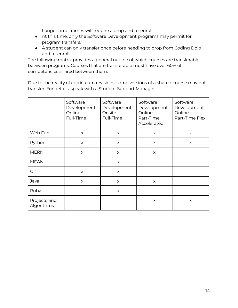Longer time frames will require a drop and re-enroll.

- At this time, only the Software Development programs may permit for program transfers.
- A student can only transfer once before needing to drop from Coding Dojo and re-enroll.

The following matrix provides a general outline of which courses are transferable between programs. Courses that are transferable must have over 60% of competencies shared between them.

Due to the reality of curriculum revisions, some versions of a shared course may not transfer. For details, speak with a Student Support Manager.

|                            | Software<br>Development<br>Online<br>Full-Time | Software<br>Development<br>Onsite<br>Full-Time | Software<br>Development<br>Online<br>Part-Time<br>Accelerated | Software<br>Development<br>Online<br>Part-Time Flex |
|----------------------------|------------------------------------------------|------------------------------------------------|---------------------------------------------------------------|-----------------------------------------------------|
| Web Fun                    | $\times$                                       | X                                              | X                                                             | X                                                   |
| Python                     | $\times$                                       | X                                              | X                                                             | X                                                   |
| <b>MERN</b>                | X                                              | X                                              | X                                                             |                                                     |
| <b>MEAN</b>                |                                                | $\times$                                       |                                                               |                                                     |
| C#                         | X                                              | X                                              |                                                               |                                                     |
| Java                       | $\times$                                       | X                                              | $\times$                                                      |                                                     |
| Ruby                       |                                                | X                                              |                                                               |                                                     |
| Projects and<br>Algorithms |                                                |                                                | X                                                             | X                                                   |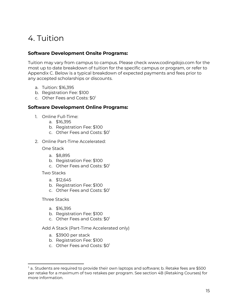# <span id="page-14-0"></span>4. Tuition

## **Software Development Onsite Programs:**

Tuition may vary from campus to campus. Please check www.codingdojo.com for the most up to date breakdown of tuition for the specific campus or program, or refer to Appendix C. Below is a typical breakdown of expected payments and fees prior to any accepted scholarships or discounts.

- a. Tuition: \$16,395
- b. Registration Fee: \$100
- c. Other Fees and Costs: \$0<sup>1</sup>

## **Software Development Online Programs:**

- 1. Online Full-Time:
	- a. \$16,395
	- b. Registration Fee: \$100
	- c. Other Fees and Costs: \$0<sup>1</sup>
- 2. Online Part-Time Accelerated:

One Stack

- a. \$8,895
- b. Registration Fee: \$100
- c. Other Fees and Costs: \$0<sup>1</sup>

Two Stacks

- a. \$12,645
- b. Registration Fee: \$100
- c. Other Fees and Costs: \$0<sup>1</sup>

Three Stacks

- a. \$16,395
- b. Registration Fee: \$100
- c. Other Fees and Costs: \$0<sup>1</sup>

Add A Stack (Part-Time Accelerated only)

- a. \$3900 per stack
- b. Registration Fee: \$100
- c. Other Fees and Costs: \$0<sup>1</sup>

 $^1$  a. Students are required to provide their own laptops and software; b. Retake fees are \$500 per retake for a maximum of two retakes per program. See section 4B (Retaking Courses) for more information.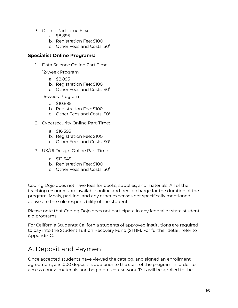- 3. Online Part-Time Flex:
	- a. \$8,895
	- b. Registration Fee: \$100
	- c. Other Fees and Costs: \$0<sup>1</sup>

## **Specialist Online Programs:**

1. Data Science Online Part-Time:

12-week Program

- a. \$8,895
- b. Registration Fee: \$100
- c. Other Fees and Costs: \$0<sup>1</sup>

16-week Program

- a. \$10,895
- b. Registration Fee: \$100
- c. Other Fees and Costs: \$0<sup>1</sup>
- 2. Cybersecurity Online Part-Time:
	- a. \$16,395
	- b. Registration Fee: \$100
	- c. Other Fees and Costs: \$0<sup>1</sup>
- 3. UX/UI Design Online Part-Time:
	- a. \$12,645
	- b. Registration Fee: \$100
	- c. Other Fees and Costs: \$0<sup>1</sup>

Coding Dojo does not have fees for books, supplies, and materials. All of the teaching resources are available online and free of charge for the duration of the program. Meals, parking, and any other expenses not specifically mentioned above are the sole responsibility of the student.

Please note that Coding Dojo does not participate in any federal or state student aid programs.

For California Students: California students of approved institutions are required to pay into the Student Tuition Recovery Fund (STRF). For further detail, refer to Appendix C.

## <span id="page-15-0"></span>A. Deposit and Payment

Once accepted students have viewed the catalog, and signed an enrollment agreement, a \$1,000 deposit is due prior to the start of the program, in order to access course materials and begin pre-coursework. This will be applied to the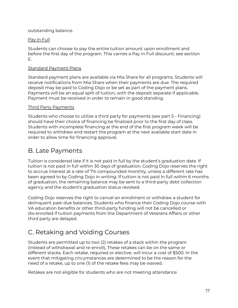outstanding balance.

## Pay in Full

Students can choose to pay the entire tuition amount upon enrollment and before the first day of the program. This carries a Pay in Full discount; see section E.

## Standard Payment Plans

Standard payment plans are available via Mia Share for all programs. Students will receive notifications from Mia Share when their payments are due. The required deposit may be paid to Coding Dojo or be set as part of the payment plans. Payments will be an equal split of tuition, with the deposit separate if applicable. Payment must be received in order to remain in good standing.

## Third Party Payments

Students who choose to utilize a third party for payments (see part 5 - Financing) should have their choice of financing be finalized prior to the first day of class. Students with incomplete financing at the end of the first program week will be required to withdraw and restart the program at the next available start date in order to allow time for financing approval.

## <span id="page-16-0"></span>B. Late Payments

Tuition is considered late if it is not paid in full by the student's graduation date. If tuition is not paid in full within 30 days of graduation, Coding Dojo reserves the right to accrue interest at a rate of 7% compounded monthly, unless a different rate has been agreed to by Coding Dojo in writing. If tuition is not paid in full within 6 months of graduation, the remaining balance may be sent to a third-party debt collection agency and the student's graduation status revoked.

Coding Dojo reserves the right to cancel an enrollment or withdraw a student for delinquent past-due balances. Students who finance their Coding Dojo course with VA education benefits or other third-party funding will not be cancelled or dis-enrolled if tuition payments from the Department of Veterans Affairs or other third party are delayed.

## <span id="page-16-1"></span>C. Retaking and Voiding Courses

Students are permitted up to two (2) retakes of a stack within the program (instead of withdrawal and re-enroll), These retakes can be on the same or different stacks. Each retake, required or elective, will incur a cost of \$500. In the event that mitigating circumstances are determined to be the reason for the need of a retake, up to one (1) of the retake fees may be waived.

Retakes are not eligible for students who are not meeting attendance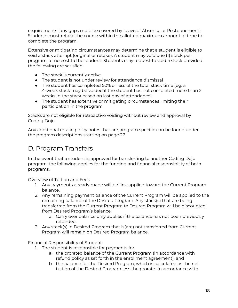requirements (any gaps must be covered by Leave of Absence or Postponement). Students must retake the course within the allotted maximum amount of time to complete the program.

Extensive or mitigating circumstances may determine that a student is eligible to void a stack attempt (original or retake). A student may void one (1) stack per program, at no cost to the student. Students may request to void a stack provided the following are satisfied.

- The stack is currently active
- The student is not under review for attendance dismissal
- The student has completed 50% or less of the total stack time (eg: a 4-week stack may be voided if the student has not completed more than 2 weeks in the stack based on last day of attendance)
- The student has extensive or mitigating circumstances limiting their participation in the program

Stacks are not eligible for retroactive voiding without review and approval by Coding Dojo.

Any additional retake policy notes that are program specific can be found under the program descriptions starting on page 27.

## <span id="page-17-0"></span>D. Program Transfers

In the event that a student is approved for transferring to another Coding Dojo program, the following applies for the funding and financial responsibility of both programs.

Overview of Tuition and Fees:

- 1. Any payments already made will be first applied toward the Current Program balance.
- 2. Any remaining payment balance of the Current Program will be applied to the remaining balance of the Desired Program. Any stack(s) that are being transferred from the Current Program to Desired Program will be discounted from Desired Program's balance.
	- a. Carry over balance only applies if the balance has not been previously refunded.
- 3. Any stack(s) in Desired Program that is(are) not transferred from Current Program will remain on Desired Program balance.

Financial Responsibility of Student:

- 1. The student is responsible for payments for
	- a. the prorated balance of the Current Program (in accordance with refund policy as set forth in the enrollment agreement), and
	- b. the balance for the Desired Program, which is calculated as the net tuition of the Desired Program less the prorate (in accordance with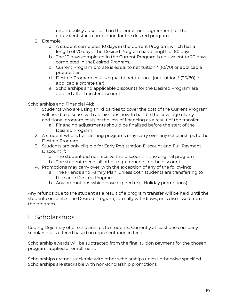refund policy as set forth in the enrollment agreement) of the equivalent stack completion for the desired program.

- 2. Example:
	- a. A student completes 10 days in the Current Program, which has a length of 70 days. The Desired Program has a length of 80 days.
	- b. The 10 days completed in the Current Program is equivalent to 20 days completed in theDesired Program.
	- c. Current Program prorate is equal to net tuition \* (10/70) or applicable prorate tier.
	- d. Desired Program cost is equal to net tuition (net tuition \* (20/80) or applicable prorate tier)
	- e. Scholarships and applicable discounts for the Desired Program are applied after transfer discount.

Scholarships and Financial Aid:

- 1. Students who are using third parties to cover the cost of the Current Program will need to discuss with admissions how to handle the coverage of any additional program costs or the loss of financing as a result of the transfer.
	- a. Financing adjustments should be finalized before the start of the Desired Program
- 2. A student who is transferring programs may carry over any scholarships to the Desired Program.
- 3. Students are only eligible for Early Registration Discount and Full Payment Discount if:
	- a. The student did not receive this discount in the original program
	- b. The student meets all other requirements for the discount
- 4. Promotions may carry over, with the exception of any of the following:
	- a. The Friends and Family Plan, unless both students are transferring to the same Desired Program,
	- b. Any promotions which have expired (e.g. Holiday promotions)

Any refunds due to the student as a result of a program transfer will be held until the student completes the Desired Program, formally withdraws, or is dismissed from the program.

## <span id="page-18-0"></span>E. Scholarships

Coding Dojo may offer scholarships to students. Currently at least one company scholarship is offered based on representation in tech.

Scholarship awards will be subtracted from the final tuition payment for the chosen program, applied at enrollment.

Scholarships are not stackable with other scholarships unless otherwise specified. Scholarships are stackable with non-scholarship promotions.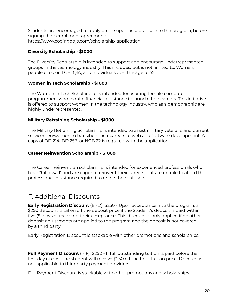Students are encouraged to apply online upon acceptance into the program, before signing their enrollment agreement: <https://www.codingdojo.com/scholarship-application>

## **Diversity Scholarship - \$1000**

The Diversity Scholarship is intended to support and encourage underrepresented groups in the technology industry. This includes, but is not limited to: Women, people of color, LGBTQIA, and individuals over the age of 55.

## **Women in Tech Scholarship - \$1000**

The Women in Tech Scholarship is intended for aspiring female computer programmers who require financial assistance to launch their careers. This initiative is offered to support women in the technology industry, who as a demographic are highly underrepresented.

## **Military Retraining Scholarship - \$1000**

The Military Retraining Scholarship is intended to assist military veterans and current servicemen/women to transition their careers to web and software development. A copy of DD 214, DD 256, or NGB 22 is required with the application.

## **Career Reinvention Scholarship - \$1000**

The Career Reinvention scholarship is intended for experienced professionals who have "hit a wall" and are eager to reinvent their careers, but are unable to afford the professional assistance required to refine their skill sets.

## <span id="page-19-0"></span>F. Additional Discounts

**Early Registration Discount** (ERD): \$250 - Upon acceptance into the program, a \$250 discount is taken off the deposit price if the Student's deposit is paid within five (5) days of receiving their acceptance. This discount is only applied if no other deposit adjustments are applied to the program and the deposit is not covered by a third party.

Early Registration Discount is stackable with other promotions and scholarships.

**Full Payment Discount** (PIF): \$250 - If full outstanding tuition is paid before the first day of class the student will receive \$250 off the total tuition price. Discount is not applicable to third party payment providers.

Full Payment Discount is stackable with other promotions and scholarships.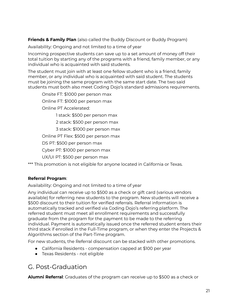**Friends & Family Plan** (also called the Buddy Discount or Buddy Program)

Availability: Ongoing and not limited to a time of year

Incoming prospective students can save up to a set amount of money off their total tuition by starting any of the programs with a friend, family member, or any individual who is acquainted with said students.

The student must join with at least one fellow student who is a friend, family member, or any individual who is acquainted with said student. The students must be joining the same program with the same start date. The two said students must both also meet Coding Dojo's standard admissions requirements.

Onsite FT: \$1000 per person max Online FT: \$1000 per person max Online PT Accelerated:

1 stack: \$500 per person max

2 stack: \$500 per person max

3 stack: \$1000 per person max

Online PT Flex: \$500 per person max

DS PT: \$500 per person max

Cyber PT: \$1000 per person max

UX/UI PT: \$500 per person max

\*\*\* This promotion is not eligible for anyone located in California or Texas.

## **Referral Program**:

Availability: Ongoing and not limited to a time of year

Any individual can receive up to \$500 as a check or gift card (various vendors available) for referring new students to the program. New students will receive a \$500 discount to their tuition for verified referrals. Referral information is automatically tracked and verified via Coding Dojo's referring platform. The referred student must meet all enrollment requirements and successfully graduate from the program for the payment to be made to the referring individual. Payment is automatically issued once the referred student enters their third stack if enrolled in the Full-Time program, or when they enter the Projects & Algorithms section of the Part-Time program.

For new students, the Referral discount can be stacked with other promotions.

- California Residents compensation capped at \$100 per year
- Texas Residents not eligible

## <span id="page-20-0"></span>G. Post-Graduation

**Alumni Referral**: Graduates of the program can receive up to \$500 as a check or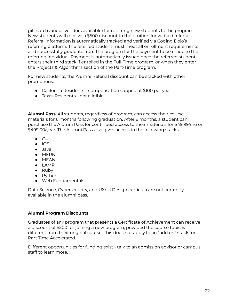gift card (various vendors available) for referring new students to the program. New students will receive a \$500 discount to their tuition for verified referrals. Referral information is automatically tracked and verified via Coding Dojo's referring platform. The referred student must meet all enrollment requirements and successfully graduate from the program for the payment to be made to the referring individual. Payment is automatically issued once the referred student enters their third stack if enrolled in the Full-Time program, or when they enter the Projects & Algorithms section of the Part-Time program.

For new students, the Alumni Referral discount can be stacked with other promotions.

- California Residents compensation capped at \$100 per year
- Texas Residents not eligible

**Alumni Pass**: All students, regardless of program, can access their course materials for 6 months following graduation. After 6 months, a student can purchase the Alumni Pass for continued access to their materials for \$49.99/mo or \$499.00/year. The Alumni Pass also gives access to the following stacks:

- $\bullet$  C#
- $\bullet$  iOS
- Java
- MERN
- MEAN
- LAMP
- Ruby
- Python
- Web Fundamentals

Data Science, Cybersecurity, and UX/UI Design curricula are not currently available in the alumni pass.

## **Alumni Program Discounts**:

Graduates of any program that presents a Certificate of Achievement can receive a discount of \$500 for joining a new program, provided the course topic is different from their original course. This does not apply to an "add on" stack for Part Time Accelerated.

Different opportunities for funding exist - talk to an admission advisor or campus staff to learn more.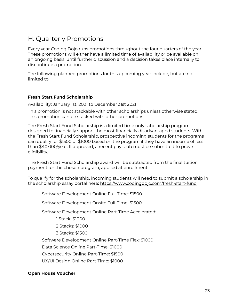## <span id="page-22-0"></span>H. Quarterly Promotions

Every year Coding Dojo runs promotions throughout the four quarters of the year. These promotions will either have a limited time of availability or be available on an ongoing basis, until further discussion and a decision takes place internally to discontinue a promotion.

The following planned promotions for this upcoming year include, but are not limited to:

## **Fresh Start Fund Scholarship**

Availability: January 1st, 2021 to December 31st 2021

This promotion is not stackable with other scholarships unless otherwise stated. This promotion can be stacked with other promotions.

The Fresh Start Fund Scholarship is a limited time only scholarship program designed to financially support the most financially disadvantaged students. With the Fresh Start Fund Scholarship, prospective incoming students for the programs can qualify for \$1500 or \$1000 based on the program if they have an income of less than \$40,000/year. If approved, a recent pay stub must be submitted to prove eligibility.

The Fresh Start Fund Scholarship award will be subtracted from the final tuition payment for the chosen program, applied at enrollment.

To qualify for the scholarship, incoming students will need to submit a scholarship in the scholarship essay portal here: <https://www.codingdojo.com/fresh-start-fund>

Software Development Online Full-Time: \$1500

Software Development Onsite Full-Time: \$1500

Software Development Online Part-Time Accelerated:

1 Stack: \$1000

2 Stacks: \$1000

3 Stacks: \$1500

Software Development Online Part-Time Flex: \$1000

Data Science Online Part-Time: \$1000

Cybersecurity Online Part-Time: \$1500

UX/UI Design Online Part-Time: \$1000

## **Open House Voucher**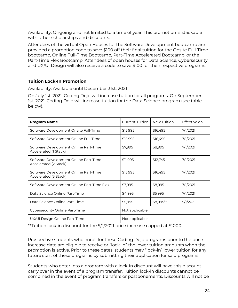Availability: Ongoing and not limited to a time of year. This promotion is stackable with other scholarships and discounts.

Attendees of the virtual Open Houses for the Software Development bootcamp are provided a promotion code to save \$100 off their final tuition for the Onsite Full-Time bootcamp, Online Full-Time Bootcamp, Part-Time Accelerated Bootcamp, or the Part-Time Flex Bootcamp. Attendees of open houses for Data Science, Cybersecurity, and UX/UI Design will also receive a code to save \$100 for their respective programs.

## **Tuition Lock-In Promotion**

Availability: Available until December 31st, 2021

On July 1st, 2021, Coding Dojo will increase tuition for all programs. On September 1st, 2021, Coding Dojo will increase tuition for the Data Science program (see table below).

| <b>Program Name</b>                                            | <b>Current Tuition</b> | New Tuition | Effective on |
|----------------------------------------------------------------|------------------------|-------------|--------------|
| Software Development Onsite Full-Time                          | \$15,995               | \$16,495    | 7/1/2021     |
| Software Development Online Full-Time                          | \$15,995               | \$16,495    | 7/1/2021     |
| Software Development Online Part-Time<br>Accelerated (1 Stack) | \$7,995                | \$8,995     | 7/1/2021     |
| Software Development Online Part-Time<br>Accelerated (2 Stack) | \$11,995               | \$12,745    | 7/1/2021     |
| Software Development Online Part-Time<br>Accelerated (3 Stack) | \$15,995               | \$16,495    | 7/1/2021     |
| Software Development Online Part-Time Flex                     | \$7,995                | \$8,995     | 7/1/2021     |
| Data Science Online Part-Time                                  | \$4,995                | \$5,995     | 7/1/2021     |
| Data Science Online Part-Time                                  | \$5,995                | \$8,995**   | 9/1/2021     |
| Cybersecurity Online Part-Time                                 | Not applicable         |             |              |
| UX/UI Design Online Part-Time                                  | Not applicable         |             |              |

\*\*Tuition lock-in discount for the 9/1/2021 price increase capped at \$1000.

Prospective students who enroll for these Coding Dojo programs prior to the price increase date are eligible to receive or "lock-in" the lower tuition amounts when the promotion is active. Prior to these dates, students may "lock-in" lower tuition for any future start of these programs by submitting their application for said programs.

Students who enter into a program with a lock-in discount will have this discount carry over in the event of a program transfer. Tuition lock-in discounts cannot be combined in the event of program transfers or postponements. Discounts will not be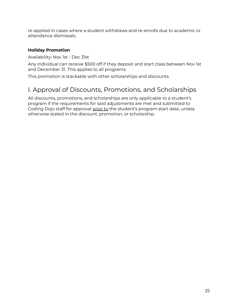re-applied in cases where a student withdraws and re-enrolls due to academic or attendance dismissals.

## **Holiday Promotion**

Availability: Nov 1st - Dec 31st

Any individual can receive \$500 off if they deposit and start class between Nov 1st and December 31. This applies to all programs.

This promotion is stackable with other scholarships and discounts.

## <span id="page-24-0"></span>I. Approval of Discounts, Promotions, and Scholarships

All discounts, promotions, and scholarships are only applicable to a student's program if the requirements for said adjustments are met and submitted to Coding Dojo staff for approval prior to the student's program start date, unless otherwise stated in the discount, promotion, or scholarship.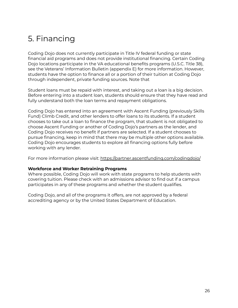# <span id="page-25-0"></span>5. Financing

Coding Dojo does not currently participate in Title IV federal funding or state financial aid programs and does not provide institutional financing. Certain Coding Dojo locations participate in the VA educational benefits programs (U.S.C. Title 38), see the Veterans' Information Bulletin (appendix E) for more information. However, students have the option to finance all or a portion of their tuition at Coding Dojo through independent, private funding sources. Note that

Student loans must be repaid with interest, and taking out a loan is a big decision. Before entering into a student loan, students should ensure that they have read and fully understand both the loan terms and repayment obligations.

Coding Dojo has entered into an agreement with Ascent Funding (previously Skills Fund) Climb Credit, and other lenders to offer loans to its students. If a student chooses to take out a loan to finance the program, that student is not obligated to choose Ascent Funding or another of Coding Dojo's partners as the lender, and Coding Dojo receives no benefit if partners are selected. If a student chooses to pursue financing, keep in mind that there may be multiple other options available. Coding Dojo encourages students to explore all financing options fully before working with any lender.

For more information please visit: <https://partner.ascentfunding.com/codingdojo/>

## **Workforce and Worker Retraining Programs**

Where possible, Coding Dojo will work with state programs to help students with covering tuition. Please check with an admissions advisor to find out if a campus participates in any of these programs and whether the student qualifies.

Coding Dojo, and all of the programs it offers, are not approved by a federal accrediting agency or by the United States Department of Education.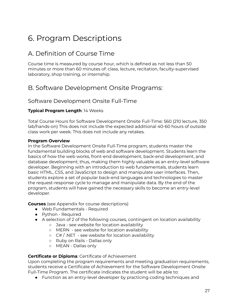# <span id="page-26-0"></span>6. Program Descriptions

## <span id="page-26-1"></span>A. Definition of Course Time

Course time is measured by course hour, which is defined as not less than 50 minutes or more than 60 minutes of: class, lecture, recitation, faculty-supervised laboratory, shop training, or internship.

## <span id="page-26-2"></span>B. Software Development Onsite Programs:

## <span id="page-26-3"></span>Software Development Onsite Full-Time

## **Typical Program Length**: 14 Weeks

Total Course Hours for Software Development Onsite Full-Time: 560 (210 lecture, 350 lab/hands-on) This does not include the expected additional 40-60 hours of outside class work per week. This does not include any retakes.

#### **Program Overview**

In the Software Development Onsite Full-Time program, students master the fundamental building blocks of web and software development. Students learn the basics of how the web works, front-end development, back-end development, and database development; thus, making them highly valuable as an entry-level software developer. Beginning with an introduction to web fundamentals, students learn basic HTML, CSS, and JavaScript to design and manipulate user interfaces. Then, students explore a set of popular back-end languages and technologies to master the request-response cycle to manage and manipulate data. By the end of the program, students will have gained the necessary skills to become an entry-level developer.

**Courses** (see Appendix for course descriptions)

- Web Fundamentals Required
- Python Required
- A selection of 2 of the following courses, contingent on location availability
	- Java see website for location availability
	- MERN see website for location availability
	- C# / .NET see website for location availability
	- Ruby on Rails Dallas only
	- MEAN Dallas only

## **Certificate or Diploma**: Certificate of Achievement

Upon completing the program requirements and meeting graduation requirements, students receive a Certificate of Achievement for the Software Development Onsite Full-Time Program. The certificate indicates the student will be able to:

● Function as an entry-level developer by practicing coding techniques and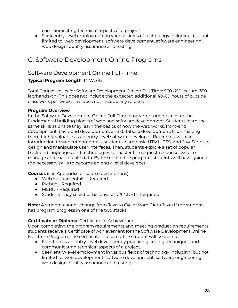communicating technical aspects of a project.

● Seek entry-level employment in various fields of technology including, but not limited to, web development, software development, software engineering, web design, quality assurance and testing.

## <span id="page-27-0"></span>C. Software Development Online Programs

## <span id="page-27-1"></span>Software Development Online Full-Time

## **Typical Program Length**: 14 Weeks

Total Course Hours for Software Development Online Full-Time: 560 (210 lecture, 350 lab/hands-on) This does not include the expected additional 40-60 hours of outside class work per week. This does not include any retakes.

#### **Program Overview**

In the Software Development Online Full-Time program, students master the fundamental building blocks of web and software development. Students learn the same skills as onsite they learn the basics of how the web works, front-end development, back-end development, and database development; thus, making them highly valuable as an entry-level software developer. Beginning with an introduction to web fundamentals, students learn basic HTML, CSS, and JavaScript to design and manipulate user interfaces. Then, students explore a set of popular back-end languages and technologies to master the request-response cycle to manage and manipulate data. By the end of the program, students will have gained the necessary skills to become an entry-level developer.

**Courses** (see Appendix for course descriptions)

- Web Fundamentals Required
- Python Required
- MERN Required
- Students may select either Java or C# / .NET Required

**Note:** A student cannot change from Java to C# (or from C# to Java) if the student has program progress in one of the two stacks.

## **Certificate or Diploma**: Certificate of Achievement

Upon completing the program requirements and meeting graduation requirements, students receive a Certificate of Achievement for the Software Development Online Full-Time Program. The certificate indicates, the student will be able to:

- Function as an entry-level developer by practicing coding techniques and communicating technical aspects of a project.
- Seek entry-level employment in various fields of technology including, but not limited to, web development, software development, software engineering, web design, quality assurance and testing.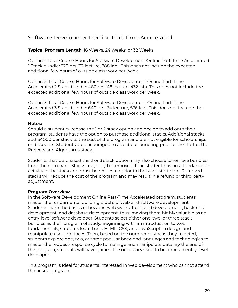## <span id="page-28-0"></span>Software Development Online Part-Time Accelerated

## **Typical Program Length**: 16 Weeks, 24 Weeks, or 32 Weeks

Option 1: Total Course Hours for Software Development Online Part-Time Accelerated 1 Stack bundle: 320 hrs (32 lecture, 288 lab). This does not include the expected additional few hours of outside class work per week.

Option 2: Total Course Hours for Software Development Online Part-Time Accelerated 2 Stack bundle: 480 hrs (48 lecture, 432 lab). This does not include the expected additional few hours of outside class work per week.

Option 3: Total Course Hours for Software Development Online Part-Time Accelerated 3 Stack bundle: 640 hrs (64 lecture, 576 lab). This does not include the expected additional few hours of outside class work per week.

#### **Notes:**

Should a student purchase the 1 or 2 stack option and decide to add onto their program, students have the option to purchase additional stacks. Additional stacks add \$4000 per stack to the cost of the program and are not eligible for scholarships or discounts. Students are encouraged to ask about bundling prior to the start of the Projects and Algorithms stack.

Students that purchased the 2 or 3 stack option may also choose to remove bundles from their program. Stacks may only be removed if the student has no attendance or activity in the stack and must be requested prior to the stack start date. Removed stacks will reduce the cost of the program and may result in a refund or third party adjustment.

#### **Program Overview**

In the Software Development Online Part-Time Accelerated program, students master the fundamental building blocks of web and software development. Students learn the basics of how the web works, front-end development, back-end development, and database development; thus, making them highly valuable as an entry-level software developer. Students select either one, two, or three stack bundles as their program of study. Beginning with an introduction to web fundamentals, students learn basic HTML, CSS, and JavaScript to design and manipulate user interfaces. Then, based on the number of stacks they selected, students explore one, two, or three popular back-end languages and technologies to master the request-response cycle to manage and manipulate data. By the end of the program, students will have gained the necessary skills to become an entry-level developer.

This program is Ideal for students interested in web development who cannot attend the onsite program.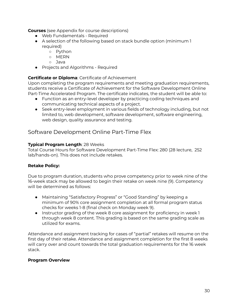**Courses** (see Appendix for course descriptions)

- Web Fundamentals Required
- A selection of the following based on stack bundle option (minimum 1 required)
	- Python
	- MERN
	- Java
- Projects and Algorithms Required

## **Certificate or Diploma**: Certificate of Achievement

Upon completing the program requirements and meeting graduation requirements, students receive a Certificate of Achievement for the Software Development Online Part-Time Accelerated Program. The certificate indicates, the student will be able to:

- Function as an entry-level developer by practicing coding techniques and communicating technical aspects of a project.
- Seek entry-level employment in various fields of technology including, but not limited to, web development, software development, software engineering, web design, quality assurance and testing.

## <span id="page-29-0"></span>Software Development Online Part-Time Flex

#### **Typical Program Length**: 28 Weeks

Total Course Hours for Software Development Part-Time Flex: 280 (28 lecture, 252 lab/hands-on). This does not include retakes.

## **Retake Policy:**

Due to program duration, students who prove competency prior to week nine of the 16-week stack may be allowed to begin their retake on week nine (9). Competency will be determined as follows:

- Maintaining "Satisfactory Progress" or "Good Standing" by keeping a minimum of 90% core assignment completion at all formal program status checks for weeks 1-8 (final check on Monday week 9).
- Instructor grading of the week 8 core assignment for proficiency in week 1 through week 8 content. This grading is based on the same grading scale as utilized for exams.

Attendance and assignment tracking for cases of "partial" retakes will resume on the first day of their retake. Attendance and assignment completion for the first 8 weeks will carry over and count towards the total graduation requirements for the 16 week stack.

## **Program Overview**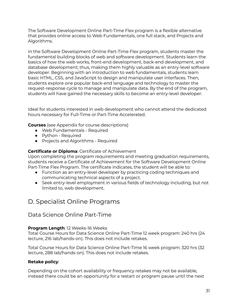The Software Development Online Part-Time Flex program is a flexible alternative that provides online access to Web Fundamentals, one full stack, and Projects and Algorithms.

In the Software Development Online Part-Time Flex program, students master the fundamental building blocks of web and software development. Students learn the basics of how the web works, front-end development, back-end development, and database development; thus, making them highly valuable as an entry-level software developer. Beginning with an introduction to web fundamentals, students learn basic HTML, CSS, and JavaScript to design and manipulate user interfaces. Then, students explore one popular back-end language and technology to master the request-response cycle to manage and manipulate data. By the end of the program, students will have gained the necessary skills to become an entry-level developer.

Ideal for students interested in web development who cannot attend the dedicated hours necessary for Full-Time or Part-Time Accelerated.

**Courses** (see Appendix for course descriptions)

- Web Fundamentals Required
- Python Required
- Projects and Algorithms Required

#### **Certificate or Diploma**: Certificate of Achievement

Upon completing the program requirements and meeting graduation requirements, students receive a Certificate of Achievement for the Software Development Online Part-Time Flex Program. The certificate indicates, the student will be able to:

- Function as an entry-level developer by practicing coding techniques and communicating technical aspects of a project.
- Seek entry-level employment in various fields of technology including, but not limited to, web development.

## <span id="page-30-0"></span>D. Specialist Online Programs

## <span id="page-30-1"></span>Data Science Online Part-Time

#### **Program Length**: 12 Weeks-16 Weeks

Total Course Hours for Data Science Online Part-Time 12 week program: 240 hrs (24 lecture, 216 lab/hands-on). This does not include retakes.

Total Course Hours for Data Science Online Part-Time 16 week program: 320 hrs (32 lecture, 288 lab/hands-on). This does not include retakes.

#### **Retake policy**:

Depending on the cohort availability or frequency retakes may not be available, instead there could be an opportunity for a restart or program pause until the next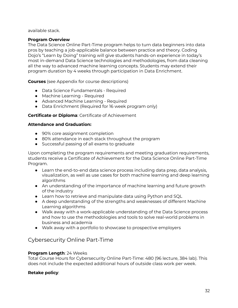available stack.

## **Program Overview**

The Data Science Online Part-Time program helps to turn data beginners into data pros by teaching a job-applicable balance between practice and theory. Coding Dojo's "Learn by Doing" training will give students hands-on experience in today's most in-demand Data Science technologies and methodologies, from data cleaning all the way to advanced machine learning concepts. Students may extend their program duration by 4 weeks through participation in Data Enrichment.

**Courses** (see Appendix for course descriptions)

- Data Science Fundamentals Required
- Machine Learning Required
- Advanced Machine Learning Required
- Data Enrichment (Required for 16 week program only)

## **Certificate or Diploma**: Certificate of Achievement

## **Attendance and Graduation:**

- 90% core assignment completion
- 80% attendance in each stack throughout the program
- Successful passing of all exams to graduate

Upon completing the program requirements and meeting graduation requirements, students receive a Certificate of Achievement for the Data Science Online Part-Time Program.

- Learn the end-to-end data science process including data prep, data analysis, visualization, as well as use cases for both machine learning and deep learning algorithms
- An understanding of the importance of machine learning and future growth of the industry
- Learn how to retrieve and manipulate data using Python and SQL
- A deep understanding of the strengths and weaknesses of different Machine Learning algorithms
- Walk away with a work-applicable understanding of the Data Science process and how to use the methodologies and tools to solve real-world problems in business and academia
- Walk away with a portfolio to showcase to prospective employers

## <span id="page-31-0"></span>Cybersecurity Online Part-Time

## **Program Length**: 24 Weeks

Total Course Hours for Cybersecurity Online Part-Time: 480 (96 lecture, 384 lab). This does not include the expected additional hours of outside class work per week.

## **Retake policy**: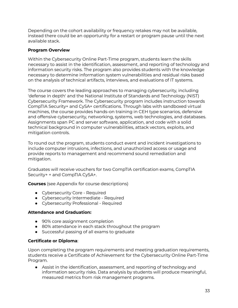Depending on the cohort availability or frequency retakes may not be available, instead there could be an opportunity for a restart or program pause until the next available stack.

## **Program Overview**

Within the Cybersecurity Online Part-Time program, students learn the skills necessary to assist in the identification, assessment, and reporting of technology and information security risks. The program also provides students with the knowledge necessary to determine information system vulnerabilities and residual risks based on the analysis of technical artifacts, interviews, and evaluations of IT systems.

The course covers the leading approaches to managing cybersecurity, including 'defense in depth' and the National Institute of Standards and Technology (NIST) Cybersecurity Framework. The Cybersecurity program includes instruction towards CompTIA Security+ and CySA+ certifications. Through labs with sandboxed virtual machines, the course provides hands-on training in CEH type scenarios, defensive and offensive cybersecurity, networking, systems, web technologies, and databases. Assignments span PC and server software, application, and code with a solid technical background in computer vulnerabilities, attack vectors, exploits, and mitigation controls.

To round out the program, students conduct event and incident investigations to include computer intrusions, infections, and unauthorized access or usage and provide reports to management and recommend sound remediation and mitigation.

Graduates will receive vouchers for two CompTIA certification exams, CompTIA Security+ + and CompTIA CySA+.

**Courses** (see Appendix for course descriptions)

- Cybersecurity Core Required
- Cybersecurity Intermediate Required
- Cybersecurity Professional Required

## **Attendance and Graduation:**

- 90% core assignment completion
- 80% attendance in each stack throughout the program
- Successful passing of all exams to graduate

## **Certificate or Diploma**:

Upon completing the program requirements and meeting graduation requirements, students receive a Certificate of Achievement for the Cybersecurity Online Part-Time Program.

● Assist in the identification, assessment, and reporting of technology and information security risks. Data analysis by students will produce meaningful, measured metrics from risk management programs.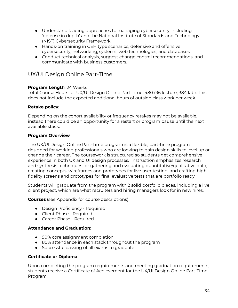- Understand leading approaches to managing cybersecurity, including 'defense in depth' and the National Institute of Standards and Technology (NIST) Cybersecurity Framework
- Hands-on training in CEH type scenarios, defensive and offensive cybersecurity, networking, systems, web technologies, and databases.
- Conduct technical analysis, suggest change control recommendations, and communicate with business customers.

## <span id="page-33-0"></span>UX/UI Design Online Part-Time

## **Program Length**: 24 Weeks

Total Course Hours for UX/UI Design Online Part-Time: 480 (96 lecture, 384 lab). This does not include the expected additional hours of outside class work per week.

## **Retake policy**:

Depending on the cohort availability or frequency retakes may not be available, instead there could be an opportunity for a restart or program pause until the next available stack.

## **Program Overview**

The UX/UI Design Online Part-Time program is a flexible, part-time program designed for working professionals who are looking to gain design skills to level up or change their career. The coursework is structured so students get comprehensive experience in both UX and UI design processes. Instruction emphasizes research and synthesis techniques for gathering and evaluating quantitative/qualitative data, creating concepts, wireframes and prototypes for live user testing, and crafting high fidelity screens and prototypes for final evaluative tests that are portfolio ready.

Students will graduate from the program with 2 solid portfolio pieces, including a live client project, which are what recruiters and hiring managers look for in new hires.

**Courses** (see Appendix for course descriptions)

- Design Proficiency Required
- Client Phase Required
- Career Phase Required

## **Attendance and Graduation:**

- 90% core assignment completion
- 80% attendance in each stack throughout the program
- Successful passing of all exams to graduate

## **Certificate or Diploma**:

Upon completing the program requirements and meeting graduation requirements, students receive a Certificate of Achievement for the UX/UI Design Online Part-Time Program.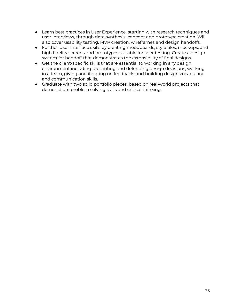- Learn best practices in User Experience, starting with research techniques and user interviews, through data synthesis, concept and prototype creation. Will also cover usability testing, MVP creation, wireframes and design handoffs.
- Further User Interface skills by creating moodboards, style tiles, mockups, and high fidelity screens and prototypes suitable for user testing. Create a design system for handoff that demonstrates the extensibility of final designs.
- Get the client-specific skills that are essential to working in any design environment including presenting and defending design decisions, working in a team, giving and iterating on feedback, and building design vocabulary and communication skills.
- Graduate with two solid portfolio pieces, based on real-world projects that demonstrate problem solving skills and critical thinking.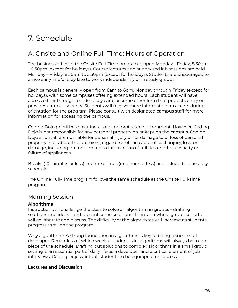# <span id="page-35-0"></span>7. Schedule

## <span id="page-35-1"></span>A. Onsite and Online Full-Time: Hours of Operation

The business office of the Onsite Full-Time program is open Monday - Friday, 8:30am – 5:30pm (except for holidays). Course lectures and supervised lab sessions are held Monday – Friday, 8:30am to 5:30pm (except for holidays). Students are encouraged to arrive early and/or stay late to work independently or in study groups.

Each campus is generally open from 8am to 6pm, Monday through Friday (except for holidays), with some campuses offering extended hours. Each student will have access either through a code, a key card, or some other form that protects entry or provides campus security. Students will receive more information on access during orientation for the program. Please consult with designated campus staff for more information for accessing the campus.

Coding Dojo prioritizes ensuring a safe and protected environment. However, Coding Dojo is not responsible for any personal property on or kept on the campus. Coding Dojo and staff are not liable for personal injury or for damage to or loss of personal property in or about the premises, regardless of the cause of such injury, loss, or damage, including but not limited to interruption of utilities or other casualty or failure of appliances.

Breaks (10 minutes or less) and mealtimes (one hour or less) are included in the daily schedule.

The Online Full-Time program follows the same schedule as the Onsite Full-Time program.

## <span id="page-35-2"></span>Morning Session

## **Algorithms**

Instruction will challenge the class to solve an algorithm in groups - drafting solutions and ideas - and present some solutions. Then, as a whole group, cohorts will collaborate and discuss. The difficulty of the algorithms will increase as students progress through the program.

Why algorithms? A strong foundation in algorithms is key to being a successful developer. Regardless of which week a student is in, algorithms will always be a core piece of the schedule. Drafting out solutions to complex algorithms in a small group setting is an essential part of daily life as a developer and a critical element of job interviews. Coding Dojo wants all students to be equipped for success.

## **Lectures and Discussion**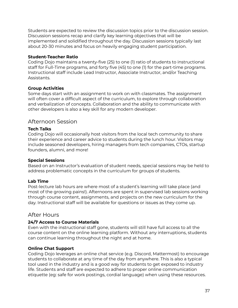Students are expected to review the discussion topics prior to the discussion session. Discussion sessions recap and clarify key learning objectives that will be implemented and solidified throughout the day. Discussion sessions typically last about 20-30 minutes and focus on heavily engaging student participation.

### **Student-Teacher Ratio**

Coding Dojo maintains a twenty-five (25) to one (1) ratio of students to instructional staff for Full-Time programs, and forty five (45) to one (1) for the part-time programs. Instructional staff include Lead Instructor, Associate Instructor, and/or Teaching Assistants.

### **Group Activities**

Some days start with an assignment to work on with classmates. The assignment will often cover a difficult aspect of the curriculum, to explore through collaboration and verbalization of concepts. Collaboration and the ability to communicate with other developers is also a key skill for any modern developer.

## Afternoon Session

### **Tech Talks**

Coding Dojo will occasionally host visitors from the local tech community to share their experience and career advice to students during the lunch hour. Visitors may include seasoned developers, hiring managers from tech companies, CTOs, startup founders, alumni, and more!

### **Special Sessions**

Based on an Instructor's evaluation of student needs, special sessions may be held to address problematic concepts in the curriculum for groups of students.

### **Lab Time**

Post-lecture lab hours are where most of a student's learning will take place (and most of the growing pains!). Afternoons are spent in supervised lab sessions working through course content, assignments, and projects on the new curriculum for the day. Instructional staff will be available for questions or issues as they come up.

## After Hours

### **24/7 Access to Course Materials**

Even with the instructional staff gone, students will still have full access to all the course content on the online learning platform. Without any interruptions, students can continue learning throughout the night and at home.

### **Online Chat Support**

Coding Dojo leverages an online chat service (e.g. Discord, Mattermost) to encourage students to collaborate at any time of the day from anywhere. This is also a typical tool used in the industry and is a good way for students to get exposed to industry life. Students and staff are expected to adhere to proper online communication etiquette (eg: safe for work postings, cordial language) when using these resources.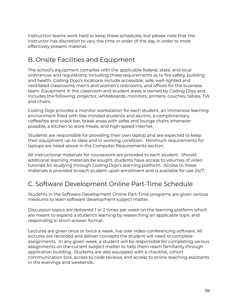Instruction teams work hard to keep these schedules, but please note that the Instructor has discretion to vary the time or order of the day in order to most effectively present material.

# B. Onsite Facilities and Equipment

The school's equipment complies with the applicable federal, state, and local ordinances and regulations, including those requirements as to fire safety, building and health. Coding Dojo's locations include accessible, safe, well-lighted and ventilated classrooms, men's and women's restrooms, and offices for the business team. Equipment in the classroom and student areas is owned by Coding Dojo and includes the following: projector, whiteboards, monitors, printers, couches, tables, TVs and chairs.

Coding Dojo provides a monitor workstation for each student, an immersive learning environment filled with like-minded students and alumni, a complimentary coffee/tea and snack bar, break areas with sofas and lounge chairs whenever possible, a kitchen to store meals, and high-speed internet.

Students are responsible for providing their own laptop and are expected to keep their equipment up-to-date and in working condition. Minimum requirements for laptops are listed above in the Computer Requirements section.

All instructional materials for coursework are provided to each student. Should additional learning materials be sought, students have access to volumes of video tutorials for studying through Coding Dojo's learning platform. Access to these materials is provided to each student upon enrollment and is available for use 24/7.

# C. Software Development Online Part-Time Schedule

Students in the Software Development Online Part-Time programs are given various mediums to learn software development subject matter.

Discussion topics are delivered 1 or 2 times per week on the learning platform which are meant to expand a student's learning by researching an applicable topic and responding in short-answer format.

Lectures are given once or twice a week, live over video-conferencing software. All lectures are recorded and deliver concepts the student will need to complete assignments. In any given week, a student will be responsible for completing various assignments on the current subject matter to help them reach familiarity through application building. Students are also equipped with a checklist, cohort communication tool, access to code reviews, and access to online teaching assistants in the evenings and weekends.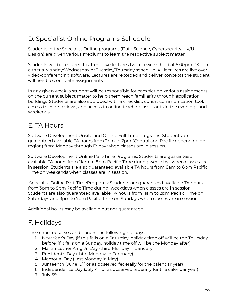# D. Specialist Online Programs Schedule

Students in the Specialist Online programs (Data Science, Cybersecurity, UX/UI Design) are given various mediums to learn the respective subject matter.

Students will be required to attend live lectures twice a week, held at 5:00pm PST on either a Monday/Wednesday or Tuesday/Thursday schedule. All lectures are live over video-conferencing software. Lectures are recorded and deliver concepts the student will need to complete assignments.

In any given week, a student will be responsible for completing various assignments on the current subject matter to help them reach familiarity through application building. Students are also equipped with a checklist, cohort communication tool, access to code reviews, and access to online teaching assistants in the evenings and weekends.

## E. TA Hours

Software Development Onsite and Online Full-Time Programs: Students are guaranteed available TA hours from 2pm to 7pm (Central and Pacific depending on region) from Monday through Friday when classes are in session.

Software Development Online Part-Time Programs: Students are guaranteed available TA hours from 11am to 8pm Pacific Time during weekdays when classes are in session. Students are also guaranteed available TA hours from 8am to 6pm Pacific Time on weekends when classes are in session.

Specialist Online Part-TimePrograms: Students are guaranteed available TA hours from 3pm to 8pm Pacific Time during weekdays when classes are in session. Students are also guaranteed available TA hours from 11am to 2pm Pacific Time on Saturdays and 3pm to 7pm Pacific Time on Sundays when classes are in session.

Additional hours may be available but not guaranteed.

# F. Holidays

The school observes and honors the following holidays:

- 1. New Year's Day (if this falls on a Saturday, holiday time off will be the Thursday before; if it falls on a Sunday, holiday time off will be the Monday after)
- 2. Martin Luther King Jr. Day (third Monday in January)
- 3. President's Day (third Monday in February)
- 4. Memorial Day (Last Monday in May)
- 5. Junteenth (June 19<sup>th</sup> or as observed federally for the calendar year)
- 6. Independence Day (July  $4<sup>th</sup>$  or as observed federally for the calendar year)
- 7. July 5<sup>th</sup>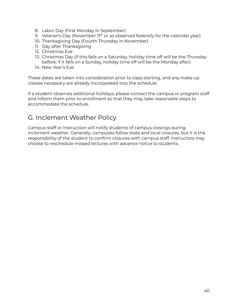- 8. Labor Day (First Monday in September)
- 9. Veteran's Day (November 11<sup>th</sup> or as observed federally for the calendar year)
- 10. Thanksgiving Day (Fourth Thursday in November)
- 11. Day after Thanksgiving
- 12. Christmas Eve
- 13. Christmas Day (if this falls on a Saturday, holiday time off will be the Thursday before; if it falls on a Sunday, holiday time off will be the Monday after)
- 14. New Year's Eve

These dates are taken into consideration prior to class starting, and any make up classes necessary are already incorporated into the schedule.

If a student observes additional holidays, please contact the campus or program staff and inform them prior to enrollment so that they may take reasonable steps to accommodate the schedule.

## G. Inclement Weather Policy

Campus staff or Instruction will notify students of campus closings during inclement weather. Generally, campuses follow state and local closures, but it is the responsibility of the student to confirm closures with campus staff. Instructors may choose to reschedule missed lectures with advance notice to students.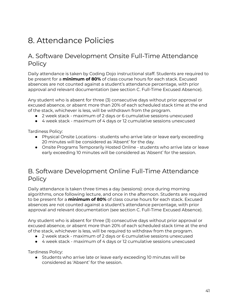# 8. Attendance Policies

## A. Software Development Onsite Full-Time Attendance **Policy**

Daily attendance is taken by Coding Dojo instructional staff. Students are required to be present for a **minimum of 80%** of class course hours for each stack. Excused absences are not counted against a student's attendance percentage, with prior approval and relevant documentation (see section C. Full-Time Excused Absence).

Any student who is absent for three (3) consecutive days without prior approval or excused absence, or absent more than 20% of each scheduled stack time at the end of the stack, whichever is less, will be withdrawn from the program.

- 2 week stack maximum of 2 days or 6 cumulative sessions unexcused
- 4 week stack maximum of 4 days or 12 cumulative sessions unexcused

Tardiness Policy:

- Physical Onsite Locations students who arrive late or leave early exceeding 20 minutes will be considered as 'Absent' for the day.
- Onsite Programs Temporarily Hosted Online students who arrive late or leave early exceeding 10 minutes will be considered as 'Absent' for the session.

## B. Software Development Online Full-Time Attendance **Policy**

Daily attendance is taken three times a day (sessions): once during morning algorithms, once following lecture, and once in the afternoon. Students are required to be present for a **minimum of 80%** of class course hours for each stack. Excused absences are not counted against a student's attendance percentage, with prior approval and relevant documentation (see section C. Full-Time Excused Absence).

Any student who is absent for three (3) consecutive days without prior approval or excused absence, or absent more than 20% of each scheduled stack time at the end of the stack, whichever is less, will be required to withdraw from the program.

- 2 week stack maximum of 2 days or 6 cumulative sessions unexcused
- 4 week stack maximum of 4 days or 12 cumulative sessions unexcused

Tardiness Policy:

● Students who arrive late or leave early exceeding 10 minutes will be considered as 'Absent' for the session.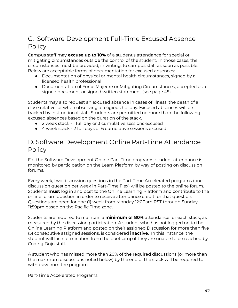# C. Software Development Full-Time Excused Absence **Policy**

Campus staff may **excuse up to 10%** of a student's attendance for special or mitigating circumstances outside the control of the student. In those cases, the circumstances must be provided, in writing, to campus staff as soon as possible. Below are acceptable forms of documentation for excused absences:

- Documentation of physical or mental health circumstances, signed by a licensed health professional
- Documentation of Force Majeure or Mitigating Circumstances, accepted as a signed document or signed written statement (see page 45)

Students may also request an excused absence in cases of illness, the death of a close relative, or when observing a religious holiday. Excused absences will be tracked by instructional staff. Students are permitted no more than the following excused absences based on the duration of the stack.

- 2 week stack 1 full day or 3 cumulative sessions excused
- 4 week stack 2 full days or 6 cumulative sessions excused

## D. Software Development Online Part-Time Attendance **Policy**

For the Software Development Online Part-Time programs, student attendance is monitored by participation on the Learn Platform by way of posting on discussion forums.

Every week, two discussion questions in the Part-Time Accelerated programs (one discussion question per week in Part-Time Flex) will be posted to the online forum. Students **must** log in and post to the Online Learning Platform and contribute to the online forum question in order to receive attendance credit for that question. Questions are open for one (1) week from Monday 12:00am PST through Sunday 11:59pm based on the Pacific Time zone.

Students are required to maintain a **minimum of 80%** attendance for each stack, as measured by the discussion participation. A student who has not logged on to the Online Learning Platform and posted on their assigned Discussion for more than five (5) consecutive assigned sessions, is considered **inactive**. In this instance, the student will face termination from the bootcamp if they are unable to be reached by Coding Dojo staff.

A student who has missed more than 20% of the required discussions (or more than the maximum discussions noted below) by the end of the stack will be required to withdraw from the program.

Part-Time Accelerated Programs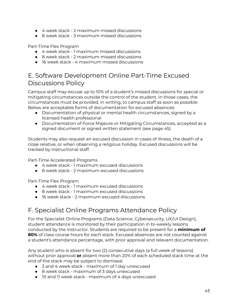- 4 week stack 2 maximum missed discussions
- 8 week stack 3 maximum missed discussions

Part-Time Flex Program

- 4 week stack 1 maximum missed discussions
- 8 week stack 2 maximum missed discussions
- 16 week stack 4 maximum missed discussions

## E. Software Development Online Part-Time Excused Discussions Policy

Campus staff may excuse up to 10% of a student's missed discussions for special or mitigating circumstances outside the control of the student. In those cases, the circumstances must be provided, in writing, to campus staff as soon as possible. Below are acceptable forms of documentation for excused absences:

- Documentation of physical or mental health circumstances, signed by a licensed health professional
- Documentation of Force Majeure or Mitigating Circumstances, accepted as a signed document or signed written statement (see page 45)

Students may also request an excused discussion in cases of illness, the death of a close relative, or when observing a religious holiday. Excused discussions will be tracked by instructional staff.

Part-Time Accelerated Programs

- 4 week stack 1 maximum excused discussions
- 8 week stack 2 maximum excused discussions

Part-Time Flex Program

- 4 week stack 1 maximum excused discussions
- 8 week stack 1 maximum excused discussions
- 16 week stack 2 maximum excused discussions

# F. Specialist Online Programs Attendance Policy

For the Specialist Online Programs (Data Science, Cybersecurity, UX/UI Design), student attendance is monitored by their participation in bi-weekly lessons conducted by the instructor. Students are required to be present for a **minimum of 80%** of class course hours for each stack. Excused absences are not counted against a student's attendance percentage, with prior approval and relevant documentation.

Any student who is absent for two (2) consecutive days (a full week of lessons) without prior approval **or** absent more than 20% of each scheduled stack time at the end of the stack may be subject to dismissal.

- 3 and 4 week stack maximum of 1 day unexcused
- 8 week stack maximum of 3 days unexcused
- 10 and 11 week stack maximum of 4 days unexcused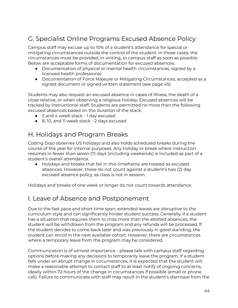# G. Specialist Online Programs Excused Absence Policy

Campus staff may excuse up to 10% of a student's attendance for special or mitigating circumstances outside the control of the student. In those cases, the circumstances must be provided, in writing, to campus staff as soon as possible. Below are acceptable forms of documentation for excused absences:

- Documentation of physical or mental health circumstances, signed by a licensed health professional
- Documentation of Force Majeure or Mitigating Circumstances, accepted as a signed document or signed written statement (see page 45)

Students may also request an excused absence in cases of illness, the death of a close relative, or when observing a religious holiday. Excused absences will be tracked by instructional staff. Students are permitted no more than the following excused absences based on the duration of the stack.

- 3 and 4 week stack 1 day excused
- 8, 10, and 11 week stack 2 days excused

# H. Holidays and Program Breaks

Coding Dojo observes US holidays and also holds scheduled breaks during the course of the year for internal purposes. Any holiday or break where instruction resumes in fewer than seven (7) days (including weekends) is included as part of a student's overall attendance.

● Holidays and breaks that fall in this timeframe are treated as excused absences. However, these do not count against a student's two (2) day excused absence policy, as class is not in session.

Holidays and breaks of one week or longer do not count towards attendance.

## I. Leave of Absence and Postponement

Due to the fast pace and short time span, extended leaves are disruptive to the curriculum style and can significantly hinder student success. Generally, if a student has a situation that requires them to miss more than the allotted absences, the student will be withdrawn from the program and any refunds will be processed. If the student decides to come back later and was previously in good standing, the student can enroll in the next available cohort. However, there are circumstances where a temporary leave from the program may be considered.

Communication is of utmost importance - please talk with campus staff regarding options before making any decisions to temporarily leave the program. If a student falls under an abrupt change in circumstances, it is expected that the student will make a reasonable attempt to contact staff to at least notify of ongoing concerns, ideally within 72 hours of the change in circumstances if possible (email or phone call). Failure to communicate with staff may result in the student's dismissal from the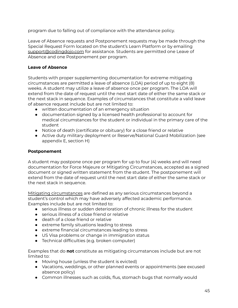program due to falling out of compliance with the attendance policy.

Leave of Absence requests and Postponement requests may be made through the Special Request Form located on the student's Learn Platform or by emailing [support@codingdojo.com](mailto:support@codingdojo.com) for assistance. Students are permitted one Leave of Absence and one Postponement per program.

### **Leave of Absence**

Students with proper supplementing documentation for extreme mitigating circumstances are permitted a leave of absence (LOA) period of up to eight (8) weeks. A student may utilize a leave of absence once per program. The LOA will extend from the date of request until the next start date of either the same stack or the next stack in sequence. Examples of circumstances that constitute a valid leave of absence request include but are not limited to:

- written documentation of an emergency situation
- documentation signed by a licensed health professional to account for medical circumstances for the student or individual in the primary care of the student
- Notice of death (certificate or obituary) for a close friend or relative
- Active duty military deployment or Reserve/National Guard Mobilization (see appendix E, section H)

### **Postponement**

A student may postpone once per program for up to four (4) weeks and will need documentation for Force Majeure or Mitigating Circumstances, accepted as a signed document or signed written statement from the student. The postponement will extend from the date of request until the next start date of either the same stack or the next stack in sequence.

Mitigating circumstances are defined as any serious circumstances beyond a student's control which may have adversely affected academic performance. Examples include but are not limited to:

- serious illness or sudden deterioration of chronic illness for the student
- serious illness of a close friend or relative
- death of a close friend or relative
- extreme family situations leading to stress
- extreme financial circumstances leading to stress
- US Visa problems or change in immigration status
- Technical difficulties (e.g. broken computer)

Examples that do **not** constitute as mitigating circumstances include but are not limited to:

- Moving house (unless the student is evicted)
- Vacations, weddings, or other planned events or appointments (see excused absence policy)
- Common illnesses such as colds, flus, stomach bugs that normally would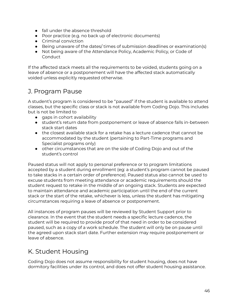- fall under the absence threshold
- Poor practice (e.g. no back up of electronic documents)
- Criminal conviction
- Being unaware of the dates/ times of submission deadlines or examination(s)
- Not being aware of the Attendance Policy, Academic Policy, or Code of Conduct

If the affected stack meets all the requirements to be voided, students going on a leave of absence or a postponement will have the affected stack automatically voided unless explicitly requested otherwise.

# J. Program Pause

A student's program is considered to be "paused" if the student is available to attend classes, but the specific class or stack is not available from Coding Dojo. This includes but is not be limited to

- gaps in cohort availability
- student's return date from postponement or leave of absence falls in-between stack start dates
- the closest available stack for a retake has a lecture cadence that cannot be accommodated by the student (pertaining to Part-Time programs and Specialist programs only)
- other circumstances that are on the side of Coding Dojo and out of the student's control

Paused status will not apply to personal preference or to program limitations accepted by a student during enrollment (eg: a student's program cannot be paused to take stacks in a certain order of preference). Paused status also cannot be used to excuse students from meeting attendance or academic requirements should the student request to retake in the middle of an ongoing stack. Students are expected to maintain attendance and academic participation until the end of the current stack or the start of the retake, whichever is less, unless the student has mitigating circumstances requiring a leave of absence or postponement.

All instances of program pauses will be reviewed by Student Support prior to clearance. In the event that the student needs a specific lecture cadence, the student will be required to provide proof of that need in order to be considered paused, such as a copy of a work schedule. The student will only be on pause until the agreed upon stack start date. Further extension may require postponement or leave of absence.

# K. Student Housing

Coding Dojo does not assume responsibility for student housing, does not have dormitory facilities under its control, and does not offer student housing assistance.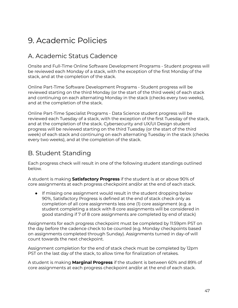# 9. Academic Policies

# A. Academic Status Cadence

Onsite and Full-Time Online Software Development Programs - Student progress will be reviewed each Monday of a stack, with the exception of the first Monday of the stack, and at the completion of the stack.

Online Part-Time Software Development Programs - Student progress will be reviewed starting on the third Monday (or the start of the third week) of each stack and continuing on each alternating Monday in the stack (checks every two weeks), and at the completion of the stack.

Online Part-Time Specialist Programs - Data Science student progress will be reviewed each Tuesday of a stack, with the exception of the first Tuesday of the stack, and at the completion of the stack. Cybersecurity and UX/UI Design student progress will be reviewed starting on the third Tuesday (or the start of the third week) of each stack and continuing on each alternating Tuesday in the stack (checks every two weeks), and at the completion of the stack.

## B. Student Standing

Each progress check will result in one of the following student standings outlined below.

A student is making **Satisfactory Progress** if the student is at or above 90% of core assignments at each progress checkpoint and/or at the end of each stack.

● If missing one assignment would result in the student dropping below 90%, Satisfactory Progress is defined at the end of stack check only as completion of all core assignments less one (1) core assignment (e.g. a student completing a stack with 8 core assignments will be considered in good standing if 7 of 8 core assignments are completed by end of stack)

Assignments for each progress checkpoint must be completed by 11:59pm PST on the day before the cadence check to be counted (e.g. Monday checkpoints based on assignments completed through Sunday). Assignments turned in day-of will count towards the next checkpoint.

Assignment completion for the end of stack check must be completed by 12pm PST on the last day of the stack, to allow time for finalization of retakes.

A student is making **Marginal Progress** if the student is between 60% and 89% of core assignments at each progress checkpoint and/or at the end of each stack.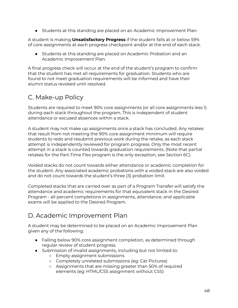● Students at this standing are placed on an Academic Improvement Plan.

A student is making **Unsatisfactory Progress** if the student falls at or below 59% of core assignments at each progress checkpoint and/or at the end of each stack.

● Students at this standing are placed on Academic Probation and an Academic Improvement Plan.

A final progress check will occur at the end of the student's program to confirm that the student has met all requirements for graduation. Students who are found to not meet graduation requirements will be informed and have their alumni status revoked until resolved.

# C. Make-up Policy

Students are required to meet 90% core assignments (or all core assignments less 1) during each stack throughout the program. This is independent of student attendance or excused absences within a stack.

A student may not make up assignments once a stack has concluded. Any retakes that result from not meeting the 90% core assignment minimum will require students to redo and resubmit previous work during the retake, as each stack attempt is independently reviewed for program progress. Only the most recent attempt in a stack is counted towards graduation requirements. (Note that partial retakes for the Part-Time Flex program is the only exception, see Section 6C).

Voided stacks do not count towards either attendance or academic completion for the student. Any associated academic probations with a voided stack are also voided and do not count towards the student's three (3) probation limit.

Completed stacks that are carried over as part of a Program Transfer will satisfy the attendance and academic requirements for that equivalent stack in the Desired Program - all percent completions in assignments, attendance, and applicable exams will be applied to the Desired Program.

# D. Academic Improvement Plan

A student may be determined to be placed on an Academic Improvement Plan given any of the following:

- Falling below 90% core assignment completion, as determined through regular review of student progress.
- Submission of invalid assignments, including but not limited to:
	- Empty assignment submissions
	- Completely unrelated submissions (eg: Cat Pictures)
	- Assignments that are missing greater than 50% of required elements (eg: HTML/CSS assignment without CSS)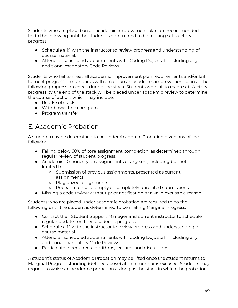Students who are placed on an academic improvement plan are recommended to do the following until the student is determined to be making satisfactory progress:

- Schedule a 1:1 with the instructor to review progress and understanding of course material.
- Attend all scheduled appointments with Coding Dojo staff, including any additional mandatory Code Reviews.

Students who fail to meet all academic improvement plan requirements and/or fail to meet progression standards will remain on an academic improvement plan at the following progression check during the stack. Students who fail to reach satisfactory progress by the end of the stack will be placed under academic review to determine the course of action, which may include:

- Retake of stack
- Withdrawal from program
- Program transfer

# E. Academic Probation

A student may be determined to be under Academic Probation given any of the following:

- Falling below 60% of core assignment completion, as determined through regular review of student progress.
- Academic Dishonesty on assignments of any sort, including but not limited to:
	- Submission of previous assignments, presented as current assignments.
	- Plagiarized assignments
	- Repeat offence of empty or completely unrelated submissions
- Missing a code review without prior notification or a valid excusable reason

Students who are placed under academic probation are required to do the following until the student is determined to be making Marginal Progress:

- Contact their Student Support Manager and current instructor to schedule regular updates on their academic progress.
- Schedule a 1:1 with the instructor to review progress and understanding of course material.
- Attend all scheduled appointments with Coding Dojo staff, including any additional mandatory Code Reviews.
- Participate in required algorithms, lectures and discussions

A student's status of Academic Probation may be lifted once the student returns to Marginal Progress standing (defined above) at minimum or is excused. Students may request to waive an academic probation as long as the stack in which the probation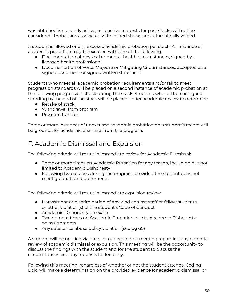was obtained is currently active; retroactive requests for past stacks will not be considered. Probations associated with voided stacks are automatically voided.

A student is allowed one (1) excused academic probation per stack. An instance of academic probation may be excused with one of the following:

- Documentation of physical or mental health circumstances, signed by a licensed health professional
- Documentation of Force Majeure or Mitigating Circumstances, accepted as a signed document or signed written statement

Students who meet all academic probation requirements and/or fail to meet progression standards will be placed on a second instance of academic probation at the following progression check during the stack. Students who fail to reach good standing by the end of the stack will be placed under academic review to determine

- Retake of stack
- Withdrawal from program
- Program transfer

Three or more instances of unexcused academic probation on a student's record will be grounds for academic dismissal from the program.

## F. Academic Dismissal and Expulsion

The following criteria will result in immediate review for Academic Dismissal:

- Three or more times on Academic Probation for any reason, including but not limited to Academic Dishonesty
- Following two retakes during the program, provided the student does not meet graduation requirements

The following criteria will result in immediate expulsion review:

- Harassment or discrimination of any kind against staff or fellow students, or other violation(s) of the student's Code of Conduct
- Academic Dishonesty on exam
- Two or more times on Academic Probation due to Academic Dishonesty on assignments
- Any substance abuse policy violation (see pg 60)

A student will be notified via email of our need for a meeting regarding any potential review of academic dismissal or expulsion. This meeting will be the opportunity to discuss the findings with the student and for the student to discuss the circumstances and any requests for leniency.

Following this meeting, regardless of whether or not the student attends, Coding Dojo will make a determination on the provided evidence for academic dismissal or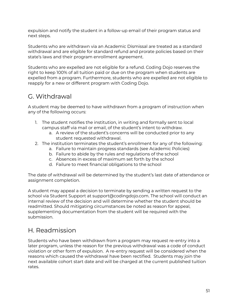expulsion and notify the student in a follow-up email of their program status and next steps.

Students who are withdrawn via an Academic Dismissal are treated as a standard withdrawal and are eligible for standard refund and prorate policies based on their state's laws and their program enrollment agreement.

Students who are expelled are not eligible for a refund. Coding Dojo reserves the right to keep 100% of all tuition paid or due on the program when students are expelled from a program. Furthermore, students who are expelled are not eligible to reapply for a new or different program with Coding Dojo.

## G. Withdrawal

A student may be deemed to have withdrawn from a program of instruction when any of the following occurs:

- 1. The student notifies the institution, in writing and formally sent to local campus staff via mail or email, of the student's intent to withdraw.
	- a. A review of the student's concerns will be conducted prior to any student requested withdrawal.
- 2. The institution terminates the student's enrollment for any of the following:
	- a. Failure to maintain progress standards (see Academic Policies)
	- b. Failure to abide by the rules and regulations of the school
	- c. Absences in excess of maximum set forth by the school
	- d. Failure to meet financial obligations to the school

The date of withdrawal will be determined by the student's last date of attendance or assignment completion.

A student may appeal a decision to terminate by sending a written request to the school via Student Support at support@codingdojo.com. The school will conduct an internal review of the decision and will determine whether the student should be readmitted. Should mitigating circumstances be noted as reason for appeal, supplementing documentation from the student will be required with the submission.

# H. Readmission

Students who have been withdrawn from a program may request re-entry into a later program, unless the reason for the previous withdrawal was a code of conduct violation or other form of expulsion. A re-entry request will be considered when the reasons which caused the withdrawal have been rectified. Students may join the next available cohort start date and will be charged at the current published tuition rates.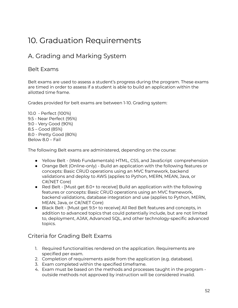# 10. Graduation Requirements

# A. Grading and Marking System

## Belt Exams

Belt exams are used to assess a student's progress during the program. These exams are timed in order to assess if a student is able to build an application within the allotted time frame.

Grades provided for belt exams are between 1-10. Grading system:

10.0 - Perfect (100%) 9.5 - Near Perfect (95%) 9.0 - Very Good (90%) 8.5 – Good (85%) 8.0 - Pretty Good (80%) Below 8.0 – Fail

The following Belt exams are administered, depending on the course:

- Yellow Belt (Web Fundamentals) HTML, CSS, and JavaScript comprehension
- Orange Belt (Online-only) Build an application with the following features or concepts: Basic CRUD operations using an MVC framework, backend validations and deploy to AWS (applies to Python, MERN, MEAN, Java, or C#/.NET Core)
- Red Belt [Must get 8.0+ to receive] Build an application with the following features or concepts: Basic CRUD operations using an MVC framework, backend validations, database integration and use (applies to Python, MERN, MEAN, Java, or C#/.NET Core)
- Black Belt [Must get 9.5+ to receive] All Red Belt features and concepts, in addition to advanced topics that could potentially include, but are not limited to, deployment, AJAX, Advanced SQL, and other technology-specific advanced topics.

## Criteria for Grading Belt Exams

- 1. Required functionalities rendered on the application. Requirements are specified per exam.
- 2. Completion of requirements aside from the application (e.g. database).
- 3. Exam completed within the specified timeframe.
- 4. Exam must be based on the methods and processes taught in the program outside methods not approved by instruction will be considered invalid.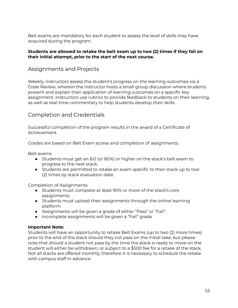Belt exams are mandatory for each student to assess the level of skills they have acquired during the program.

#### **Students are allowed to retake the belt exam up to two (2) times if they fail on their initial attempt, prior to the start of the next course.**

## Assignments and Projects

Weekly, instructors assess the student's progress on the learning outcomes via a Code Review, wherein the instructor hosts a small group discussion where students present and explain their application of learning outcomes on a specific key assignment. Instructors use rubrics to provide feedback to students on their learning, as well as real-time commentary to help students develop their skills.

## Completion and Credentials

Successful completion of the program results in the award of a Certificate of Achievement.

Grades are based on Belt Exam scores and completion of assignments.

Belt exams

- Students must get an 8.0 (or 80%) or higher on the stack's belt exam to progress to the next stack.
- Students are permitted to retake an exam specific to their stack up to two (2) times by stack evaluation date.

Completion of Assignments

- Students must complete at least 90% or more of the stack's core assignments
- Students must upload their assignments through the online learning platform.
- Assignments will be given a grade of either "Pass" or "Fail".
- Incomplete assignments will be given a "Fail" grade

#### **Important Note:**

Students will have an opportunity to retake Belt Exams (up to two (2) more times) prior to the end of the stack should they not pass on the initial take, but please note that should a student not pass by the time the stack is ready to move on the student will either be withdrawn, or subject to a \$500 fee for a retake of the stack. Not all stacks are offered monthly, therefore it is necessary to schedule the retake with campus staff in advance.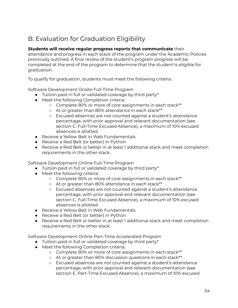# B. Evaluation for Graduation Eligibility

### **Students will receive regular progress reports that communicate** their

attendance and progress in each stack of the program under the Academic Policies previously outlined. A final review of the student's program progress will be completed at the end of the program to determine that the student is eligible for graduation.

To qualify for graduation, students must meet the following criteria:

Software Development Onsite Full-Time Program

- Tuition paid in full or validated coverage by third party\*
- Meet the following Completion criteria:
	- Complete 90% or more of core assignments in each stack\*\*
	- At or greater than 80% attendance in each stack\*\*
	- Excused absences are not counted against a student's attendance percentage, with prior approval and relevant documentation (see section C. Full-Time Excused Absence), a maximum of 10% excused absences is allotted.
- Receive a Yellow Belt in Web Fundamentals
- Receive a Red Belt (or better) in Python
- Receive a Red Belt or better in at least 1 additional stack and meet completion requirements in the other stack.

Software Development Online Full-Time Program

- Tuition paid in full or validated coverage by third party\*
- Meet the following criteria:
	- Complete 90% or more of core assignments in each stack\*\*
	- At or greater than 80% attendance in each stack\*\*
	- Excused absences are not counted against a student's attendance percentage, with prior approval and relevant documentation (see section C. Full-Time Excused Absence), a maximum of 10% excused absences is allotted.
- Receive a Yellow Belt in Web Fundamentals
- Receive a Red Belt (or better) in Python
- Receive a Red Belt or better in at least 1 additional stack and meet completion requirements in the other stack.

Software Development Online Part-Time Accelerated Program

- Tuition paid in full or validated coverage by third party\*
- Meet the following Completion criteria:
	- Complete 90% or more of core assignments in each stack\*\*
	- At or greater than 80% discussion questions in each stack\*\*
	- Excused absences are not counted against a student's attendance percentage, with prior approval and relevant documentation (see section E. Part-Time Excused Absence), a maximum of 10% excused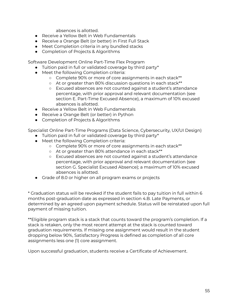absences is allotted.

- Receive a Yellow Belt in Web Fundamentals
- Receive a Orange Belt (or better) in First Full Stack
- Meet Completion criteria in any bundled stacks
- Completion of Projects & Algorithms

Software Development Online Part-Time Flex Program

- Tuition paid in full or validated coverage by third party\*
- Meet the following Completion criteria:
	- Complete 90% or more of core assignments in each stack\*\*
	- At or greater than 80% discussion questions in each stack\*\*
	- Excused absences are not counted against a student's attendance percentage, with prior approval and relevant documentation (see section E. Part-Time Excused Absence), a maximum of 10% excused absences is allotted.
- Receive a Yellow Belt in Web Fundamentals
- Receive a Orange Belt (or better) in Python
- Completion of Projects & Algorithms

Specialist Online Part-Time Programs (Data Science, Cybersecurity, UX/UI Design)

- Tuition paid in full or validated coverage by third party\*
- Meet the following Completion criteria:
	- Complete 90% or more of core assignments in each stack\*\*
	- At or greater than 80% attendance in each stack\*\*
	- Excused absences are not counted against a student's attendance percentage, with prior approval and relevant documentation (see section G. Specialist Excused Absence); a maximum of 10% excused absences is allotted.
- Grade of 8.0 or higher on all program exams or projects

\* Graduation status will be revoked if the student fails to pay tuition in full within 6 months post-graduation date as expressed in section 4.B. Late Payments, or determined by an agreed upon payment schedule. Status will be reinstated upon full payment of missing tuition.

\*\*Eligible program stack is a stack that counts toward the program's completion. If a stack is retaken, only the most recent attempt at the stack is counted toward graduation requirements. If missing one assignment would result in the student dropping below 90%, Satisfactory Progress is defined as completion of all core assignments less one (1) core assignment.

Upon successful graduation, students receive a Certificate of Achievement.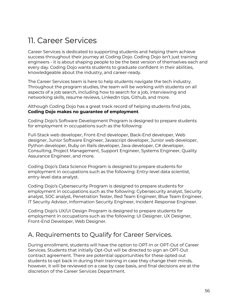# 11. Career Services

Career Services is dedicated to supporting students and helping them achieve success throughout their journey at Coding Dojo. Coding Dojo isn't just training engineers - it is about shaping people to be the best version of themselves each and every day. Coding Dojo wants students to graduate confident in their abilities, knowledgeable about the industry, and career-ready.

The Career Services team is here to help students navigate the tech industry. Throughout the program studies, the team will be working with students on all aspects of a job search, including how to search for a job, interviewing and networking skills, resume reviews, LinkedIn tips, Github, and more.

Although Coding Dojo has a great track record of helping students find jobs, **Coding Dojo makes no guarantee of employment**.

Coding Dojo's Software Development Program is designed to prepare students for employment in occupations such as the following:

Full-Stack web developer, Front-End developer, Back-End developer, Web designer, Junior Software Engineer, Javascript developer, Junior web developer, Python developer, Ruby on Rails developer, Java developer, C# developer, Consulting, Project Management, Support Engineer, Systems Engineer, Quality Assurance Engineer, and more.

Coding Dojo's Data Science Program is designed to prepare students for employment in occupations such as the following: Entry-level data scientist, entry-level data analyst.

Coding Dojo's Cybersecurity Program is designed to prepare students for employment in occupations such as the following: Cybersecurity analyst, Security analyst, SOC analyst, Penetration Tester, Red Team Engineer, Blue Team Engineer, IT Security Advisor, Information Security Engineer, Incident Response Engineer.

Coding Dojo's UX/UI Design Program is designed to prepare students for employment in occupations such as the following: UI Designer, UX Designer, Front-End Developer, Web Designer.

## A. Requirements to Qualify for Career Services.

During enrollment, students will have the option to OPT-In or OPT-Out of Career Services. Students that initially Opt-Out will be directed to sign an OPT-Out contract agreement. There are potential opportunities for these opted out students to opt back in during their training in case they change their minds, however, it will be reviewed on a case by case basis, and final decisions are at the discretion of the Career Services Department.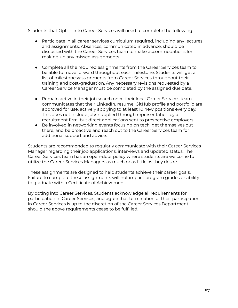Students that Opt-In into Career Services will need to complete the following:

- Participate in all career services curriculum required, including any lectures and assignments. Absences, communicated in advance, should be discussed with the Career Services team to make accommodations for making up any missed assignments.
- Complete all the required assignments from the Career Services team to be able to move forward throughout each milestone. Students will get a list of milestones/assignments from Career Services throughout their training and post-graduation. Any necessary revisions requested by a Career Service Manager must be completed by the assigned due date.
- Remain active in their job search once their local Career Services team communicates that their LinkedIn, resume, GitHub profile and portfolio are approved for use, actively applying to at least 10 new positions every day. This does not include jobs supplied through representation by a recruitment firm, but direct applications sent to prospective employers.
- Be involved in networking events focusing on tech, get themselves out there, and be proactive and reach out to the Career Services team for additional support and advice.

Students are recommended to regularly communicate with their Career Services Manager regarding their job applications, interviews and updated status. The Career Services team has an open-door policy where students are welcome to utilize the Career Services Managers as much or as little as they desire.

These assignments are designed to help students achieve their career goals. Failure to complete these assignments will not impact program grades or ability to graduate with a Certificate of Achievement.

By opting into Career Services, Students acknowledge all requirements for participation in Career Services, and agree that termination of their participation in Career Services is up to the discretion of the Career Services Department should the above requirements cease to be fulfilled.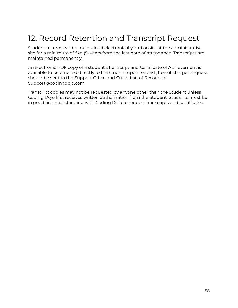# 12. Record Retention and Transcript Request

Student records will be maintained electronically and onsite at the administrative site for a minimum of five (5) years from the last date of attendance. Transcripts are maintained permanently.

An electronic PDF copy of a student's transcript and Certificate of Achievement is available to be emailed directly to the student upon request, free of charge. Requests should be sent to the Support Office and Custodian of Records at Support@codingdojo.com.

Transcript copies may not be requested by anyone other than the Student unless Coding Dojo first receives written authorization from the Student. Students must be in good financial standing with Coding Dojo to request transcripts and certificates.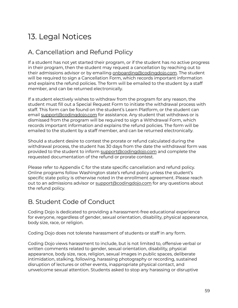# 13. Legal Notices

# A. Cancellation and Refund Policy

If a student has not yet started their program, or if the student has no active progress in their program, then the student may request a cancellation by reaching out to their admissions advisor or by emailing [onboarding@codingdojo.com](mailto:onboarding@codingdojo.com). The student will be required to sign a Cancellation Form, which records important information and explains the refund policies. The form will be emailed to the student by a staff member, and can be returned electronically.

If a student electively wishes to withdraw from the program for any reason, the student must fill out a Special Request Form to initiate the withdrawal process with staff. This form can be found on the student's Learn Platform, or the student can email [support@codingdojo.com](mailto:support@codingdojo.com) for assistance. Any student that withdraws or is dismissed from the program will be required to sign a Withdrawal Form, which records important information and explains the refund policies. The form will be emailed to the student by a staff member, and can be returned electronically.

Should a student desire to contest the prorate or refund calculated during the withdrawal process, the student has 30 days from the date the withdrawal form was provided to the student to inform [support@codingdojo.com](mailto:support@codingdojo.com) and complete the requested documentation of the refund or prorate contest.

Please refer to Appendix C for the state specific cancellation and refund policy. Online programs follow Washington state's refund policy unless the student's specific state policy is otherwise noted in the enrollment agreement. Please reach out to an admissions advisor or [support@codingdojo.com](mailto:support@codingdojo.com) for any questions about the refund policy.

## B. Student Code of Conduct

Coding Dojo is dedicated to providing a harassment-free educational experience for everyone, regardless of gender, sexual orientation, disability, physical appearance, body size, race, or religion.

Coding Dojo does not tolerate harassment of students or staff in any form.

Coding Dojo views harassment to include, but is not limited to, offensive verbal or written comments related to gender, sexual orientation, disability, physical appearance, body size, race, religion, sexual images in public spaces, deliberate intimidation, stalking, following, harassing photography or recording, sustained disruption of lectures or other events, inappropriate physical contact, and unwelcome sexual attention. Students asked to stop any harassing or disruptive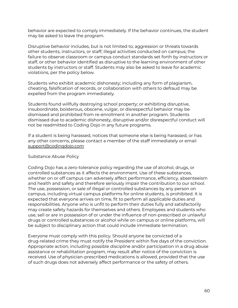behavior are expected to comply immediately. If the behavior continues, the student may be asked to leave the program.

Disruptive behavior includes, but is not limited to, aggression or threats towards other students, instructors, or staff; illegal activities conducted on campus; the failure to observe classroom or campus conduct standards set forth by instructors or staff, or other behavior identified as disruptive to the learning environment of other students by instructors or staff. Students may also be asked to leave for academic violations, per the policy below.

Students who exhibit academic dishonesty; including any form of plagiarism, cheating, falsification of records, or collaboration with others to defraud may be expelled from the program immediately.

Students found willfully destroying school property; or exhibiting disruptive, insubordinate, boisterous, obscene, vulgar, or disrespectful behavior may be dismissed and prohibited from re-enrollment in another program. Students dismissed due to academic dishonesty, disruptive and/or disrespectful conduct will not be readmitted to Coding Dojo in any future programs.

If a student is being harassed, notices that someone else is being harassed, or has any other concerns, please contact a member of the staff immediately or email [support@codingdojo.com](mailto:support@codingdojo.com)

#### Substance Abuse Policy

Coding Dojo has a zero-tolerance policy regarding the use of alcohol, drugs, or controlled substances as it affects the environment. Use of these substances, whether on or off campus can adversely affect performance, efficiency, absenteeism and health and safety and therefore seriously impair the contribution to our school. The use, possession, or sale of illegal or controlled substances by any person on campus, including virtual campus platforms for online students, is prohibited. It is expected that everyone arrives on time, fit to perform all applicable duties and responsibilities. Anyone who is unfit to perform their duties fully and satisfactorily may create safety hazards for themselves and others. Employees and students who use, sell or are in possession of or under the influence of non-prescribed or unlawful drugs or controlled substances or alcohol while on campus or online platforms, will be subject to disciplinary action that could include immediate termination.

Everyone must comply with this policy. Should anyone be convicted of a drug-related crime they must notify the President within five days of the conviction. Appropriate action, including possible discipline and/or participation in a drug abuse assistance or rehabilitation program, may result after notice of the conviction is received. Use of physician-prescribed medications is allowed, provided that the use of such drugs does not adversely affect performance or the safety of others.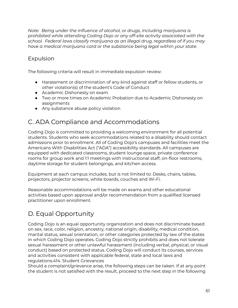*Note: Being under the influence of alcohol, or drugs, including marijuana is prohibited while attending Coding Dojo or any off-site activity associated with the school. Federal laws classify marijuana as an illegal drug, regardless of if you may have a medical marijuana card or the substance being legal within your state.*

## Expulsion

The following criteria will result in immediate expulsion review:

- Harassment or discrimination of any kind against staff or fellow students, or other violation(s) of the student's Code of Conduct
- Academic Dishonesty on exam
- Two or more times on Academic Probation due to Academic Dishonesty on assignments
- Any substance abuse policy violation

# C. ADA Compliance and Accommodations

Coding Dojo is committed to providing a welcoming environment for all potential students. Students who seek accommodations related to a disability should contact admissions prior to enrollment. All of Coding Dojo's campuses and facilities meet the Americans With Disabilities Act ("ADA") accessibility standards. All campuses are equipped with dedicated classrooms, student lounge space, private conference rooms for group work and 1:1 meetings with instructional staff, on-floor restrooms, daytime storage for student belongings, and kitchen access.

Equipment at each campus includes, but is not limited to: Desks, chairs, tables, projectors, projector screens, white boards, couches and Wi-Fi.

Reasonable accommodations will be made on exams and other educational activities based upon approval and/or recommendation from a qualified licensed practitioner upon enrollment.

# D. Equal Opportunity

Coding Dojo is an equal opportunity organization and does not discriminate based on sex, race, color, religion, ancestry, national origin, disability, medical condition, marital status, sexual orientation, or other categories protected by law of the states in which Coding Dojo operates. Coding Dojo strictly prohibits and does not tolerate sexual harassment or other unlawful harassment (including verbal, physical, or visual conduct) based on protected status. Coding Dojo will conduct its courses, services and activities consistent with applicable federal, state and local laws and regulations.414. Student Grievances

Should a complaint/grievance arise, the following steps can be taken. If at any point the student is not satisfied with the result, proceed to the next step in the following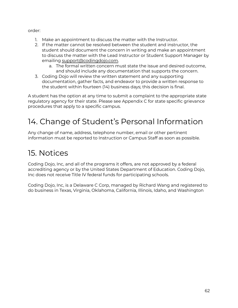order:

- 1. Make an appointment to discuss the matter with the Instructor.
- 2. If the matter cannot be resolved between the student and instructor, the student should document the concern in writing and make an appointment to discuss the matter with the Lead Instructor or Student Support Manager by emailing [support@codingdojo.com.](mailto:support@codingdojo.com)
	- a. The formal written concern must state the issue and desired outcome, and should include any documentation that supports the concern.
- 3. Coding Dojo will review the written statement and any supporting documentation, gather facts, and endeavor to provide a written response to the student within fourteen (14) business days; this decision is final.

A student has the option at any time to submit a complaint to the appropriate state regulatory agency for their state. Please see Appendix C for state specific grievance procedures that apply to a specific campus.

# 14. Change of Student's Personal Information

Any change of name, address, telephone number, email or other pertinent information must be reported to Instruction or Campus Staff as soon as possible.

# 15. Notices

Coding Dojo, Inc, and all of the programs it offers, are not approved by a federal accrediting agency or by the United States Department of Education. Coding Dojo, Inc does not receive Title IV federal funds for participating schools.

Coding Dojo, Inc, is a Delaware C Corp, managed by Richard Wang and registered to do business in Texas, Virginia, Oklahoma, California, Illinois, Idaho, and Washington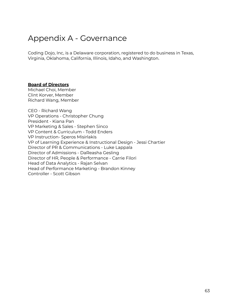# Appendix A - Governance

Coding Dojo, Inc, is a Delaware corporation, registered to do business in Texas, Virginia, Oklahoma, California, Illinois, Idaho, and Washington.

#### **Board of Directors**

Michael Choi, Member Clint Korver, Member Richard Wang, Member

CEO - Richard Wang VP Operations - Christopher Chung President - Kiana Pan VP Marketing & Sales - Stephen Sinco VP Content & Curriculum - Todd Enders VP Instruction- Speros Misirlakis VP of Learning Experience & Instructional Design - Jessi Chartier Director of PR & Communications - Luke Lappala Director of Admissions - DaReasha Gesling Director of HR, People & Performance - Carrie Filori Head of Data Analytics - Rajan Selvan Head of Performance Marketing - Brandon Kinney Controller - Scott Gibson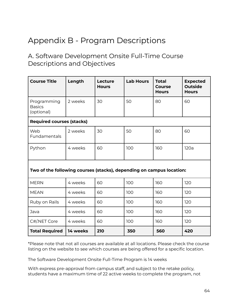# Appendix B - Program Descriptions

## A. Software Development Onsite Full-Time Course Descriptions and Objectives

| <b>Course Title</b>                                                  | Length   | Lecture<br><b>Hours</b> | <b>Lab Hours</b> | <b>Total</b><br><b>Course</b><br><b>Hours</b> | <b>Expected</b><br><b>Outside</b><br><b>Hours</b> |
|----------------------------------------------------------------------|----------|-------------------------|------------------|-----------------------------------------------|---------------------------------------------------|
| Programming<br><b>Basics</b><br>(optional)                           | 2 weeks  | 30                      | 50               | 80                                            | 60                                                |
| <b>Required courses (stacks)</b>                                     |          |                         |                  |                                               |                                                   |
| Web<br>Fundamentals                                                  | 2 weeks  | 30                      | 50               | 80                                            | 60                                                |
| Python                                                               | 4 weeks  | 60                      | 100              | 160                                           | 120a                                              |
| Two of the following courses (stacks), depending on campus location: |          |                         |                  |                                               |                                                   |
| <b>MERN</b>                                                          | 4 weeks  | 60                      | 100              | 160                                           | 120                                               |
| <b>MEAN</b>                                                          | 4 weeks  | 60                      | 100              | 160                                           | 120                                               |
| Ruby on Rails                                                        | 4 weeks  | 60                      | 100              | 160                                           | 120                                               |
| Java                                                                 | 4 weeks  | 60                      | 100              | 160                                           | 120                                               |
| C#/NET Core                                                          | 4 weeks  | 60                      | 100              | 160                                           | 120                                               |
| <b>Total Required</b>                                                | 14 weeks | 210                     | 350              | 560                                           | 420                                               |

\*Please note that not all courses are available at all locations. Please check the course listing on the website to see which courses are being offered for a specific location.

The Software Development Onsite Full-Time Program is 14 weeks

With express pre-approval from campus staff, and subject to the retake policy, students have a maximum time of 22 active weeks to complete the program, not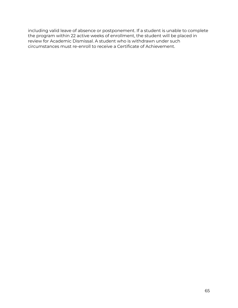including valid leave of absence or postponement. If a student is unable to complete the program within 22 active weeks of enrollment, the student will be placed in review for Academic Dismissal. A student who is withdrawn under such circumstances must re-enroll to receive a Certificate of Achievement.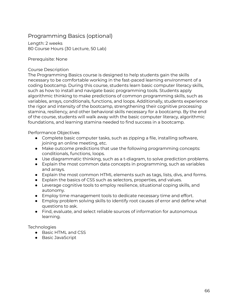## Programming Basics (optional)

Length: 2 weeks 80 Course Hours (30 Lecture, 50 Lab)

Prerequisite: None

#### Course Description

The Programming Basics course is designed to help students gain the skills necessary to be comfortable working in the fast-paced learning environment of a coding bootcamp. During this course, students learn basic computer literacy skills, such as how to install and navigate basic programming tools. Students apply algorithmic thinking to make predictions of common programming skills, such as variables, arrays, conditionals, functions, and loops. Additionally, students experience the rigor and intensity of the bootcamp, strengthening their cognitive processing stamina, resiliency, and other behavioral skills necessary for a bootcamp. By the end of the course, students will walk away with the basic computer literacy, algorithmic foundations, and learning stamina needed to find success in a bootcamp.

Performance Objectives

- Complete basic computer tasks, such as zipping a file, installing software, joining an online meeting, etc.
- Make outcome predictions that use the following programming concepts: conditionals, functions, loops.
- Use diagrammatic thinking, such as a t-diagram, to solve prediction problems.
- Explain the most common data concepts in programming, such as variables and arrays.
- Explain the most common HTML elements such as tags, lists, divs, and forms.
- Explain the basics of CSS such as selectors, properties, and values.
- Leverage cognitive tools to employ resilience, situational coping skills, and autonomy.
- Employ time management tools to dedicate necessary time and effort.
- Employ problem solving skills to identify root causes of error and define what questions to ask.
- Find, evaluate, and select reliable sources of information for autonomous learning.

**Technologies** 

- Basic HTML and CSS
- Basic JavaScript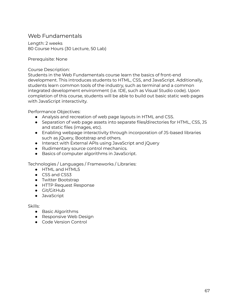## Web Fundamentals

Length: 2 weeks 80 Course Hours (30 Lecture, 50 Lab)

Prerequisite: None

Course Description:

Students in the Web Fundamentals course learn the basics of front-end development. This introduces students to HTML, CSS, and JavaScript. Additionally, students learn common tools of the industry, such as terminal and a common integrated development environment (i.e. IDE, such as Visual Studio code). Upon completion of this course, students will be able to build out basic static web pages with JavaScript interactivity.

Performance Objectives:

- Analysis and recreation of web page layouts in HTML and CSS.
- Separation of web page assets into separate files/directories for HTML, CSS, JS and static files (images, etc).
- Enabling webpage interactivity through incorporation of JS-based libraries such as jQuery, Bootstrap and others.
- Interact with External APIs using JavaScript and jQuery
- Rudimentary source control mechanics.
- Basics of computer algorithms in JavaScript.

Technologies / Languages / Frameworks / Libraries:

- HTML and HTML5
- CSS and CSS3
- Twitter Bootstrap
- HTTP Request Response
- Git/GitHub
- JavaScript

- Basic Algorithms
- Responsive Web Design
- Code Version Control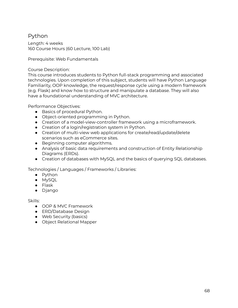## Python

Length: 4 weeks 160 Course Hours (60 Lecture, 100 Lab)

Prerequisite: Web Fundamentals

### Course Description:

This course introduces students to Python full-stack programming and associated technologies. Upon completion of this subject, students will have Python Language Familiarity, OOP knowledge, the request/response cycle using a modern framework (e.g. Flask) and know how to structure and manipulate a database. They will also have a foundational understanding of MVC architecture.

Performance Objectives:

- Basics of procedural Python.
- Object-oriented programming in Python.
- Creation of a model-view-controller framework using a microframework.
- Creation of a login/registration system in Python.
- Creation of multi-view web applications for create/read/update/delete scenarios such as eCommerce sites.
- Beginning computer algorithms.
- Analysis of basic data requirements and construction of Entity Relationship Diagrams (ERDs).
- Creation of databases with MySQL and the basics of querying SQL databases.

Technologies / Languages / Frameworks / Libraries:

- Python
- MySQL
- Flask
- Django

- OOP & MVC Framework
- ERD/Database Design
- Web Security (basics)
- Object Relational Mapper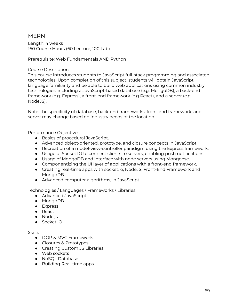## MERN

Length: 4 weeks 160 Course Hours (60 Lecture, 100 Lab)

Prerequisite: Web Fundamentals AND Python

#### Course Description

This course introduces students to JavaScript full-stack programming and associated technologies. Upon completion of this subject, students will obtain JavaScript language familiarity and be able to build web applications using common industry technologies, including a JavaScript-based database (e.g. MongoDB), a back-end framework (e.g. Express), a front-end framework (e.g React), and a server (e.g NodeJS).

Note: the specificity of database, back-end frameworks, front-end framework, and server may change based on industry needs of the location.

Performance Objectives:

- Basics of procedural JavaScript.
- Advanced object-oriented, prototype, and closure concepts in JavaScript.
- Recreation of a model-view-controller paradigm using the Express framework.
- Usage of Socket.IO to connect clients to servers, enabling push notifications.
- Usage of MongoDB and interface with node servers using Mongoose.
- Componentizing the UI layer of applications with a front-end framework.
- Creating real-time apps with socket.io, NodeJS, Front-End Framework and MongoDB.
- Advanced computer algorithms, in JavaScript.

Technologies / Languages / Frameworks / Libraries:

- Advanced JavaScript
- MongoDB
- Express
- React
- Node.js
- Socket.IO

- OOP & MVC Framework
- Closures & Prototypes
- Creating Custom JS Libraries
- Web sockets
- NoSQL Database
- Building Real-time apps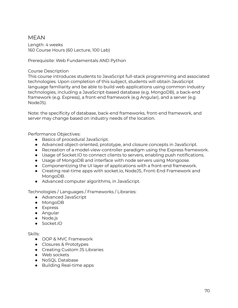## MEAN

Length: 4 weeks 160 Course Hours (60 Lecture, 100 Lab)

Prerequisite: Web Fundamentals AND Python

### Course Description

This course introduces students to JavaScript full-stack programming and associated technologies. Upon completion of this subject, students will obtain JavaScript language familiarity and be able to build web applications using common industry technologies, including a JavaScript-based database (e.g. MongoDB), a back-end framework (e.g. Express), a front-end framework (e.g Angular), and a server (e.g NodeJS).

Note: the specificity of database, back-end frameworks, front-end framework, and server may change based on industry needs of the location.

Performance Objectives:

- Basics of procedural JavaScript.
- Advanced object-oriented, prototype, and closure concepts in JavaScript.
- Recreation of a model-view-controller paradigm using the Express framework.
- Usage of Socket.IO to connect clients to servers, enabling push notifications.
- Usage of MongoDB and interface with node servers using Mongoose.
- Componentizing the UI layer of applications with a front-end framework.
- Creating real-time apps with socket.io, NodeJS, Front-End Framework and MongoDB.
- Advanced computer algorithms, in JavaScript.

Technologies / Languages / Frameworks / Libraries:

- Advanced JavaScript
- MongoDB
- Express
- Angular
- Node.js
- Socket.IO

- OOP & MVC Framework
- Closures & Prototypes
- Creating Custom JS Libraries
- Web sockets
- NoSQL Database
- Building Real-time apps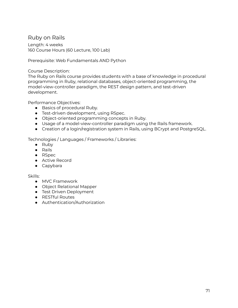## Ruby on Rails

Length: 4 weeks 160 Course Hours (60 Lecture, 100 Lab)

Prerequisite: Web Fundamentals AND Python

### Course Description:

The Ruby on Rails course provides students with a base of knowledge in procedural programming in Ruby, relational databases, object-oriented programming, the model-view-controller paradigm, the REST design pattern, and test-driven development.

Performance Objectives:

- Basics of procedural Ruby.
- Test-driven development, using RSpec.
- Object-oriented programming concepts in Ruby.
- Usage of a model-view-controller paradigm using the Rails framework.
- Creation of a login/registration system in Rails, using BCrypt and PostgreSQL.

Technologies / Languages / Frameworks / Libraries:

- Ruby
- Rails
- RSpec
- Active Record
- Capybara

- MVC Framework
- Object Relational Mapper
- **•** Test Driven Deployment
- RESTful Routes
- Authentication/Authorization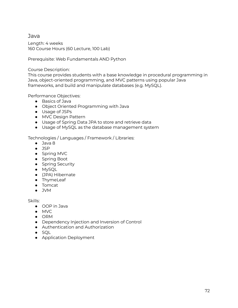## Java

Length: 4 weeks 160 Course Hours (60 Lecture, 100 Lab)

Prerequisite: Web Fundamentals AND Python

### Course Description:

This course provides students with a base knowledge in procedural programming in Java, object-oriented programming, and MVC patterns using popular Java frameworks, and build and manipulate databases (e.g. MySQL).

Performance Objectives:

- Basics of Java
- Object Oriented Programming with Java
- Usage of JSPs
- MVC Design Pattern
- Usage of Spring Data JPA to store and retrieve data
- Usage of MySQL as the database management system

### Technologies / Languages / Framework / Libraries:

- Java 8
- JSP
- Spring MVC
- Spring Boot
- Spring Security
- MySQL
- (JPA) Hibernate
- ThymeLeaf
- Tomcat
- JVM

- OOP in Java
- MVC
- ORM
- Dependency Injection and Inversion of Control
- Authentication and Authorization
- SQL
- Application Deployment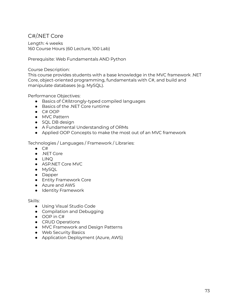# C#/.NET Core

Length: 4 weeks 160 Course Hours (60 Lecture, 100 Lab)

Prerequisite: Web Fundamentals AND Python

#### Course Description:

This course provides students with a base knowledge in the MVC framework .NET Core, object-oriented programming, fundamentals with C#, and build and manipulate databases (e.g. MySQL).

Performance Objectives:

- Basics of C#/strongly-typed compiled languages
- Basics of the .NET Core runtime
- C# OOP
- MVC Pattern
- SQL DB design
- A Fundamental Understanding of ORMs
- Applied OOP Concepts to make the most out of an MVC framework

Technologies / Languages / Framework / Libraries:

- $\bullet$  C#
- .NET Core
- LINQ
- ASP.NET Core MVC
- MySQL
- Dapper
- Entity Framework Core
- Azure and AWS
- Identity Framework

- Using Visual Studio Code
- Compilation and Debugging
- OOP in C#
- CRUD Operations
- MVC Framework and Design Patterns
- Web Security Basics
- Application Deployment (Azure, AWS)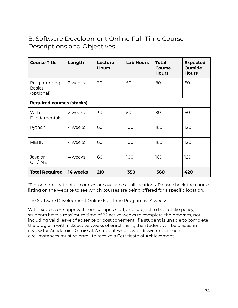# B. Software Development Online Full-Time Course Descriptions and Objectives

| <b>Course Title</b>                        | Length   | <b>Lecture</b><br><b>Hours</b> | <b>Lab Hours</b> | <b>Total</b><br><b>Course</b><br><b>Hours</b> | <b>Expected</b><br><b>Outside</b><br><b>Hours</b> |
|--------------------------------------------|----------|--------------------------------|------------------|-----------------------------------------------|---------------------------------------------------|
| Programming<br><b>Basics</b><br>(optional) | 2 weeks  | 30                             | 50               | 80                                            | 60                                                |
| <b>Required courses (stacks)</b>           |          |                                |                  |                                               |                                                   |
| Web<br>Fundamentals                        | 2 weeks  | 30                             | 50               | 80                                            | 60                                                |
| Python                                     | 4 weeks  | 60                             | 100              | 160                                           | 120                                               |
| <b>MERN</b>                                | 4 weeks  | 60                             | 100              | 160                                           | 120                                               |
| Java or<br>C# / .NET                       | 4 weeks  | 60                             | 100              | 160                                           | 120                                               |
| <b>Total Required</b>                      | 14 weeks | 210                            | 350              | 560                                           | 420                                               |

\*Please note that not all courses are available at all locations. Please check the course listing on the website to see which courses are being offered for a specific location.

The Software Development Online Full-Time Program is 14 weeks

With express pre-approval from campus staff, and subject to the retake policy, students have a maximum time of 22 active weeks to complete the program, not including valid leave of absence or postponement. If a student is unable to complete the program within 22 active weeks of enrollment, the student will be placed in review for Academic Dismissal. A student who is withdrawn under such circumstances must re-enroll to receive a Certificate of Achievement.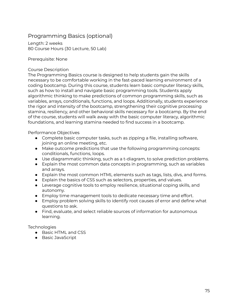# Programming Basics (optional)

Length: 2 weeks 80 Course Hours (30 Lecture, 50 Lab)

Prerequisite: None

#### Course Description

The Programming Basics course is designed to help students gain the skills necessary to be comfortable working in the fast-paced learning environment of a coding bootcamp. During this course, students learn basic computer literacy skills, such as how to install and navigate basic programming tools. Students apply algorithmic thinking to make predictions of common programming skills, such as variables, arrays, conditionals, functions, and loops. Additionally, students experience the rigor and intensity of the bootcamp, strengthening their cognitive processing stamina, resiliency, and other behavioral skills necessary for a bootcamp. By the end of the course, students will walk away with the basic computer literacy, algorithmic foundations, and learning stamina needed to find success in a bootcamp.

Performance Objectives

- Complete basic computer tasks, such as zipping a file, installing software, joining an online meeting, etc.
- Make outcome predictions that use the following programming concepts: conditionals, functions, loops.
- Use diagrammatic thinking, such as a t-diagram, to solve prediction problems.
- Explain the most common data concepts in programming, such as variables and arrays.
- Explain the most common HTML elements such as tags, lists, divs, and forms.
- Explain the basics of CSS such as selectors, properties, and values.
- Leverage cognitive tools to employ resilience, situational coping skills, and autonomy.
- Employ time management tools to dedicate necessary time and effort.
- Employ problem solving skills to identify root causes of error and define what questions to ask.
- Find, evaluate, and select reliable sources of information for autonomous learning.

**Technologies** 

- Basic HTML and CSS
- Basic JavaScript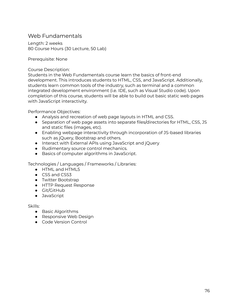## Web Fundamentals

Length: 2 weeks 80 Course Hours (30 Lecture, 50 Lab)

Prerequisite: None

Course Description:

Students in the Web Fundamentals course learn the basics of front-end development. This introduces students to HTML, CSS, and JavaScript. Additionally, students learn common tools of the industry, such as terminal and a common integrated development environment (i.e. IDE, such as Visual Studio code). Upon completion of this course, students will be able to build out basic static web pages with JavaScript interactivity.

Performance Objectives:

- Analysis and recreation of web page layouts in HTML and CSS.
- Separation of web page assets into separate files/directories for HTML, CSS, JS and static files (images, etc).
- Enabling webpage interactivity through incorporation of JS-based libraries such as jQuery, Bootstrap and others.
- Interact with External APIs using JavaScript and jQuery
- Rudimentary source control mechanics.
- Basics of computer algorithms in JavaScript.

Technologies / Languages / Frameworks / Libraries:

- HTML and HTML5
- CSS and CSS3
- Twitter Bootstrap
- HTTP Request Response
- Git/GitHub
- JavaScript

- Basic Algorithms
- Responsive Web Design
- Code Version Control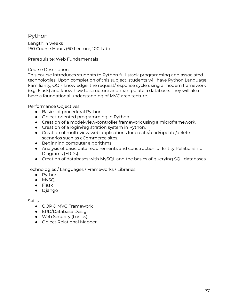# Python

Length: 4 weeks 160 Course Hours (60 Lecture, 100 Lab)

Prerequisite: Web Fundamentals

### Course Description:

This course introduces students to Python full-stack programming and associated technologies. Upon completion of this subject, students will have Python Language Familiarity, OOP knowledge, the request/response cycle using a modern framework (e.g. Flask) and know how to structure and manipulate a database. They will also have a foundational understanding of MVC architecture.

Performance Objectives:

- Basics of procedural Python.
- Object-oriented programming in Python.
- Creation of a model-view-controller framework using a microframework.
- Creation of a login/registration system in Python.
- Creation of multi-view web applications for create/read/update/delete scenarios such as eCommerce sites.
- Beginning computer algorithms.
- Analysis of basic data requirements and construction of Entity Relationship Diagrams (ERDs).
- Creation of databases with MySQL and the basics of querying SQL databases.

Technologies / Languages / Frameworks / Libraries:

- Python
- MySQL
- Flask
- Django

- OOP & MVC Framework
- ERD/Database Design
- Web Security (basics)
- Object Relational Mapper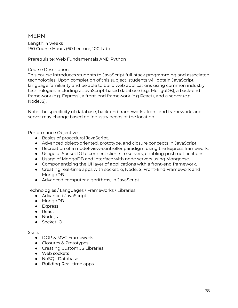## MERN

Length: 4 weeks 160 Course Hours (60 Lecture, 100 Lab)

Prerequisite: Web Fundamentals AND Python

#### Course Description

This course introduces students to JavaScript full-stack programming and associated technologies. Upon completion of this subject, students will obtain JavaScript language familiarity and be able to build web applications using common industry technologies, including a JavaScript-based database (e.g. MongoDB), a back-end framework (e.g. Express), a front-end framework (e.g React), and a server (e.g NodeJS).

Note: the specificity of database, back-end frameworks, front-end framework, and server may change based on industry needs of the location.

Performance Objectives:

- Basics of procedural JavaScript.
- Advanced object-oriented, prototype, and closure concepts in JavaScript.
- Recreation of a model-view-controller paradigm using the Express framework.
- Usage of Socket.IO to connect clients to servers, enabling push notifications.
- Usage of MongoDB and interface with node servers using Mongoose.
- Componentizing the UI layer of applications with a front-end framework.
- Creating real-time apps with socket.io, NodeJS, Front-End Framework and MongoDB.
- Advanced computer algorithms, in JavaScript.

Technologies / Languages / Frameworks / Libraries:

- Advanced JavaScript
- MongoDB
- Express
- React
- Node.js
- Socket.IO

- OOP & MVC Framework
- Closures & Prototypes
- Creating Custom JS Libraries
- Web sockets
- NoSQL Database
- Building Real-time apps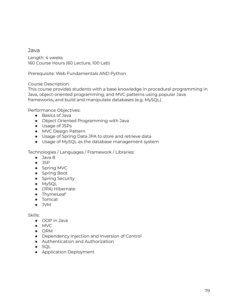### Java

Length: 4 weeks 160 Course Hours (60 Lecture, 100 Lab)

Prerequisite: Web Fundamentals AND Python

### Course Description:

This course provides students with a base knowledge in procedural programming in Java, object-oriented programming, and MVC patterns using popular Java frameworks, and build and manipulate databases (e.g. MySQL).

Performance Objectives:

- Basics of Java
- Object Oriented Programming with Java
- Usage of JSPs
- MVC Design Pattern
- Usage of Spring Data JPA to store and retrieve data
- Usage of MySQL as the database management system

Technologies / Languages / Framework / Libraries:

- Java 8
- JSP
- Spring MVC
- Spring Boot
- Spring Security
- MySQL
- (JPA) Hibernate
- ThymeLeaf
- Tomcat
- $\bullet$  JVM

- OOP in Java
- MVC
- ORM
- Dependency Injection and Inversion of Control
- Authentication and Authorization
- SQL
- Application Deployment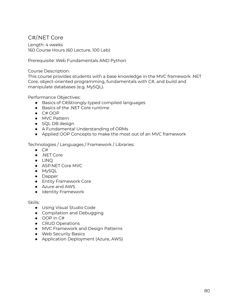## C#/.NET Core

Length: 4 weeks 160 Course Hours (60 Lecture, 100 Lab)

Prerequisite: Web Fundamentals AND Python

#### Course Description:

This course provides students with a base knowledge in the MVC framework .NET Core, object-oriented programming, fundamentals with C#, and build and manipulate databases (e.g. MySQL).

Performance Objectives:

- Basics of C#/strongly-typed compiled languages
- Basics of the .NFT Core runtime
- C# OOP
- MVC Pattern
- SQL DB design
- A Fundamental Understanding of ORMs
- Applied OOP Concepts to make the most out of an MVC framework

Technologies / Languages / Framework / Libraries:

- C#
- .NET Core
- LINQ
- ASP.NET Core MVC
- MySQL
- Dapper
- Entity Framework Core
- Azure and AWS
- Identity Framework

- Using Visual Studio Code
- Compilation and Debugging
- OOP in C#
- CRUD Operations
- MVC Framework and Design Patterns
- Web Security Basics
- Application Deployment (Azure, AWS)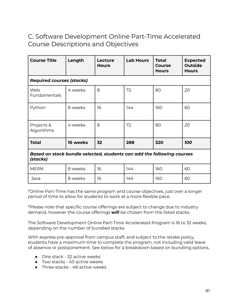# C. Software Development Online Part-Time Accelerated Course Descriptions and Objectives

| <b>Course Title</b>                                                                | Length   | Lecture<br><b>Hours</b> | <b>Lab Hours</b> | <b>Total</b><br><b>Course</b><br><b>Hours</b> | <b>Expected</b><br><b>Outside</b><br><b>Hours</b> |
|------------------------------------------------------------------------------------|----------|-------------------------|------------------|-----------------------------------------------|---------------------------------------------------|
| <b>Required courses (stacks)</b>                                                   |          |                         |                  |                                               |                                                   |
| Web<br>Fundamentals                                                                | 4 weeks  | 8                       | 72               | 80                                            | 20                                                |
| Python                                                                             | 8 weeks  | 16                      | 144              | 160                                           | 60                                                |
| Projects &<br>Algorithms                                                           | 4 weeks  | 8                       | 72               | 80                                            | 20                                                |
| <b>Total</b>                                                                       | 16 weeks | 32                      | 288              | 320                                           | <b>100</b>                                        |
| Based on stack bundle selected, students can add the following courses<br>(stacks) |          |                         |                  |                                               |                                                   |
| <b>MERN</b>                                                                        | 8 weeks  | 16                      | 144              | 160                                           | 60                                                |
| Java                                                                               | 8 weeks  | 16                      | 144              | 160                                           | 60                                                |

\*Online Part-Time has the same program and course objectives, just over a longer period of time to allow for students to work at a more flexible pace.

\*Please note that specific course offerings are subject to change due to industry demand, however the course offerings *will* be chosen from the listed stacks.

The Software Development Online Part-Time Accelerated Program is 16 to 32 weeks, depending on the number of bundled stacks.

With express pre-approval from campus staff, and subject to the retake policy, students have a maximum time to complete the program, not including valid leave of absence or postponement. See below for a breakdown based on bundling options.

- One stack 32 active weeks
- $\bullet$  Two stacks 40 active weeks
- Three stacks 48 active weeks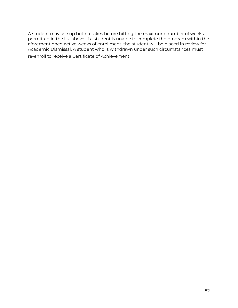A student may use up both retakes before hitting the maximum number of weeks permitted in the list above. If a student is unable to complete the program within the aforementioned active weeks of enrollment, the student will be placed in review for Academic Dismissal. A student who is withdrawn under such circumstances must

re-enroll to receive a Certificate of Achievement.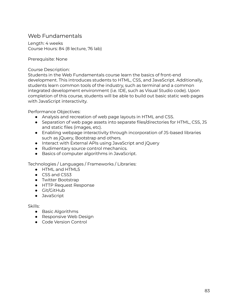## Web Fundamentals

Length: 4 weeks Course Hours: 84 (8 lecture, 76 lab)

Prerequisite: None

Course Description:

Students in the Web Fundamentals course learn the basics of front-end development. This introduces students to HTML, CSS, and JavaScript. Additionally, students learn common tools of the industry, such as terminal and a common integrated development environment (i.e. IDE, such as Visual Studio code). Upon completion of this course, students will be able to build out basic static web pages with JavaScript interactivity.

Performance Objectives:

- Analysis and recreation of web page layouts in HTML and CSS.
- Separation of web page assets into separate files/directories for HTML, CSS, JS and static files (images, etc).
- Enabling webpage interactivity through incorporation of JS-based libraries such as jQuery, Bootstrap and others.
- Interact with External APIs using JavaScript and jQuery
- Rudimentary source control mechanics.
- Basics of computer algorithms in JavaScript.

Technologies / Languages / Frameworks / Libraries:

- HTML and HTML5
- CSS and CSS3
- Twitter Bootstrap
- HTTP Request Response
- Git/GitHub
- JavaScript

- Basic Algorithms
- Responsive Web Design
- Code Version Control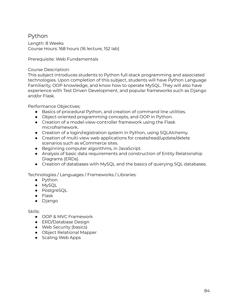## Python

Length: 8 Weeks Course Hours: 168 hours (16 lecture, 152 lab)

Prerequisite: Web Fundamentals

### Course Description:

This subject introduces students to Python full-stack programming and associated technologies. Upon completion of this subject, students will have Python Language Familiarity, OOP knowledge, and know how to operate MySQL. They will also have experience with Test Driven Development, and popular frameworks such as Django and/or Flask.

Performance Objectives:

- Basics of procedural Python, and creation of command line utilities.
- Object-oriented programming concepts, and OOP in Python.
- Creation of a model-view-controller framework using the Flask microframework.
- Creation of a login/registration system in Python, using SQLAlchemy.
- Creation of multi-view web applications for create/read/update/delete scenarios such as eCommerce sites.
- Beginning computer algorithms, in JavaScript.
- Analysis of basic data requirements and construction of Entity Relationship Diagrams (ERDs).
- Creation of databases with MySQL and the basics of querying SQL databases.

Technologies / Languages / Frameworks / Libraries:

- Python
- MySQL
- PostgreSQL
- Flask
- Django

- OOP & MVC Framework
- ERD/Database Design
- Web Security (basics)
- Object Relational Mapper
- Scaling Web Apps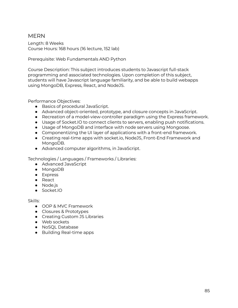## MERN

Length: 8 Weeks Course Hours: 168 hours (16 lecture, 152 lab)

Prerequisite: Web Fundamentals AND Python

Course Description: This subject introduces students to Javascript full-stack programming and associated technologies. Upon completion of this subject, students will have Javascript language familiarity, and be able to build webapps using MongoDB, Express, React, and NodeJS.

Performance Objectives:

- Basics of procedural JavaScript.
- Advanced object-oriented, prototype, and closure concepts in JavaScript.
- Recreation of a model-view-controller paradigm using the Express framework.
- Usage of Socket.IO to connect clients to servers, enabling push notifications.
- Usage of MongoDB and interface with node servers using Mongoose.
- Componentizing the UI layer of applications with a front-end framework.
- Creating real-time apps with socket.io, NodeJS, Front-End Framework and MongoDB.
- Advanced computer algorithms, in JavaScript.

Technologies / Languages / Frameworks / Libraries:

- Advanced JavaScript
- MongoDB
- Express
- React
- Node.js
- Socket.IO

- OOP & MVC Framework
- Closures & Prototypes
- Creating Custom JS Libraries
- Web sockets
- NoSQL Database
- Building Real-time apps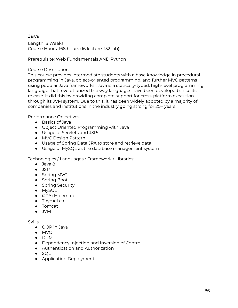### Java

Length: 8 Weeks Course Hours: 168 hours (16 lecture, 152 lab)

Prerequisite: Web Fundamentals AND Python

### Course Description:

This course provides intermediate students with a base knowledge in procedural programming in Java, object-oriented programming, and further MVC patterns using popular Java frameworks . Java is a statically-typed, high-level programming language that revolutionized the way languages have been developed since its release. It did this by providing complete support for cross-platform execution through its JVM system. Due to this, it has been widely adopted by a majority of companies and institutions in the industry going strong for 20+ years.

Performance Objectives:

- Basics of Java
- Object Oriented Programming with Java
- Usage of Servlets and JSPs
- MVC Design Pattern
- Usage of Spring Data JPA to store and retrieve data
- Usage of MySQL as the database management system

Technologies / Languages / Framework / Libraries:

- Java 8
- JSP
- Spring MVC
- Spring Boot
- Spring Security
- MySQL
- (JPA) Hibernate
- ThymeLeaf
- Tomcat
- JVM

- OOP in Java
- MVC
- ORM
- Dependency Injection and Inversion of Control
- Authentication and Authorization
- SQL
- Application Deployment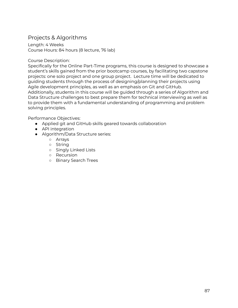## Projects & Algorithms

Length: 4 Weeks Course Hours: 84 hours (8 lecture, 76 lab)

#### Course Description:

Specifically for the Online Part-Time programs, this course is designed to showcase a student's skills gained from the prior bootcamp courses, by facilitating two capstone projects: one solo project and one group project. Lecture time will be dedicated to guiding students through the process of designing/planning their projects using Agile development principles, as well as an emphasis on Git and GitHub. Additionally, students in this course will be guided through a series of Algorithm and Data Structure challenges to best prepare them for technical interviewing as well as to provide them with a fundamental understanding of programming and problem solving principles.

Performance Objectives:

- Applied git and GitHub skills geared towards collaboration
- API integration
- Algorithm/Data Structure series:
	- Arrays
	- String
	- Singly Linked Lists
	- Recursion
	- Binary Search Trees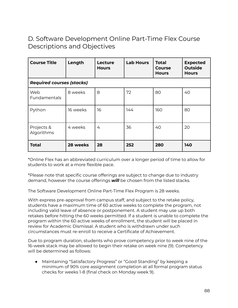# D. Software Development Online Part-Time Flex Course Descriptions and Objectives

| <b>Course Title</b>              | Length   | <b>Lecture</b><br><b>Hours</b> | <b>Lab Hours</b> | <b>Total</b><br><b>Course</b><br><b>Hours</b> | <b>Expected</b><br><b>Outside</b><br><b>Hours</b> |
|----------------------------------|----------|--------------------------------|------------------|-----------------------------------------------|---------------------------------------------------|
| <b>Required courses (stacks)</b> |          |                                |                  |                                               |                                                   |
| Web<br><b>Fundamentals</b>       | 8 weeks  | 8                              | 72               | 80                                            | 40                                                |
| Python                           | 16 weeks | 16                             | 144              | 160                                           | 80                                                |
| Projects &<br>Algorithms         | 4 weeks  | 4                              | 36               | 40                                            | 20                                                |
| Total                            | 28 weeks | 28                             | 252              | 280                                           | 140                                               |

\*Online Flex has an abbreviated curriculum over a longer period of time to allow for students to work at a more flexible pace.

\*Please note that specific course offerings are subject to change due to industry demand, however the course offerings *will* be chosen from the listed stacks.

The Software Development Online Part-Time Flex Program is 28 weeks.

With express pre-approval from campus staff, and subject to the retake policy, students have a maximum time of 60 active weeks to complete the program, not including valid leave of absence or postponement. A student may use up both retakes before hitting the 60 weeks permitted. If a student is unable to complete the program within the 60 active weeks of enrollment, the student will be placed in review for Academic Dismissal. A student who is withdrawn under such circumstances must re-enroll to receive a Certificate of Achievement.

Due to program duration, students who prove competency prior to week nine of the 16-week stack may be allowed to begin their retake on week nine (9). Competency will be determined as follows:

● Maintaining "Satisfactory Progress" or "Good Standing" by keeping a minimum of 90% core assignment completion at all formal program status checks for weeks 1-8 (final check on Monday week 9).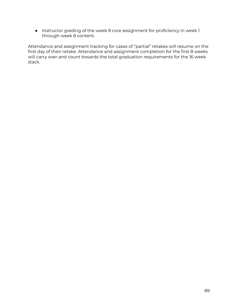● Instructor grading of the week 8 core assignment for proficiency in week 1 through week 8 content.

Attendance and assignment tracking for cases of "partial" retakes will resume on the first day of their retake. Attendance and assignment completion for the first 8 weeks will carry over and count towards the total graduation requirements for the 16 week stack.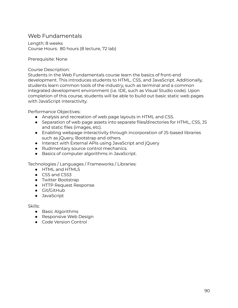## Web Fundamentals

Length: 8 weeks Course Hours: 80 hours (8 lecture, 72 lab)

Prerequisite: None

Course Description:

Students in the Web Fundamentals course learn the basics of front-end development. This introduces students to HTML, CSS, and JavaScript. Additionally, students learn common tools of the industry, such as terminal and a common integrated development environment (i.e. IDE, such as Visual Studio code). Upon completion of this course, students will be able to build out basic static web pages with JavaScript interactivity.

Performance Objectives:

- Analysis and recreation of web page layouts in HTML and CSS.
- Separation of web page assets into separate files/directories for HTML, CSS, JS and static files (images, etc).
- Enabling webpage interactivity through incorporation of JS-based libraries such as jQuery, Bootstrap and others.
- Interact with External APIs using JavaScript and jQuery
- Rudimentary source control mechanics.
- Basics of computer algorithms in JavaScript.

Technologies / Languages / Frameworks / Libraries:

- HTML and HTML5
- CSS and CSS3
- Twitter Bootstrap
- HTTP Request Response
- Git/GitHub
- JavaScript

- Basic Algorithms
- Responsive Web Design
- Code Version Control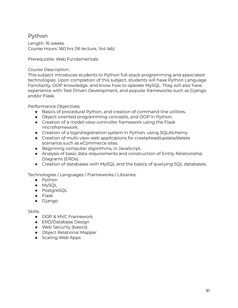## Python

Length: 16 weeks Course Hours: 160 hrs (16 lecture, 144 lab)

Prerequisite: Web Fundamentals

Course Description:

This subject introduces students to Python full-stack programming and associated technologies. Upon completion of this subject, students will have Python Language Familiarity, OOP knowledge, and know how to operate MySQL. They will also have experience with Test Driven Development, and popular frameworks such as Django and/or Flask.

Performance Objectives:

- Basics of procedural Python, and creation of command line utilities.
- Object-oriented programming concepts, and OOP in Python.
- Creation of a model-view-controller framework using the Flask microframework.
- Creation of a login/registration system in Python, using SQLAlchemy.
- Creation of multi-view web applications for create/read/update/delete scenarios such as eCommerce sites.
- Beginning computer algorithms, in JavaScript.
- Analysis of basic data requirements and construction of Entity Relationship Diagrams (ERDs).
- Creation of databases with MySQL and the basics of querying SQL databases.

Technologies / Languages / Frameworks / Libraries:

- Python
- MySQL
- PostgreSQL
- Flask
- Django

- OOP & MVC Framework
- ERD/Database Design
- Web Security (basics)
- Object Relational Mapper
- Scaling Web Apps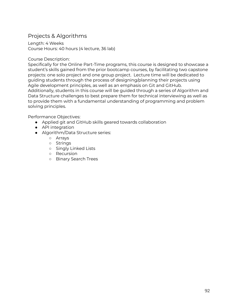# Projects & Algorithms

Length: 4 Weeks Course Hours: 40 hours (4 lecture, 36 lab)

#### Course Description:

Specifically for the Online Part-Time programs, this course is designed to showcase a student's skills gained from the prior bootcamp courses, by facilitating two capstone projects: one solo project and one group project. Lecture time will be dedicated to guiding students through the process of designing/planning their projects using Agile development principles, as well as an emphasis on Git and GitHub. Additionally, students in this course will be guided through a series of Algorithm and Data Structure challenges to best prepare them for technical interviewing as well as to provide them with a fundamental understanding of programming and problem solving principles.

Performance Objectives:

- Applied git and GitHub skills geared towards collaboration
- API integration
- Algorithm/Data Structure series:
	- Arrays
	- Strings
	- Singly Linked Lists
	- Recursion
	- Binary Search Trees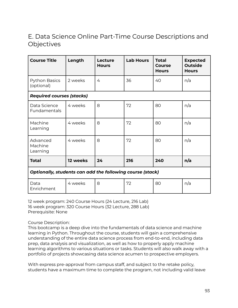# E. Data Science Online Part-Time Course Descriptions and **Objectives**

| <b>Course Title</b>                                              | Length   | Lecture<br><b>Hours</b> | <b>Lab Hours</b> | <b>Total</b><br><b>Course</b><br><b>Hours</b> | <b>Expected</b><br><b>Outside</b><br><b>Hours</b> |
|------------------------------------------------------------------|----------|-------------------------|------------------|-----------------------------------------------|---------------------------------------------------|
| Python Basics<br>(optional)                                      | 2 weeks  | 4                       | 36               | 40                                            | n/a                                               |
| <b>Required courses (stacks)</b>                                 |          |                         |                  |                                               |                                                   |
| Data Science<br>Fundamentals                                     | 4 weeks  | 8                       | 72               | 80                                            | n/a                                               |
| Machine<br>Learning                                              | 4 weeks  | 8                       | 72               | 80                                            | n/a                                               |
| Advanced<br>Machine<br>Learning                                  | 4 weeks  | 8                       | 72               | 80                                            | n/a                                               |
| <b>Total</b>                                                     | 12 weeks | 24                      | 216              | 240                                           | n/a                                               |
| <b>Optionally, students can add the following course (stack)</b> |          |                         |                  |                                               |                                                   |
| Data<br>Enrichment                                               | 4 weeks  | 8                       | 72               | 80                                            | n/a                                               |

12 week program: 240 Course Hours (24 Lecture, 216 Lab) 16 week program: 320 Course Hours (32 Lecture, 288 Lab) Prerequisite: None

### Course Description:

This bootcamp is a deep dive into the fundamentals of data science and machine learning in Python. Throughout the course, students will gain a comprehensive understanding of the entire data science process from end-to-end, including data prep, data analysis and visualization, as well as how to properly apply machine learning algorithms to various situations or tasks. Students will also walk away with a portfolio of projects showcasing data science acumen to prospective employers.

With express pre-approval from campus staff, and subject to the retake policy, students have a maximum time to complete the program, not including valid leave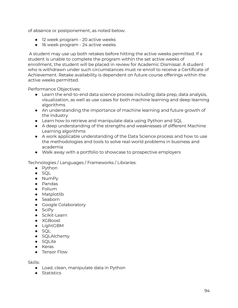of absence or postponement, as noted below.

- 12 week program 20 active weeks
- 16 week program 24 active weeks

A student may use up both retakes before hitting the active weeks permitted. If a student is unable to complete the program within the set active weeks of enrollment, the student will be placed in review for Academic Dismissal. A student who is withdrawn under such circumstances must re-enroll to receive a Certificate of Achievement. Retake availability is dependent on future course offerings within the active weeks permitted.

Performance Objectives:

- Learn the end-to-end data science process including data prep, data analysis, visualization, as well as use cases for both machine learning and deep learning algorithms
- An understanding the importance of machine learning and future growth of the industry
- Learn how to retrieve and manipulate data using Python and SQL
- A deep understanding of the strengths and weaknesses of different Machine Learning algorithms
- A work applicable understanding of the Data Science process and how to use the methodologies and tools to solve real-world problems in business and academia
- Walk away with a portfolio to showcase to prospective employers

Technologies / Languages / Frameworks / Libraries:

- Python
- SQL
- NumPy
- Pandas
- Folium
- Matplotlib
- Seaborn
- Google Colaboratory
- SciPy
- Scikit-Learn
- XGBoost
- LightGBM
- SQL
- SQLAlchemy
- SQLite
- Keras
- Tensor Flow

- Load, clean, manipulate data in Python
- Statistics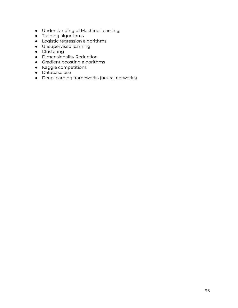- Understanding of Machine Learning
- Training algorithms
- Logistic regression algorithms
- Unsupervised learning
- Clustering
- Dimensionality Reduction
- Gradient boosting algorithms
- Kaggle competitions
- Database use
- Deep learning frameworks (neural networks)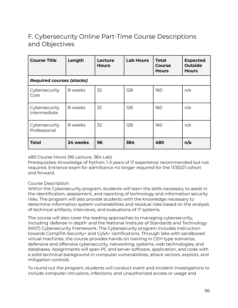# F. Cybersecurity Online Part-Time Course Descriptions and Objectives

| <b>Course Title</b>              | Length   | Lecture<br><b>Hours</b> | <b>Lab Hours</b> | Total<br>Course<br><b>Hours</b> | <b>Expected</b><br><b>Outside</b><br><b>Hours</b> |
|----------------------------------|----------|-------------------------|------------------|---------------------------------|---------------------------------------------------|
| <b>Required courses (stacks)</b> |          |                         |                  |                                 |                                                   |
| Cybersecurity<br>Core            | 8 weeks  | 32                      | 128              | 160                             | n/a                                               |
| Cybersecurity<br>Intermediate    | 8 weeks  | 32                      | 128              | 160                             | n/a                                               |
| Cybersecurity<br>Professional    | 8 weeks  | 32                      | 128              | 160                             | n/a                                               |
| Total                            | 24 weeks | 96                      | 384              | 480                             | n/a                                               |

### 480 Course Hours (96 Lecture, 384 Lab)

Prerequisites: Knowledge of Python; 1-3 years of IT experience recommended but not required. Entrance exam for admittance no longer required for the 11/30/21 cohort and forward.

### Course Description:

Within the Cybersecurity program, students will learn the skills necessary to assist in the identification, assessment, and reporting of technology and information security risks. The program will also provide students with the knowledge necessary to determine information system vulnerabilities and residual risks based on the analysis of technical artifacts, interviews, and evaluations of IT systems.

The course will also cover the leading approaches to managing cybersecurity, including 'defense in depth' and the National Institute of Standards and Technology (NIST) Cybersecurity Framework. The Cybersecurity program includes instruction towards CompTIA Security+ and CySA+ certifications. Through labs with sandboxed virtual machines, the course provides hands-on training in CEH type scenarios, defensive and offensive cybersecurity, networking, systems, web technologies, and databases. Assignments will span PC and server software, application, and code with a solid technical background in computer vulnerabilities, attack vectors, exploits, and mitigation controls.

To round out the program, students will conduct event and incident investigations to include computer intrusions, infections, and unauthorized access or usage and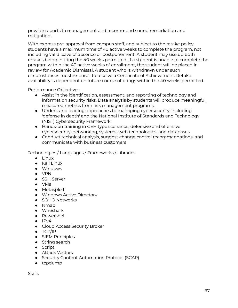provide reports to management and recommend sound remediation and mitigation.

With express pre-approval from campus staff, and subject to the retake policy, students have a maximum time of 40 active weeks to complete the program, not including valid leave of absence or postponement. A student may use up both retakes before hitting the 40 weeks permitted. If a student is unable to complete the program within the 40 active weeks of enrollment, the student will be placed in review for Academic Dismissal. A student who is withdrawn under such circumstances must re-enroll to receive a Certificate of Achievement. Retake availability is dependent on future course offerings within the 40 weeks permitted.

Performance Objectives:

- Assist in the identification, assessment, and reporting of technology and information security risks. Data analysis by students will produce meaningful, measured metrics from risk management programs.
- Understand leading approaches to managing cybersecurity, including 'defense in depth' and the National Institute of Standards and Technology (NIST) Cybersecurity Framework
- Hands-on training in CEH type scenarios, defensive and offensive cybersecurity, networking, systems, web technologies, and databases.
- Conduct technical analysis, suggest change control recommendations, and communicate with business customers

Technologies / Languages / Frameworks / Libraries:

- Linux
- Kali Linux
- Windows
- $\bullet$  VPN
- SSH Server
- VMs
- Metasploit
- Windows Active Directory
- SOHO Networks
- Nmap
- Wireshark
- Powershell
- $\bullet$  IPv4
- Cloud Access Security Broker
- TCP/IP
- SIEM Principles
- String search
- Script
- Attack Vectors
- Security Content Automation Protocol (SCAP)
- tcpdump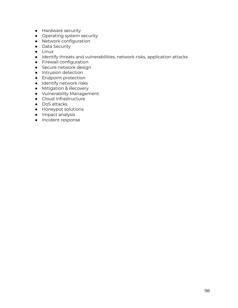- Hardware security
- Operating system security
- Network configuration
- Data Security
- Linux
- Identify threats and vulnerabilities, network risks, application attacks
- Firewall configuration
- Secure network design
- Intrusion detection
- Endpoint protection
- Identify network risks
- Mitigation & Recovery
- Vulnerability Management
- Cloud Infrastructure
- DoS attacks
- Honeypot solutions
- Impact analysis
- Incident response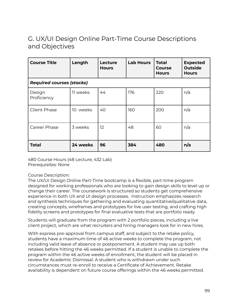# G. UX/UI Design Online Part-Time Course Descriptions and Objectives

| <b>Course Title</b>              | Length      | Lecture<br><b>Hours</b> | <b>Lab Hours</b> | <b>Total</b><br><b>Course</b><br><b>Hours</b> | <b>Expected</b><br><b>Outside</b><br><b>Hours</b> |
|----------------------------------|-------------|-------------------------|------------------|-----------------------------------------------|---------------------------------------------------|
| <b>Required courses (stacks)</b> |             |                         |                  |                                               |                                                   |
| Design<br>Proficiency            | 11 weeks    | 44                      | 176              | 220                                           | n/a                                               |
| Client Phase                     | weeks<br>10 | 40                      | 160              | 200                                           | n/a                                               |
| Career Phase                     | 3 weeks     | 12                      | 48               | 60                                            | n/a                                               |
| <b>Total</b>                     | 24 weeks    | 96                      | 384              | 480                                           | n/a                                               |

480 Course Hours (48 Lecture, 432 Lab) Prerequisites: None

### Course Description:

The UX/UI Design Online Part-Time bootcamp is a flexible, part-time program designed for working professionals who are looking to gain design skills to level up or change their career. The coursework is structured so students get comprehensive experience in both UX and UI design processes. Instruction emphasizes research and synthesis techniques for gathering and evaluating quantitative/qualitative data, creating concepts, wireframes and prototypes for live user testing, and crafting high fidelity screens and prototypes for final evaluative tests that are portfolio ready.

Students will graduate from the program with 2 portfolio pieces, including a live client project, which are what recruiters and hiring managers look for in new hires.

With express pre-approval from campus staff, and subject to the retake policy, students have a maximum time of 46 active weeks to complete the program, not including valid leave of absence or postponement. A student may use up both retakes before hitting the 46 weeks permitted. If a student is unable to complete the program within the 46 active weeks of enrollment, the student will be placed in review for Academic Dismissal. A student who is withdrawn under such circumstances must re-enroll to receive a Certificate of Achievement. Retake availability is dependent on future course offerings within the 46 weeks permitted.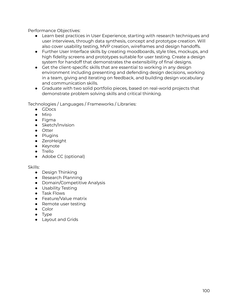Performance Objectives:

- Learn best practices in User Experience, starting with research techniques and user interviews, through data synthesis, concept and prototype creation. Will also cover usability testing, MVP creation, wireframes and design handoffs.
- Further User Interface skills by creating moodboards, style tiles, mockups, and high fidelity screens and prototypes suitable for user testing. Create a design system for handoff that demonstrates the extensibility of final designs.
- Get the client-specific skills that are essential to working in any design environment including presenting and defending design decisions, working in a team, giving and iterating on feedback, and building design vocabulary and communication skills.
- Graduate with two solid portfolio pieces, based on real-world projects that demonstrate problem solving skills and critical thinking.

Technologies / Languages / Frameworks / Libraries:

- GDocs
- Miro
- Figma
- Sketch/Invision
- Otter
- Plugins
- ZeroHeight
- Keynote
- Trello
- Adobe CC (optional)

- Design Thinking
- Research Planning
- Domain/Competitive Analysis
- Usability Testing
- Task Flows
- Feature/Value matrix
- Remote user testing
- Color
- Type
- Layout and Grids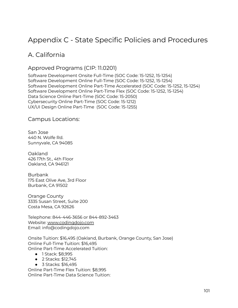# Appendix C - State Specific Policies and Procedures

# A. California

# Approved Programs (CIP: 11.0201)

Software Development Onsite Full-Time (SOC Code: 15-1252, 15-1254) Software Development Online Full-Time (SOC Code: 15-1252, 15-1254) Software Development Online Part-Time Accelerated (SOC Code: 15-1252, 15-1254) Software Development Online Part-Time Flex (SOC Code: 15-1252, 15-1254) Data Science Online Part-Time (SOC Code: 15-2050) Cybersecurity Online Part-Time (SOC Code: 15-1212) UX/UI Design Online Part-Time (SOC Code: 15-1255)

Campus Locations:

San Jose 440 N. Wolfe Rd. Sunnyvale, CA 94085

Oakland 426 17th St., 4th Floor Oakland, CA 946121

Burbank 175 East Olive Ave, 3rd Floor Burbank, CA 91502

Orange County 3335 Susan Street, Suite 200 Costa Mesa, CA 92626

Telephone: 844-446-3656 or 844-892-3463 Website: [www.codingdojo.com](http://www.codingdojo.com) Email: info@codingdojo.com

Onsite Tuition: \$16,495 (Oakland, Burbank, Orange County, San Jose) Online Full-Time Tuition: \$16,495 Online Part-Time Accelerated Tuition:

- 1 Stack: \$8,995
- 2 Stacks: \$12,745
- 3 Stacks: \$16,495 Online Part-Time Flex Tuition: \$8,995 Online Part-Time Data Science Tuition: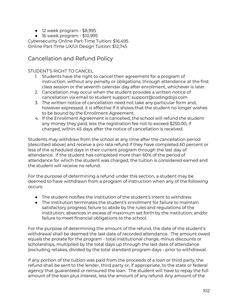- 12 week program \$8,995
- $\bullet$  16 week program \$10,995

Cybersecurity Online Part-Time Tuition: \$16,495 Online Part-Time UX/UI Design Tuition: \$12,745

## Cancellation and Refund Policy

### STUDENT'S RIGHT TO CANCEL

- 1. Students have the right to cancel their agreement for a program of instruction, without any penalty or obligations, through attendance at the first class session or the seventh calendar day after enrollment, whichever is later.
- 2. Cancellation may occur when the student provides a written notice of cancellation via email to student support: support@codingdojo.com
- 3. The written notice of cancellation need not take any particular form and, however expressed, it is effective if it shows that the student no longer wishes to be bound by the Enrollment Agreement.
- 4. If the Enrollment Agreement is cancelled, the school will refund the student any money they paid, less the registration fee not to exceed \$250.00, if charged, within 45 days after the notice of cancellation is received.

Students may withdraw from the school at any time after the cancellation period (described above) and receive a pro rata refund if they have completed 60 percent or less of the scheduled days in their current program through the last day of attendance. If the student has completed more than 60% of the period of attendance for which the student was charged, the tuition is considered earned and the student will receive no refund.

For the purpose of determining a refund under this section, a student may be deemed to have withdrawn from a program of instruction when any of the following occurs:

- The student notifies the institution of the student's intent to withdraw.
- The institution terminates the student's enrollment for failure to maintain satisfactory progress; failure to abide by the rules and regulations of the institution; absences in excess of maximum set forth by the institution; and/or failure to meet financial obligations to the school.

For the purpose of determining the amount of the refund, the date of the student's withdrawal shall be deemed the last date of recorded attendance. The amount owed equals the prorate for the program - total institutional charge, minus discounts or scholarships, multiplied by the total days up through the last date of attendance (excluding retakes, divided by the total standard program days - prior to withdrawal.

If any portion of the tuition was paid from the proceeds of a loan or third party, the refund shall be sent to the lender, third party or, if appropriate, to the state or federal agency that guaranteed or reinsured the loan. The student will have to repay the full amount of the loan plus interest, less the amount of any refund. Any amount of the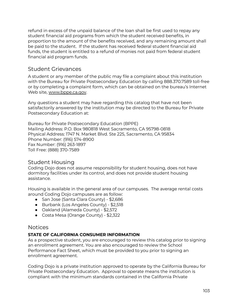refund in excess of the unpaid balance of the loan shall be first used to repay any student financial aid programs from which the student received benefits, in proportion to the amount of the benefits received, and any remaining amount shall be paid to the student. If the student has received federal student financial aid funds, the student is entitled to a refund of monies not paid from federal student financial aid program funds.

## Student Grievances

A student or any member of the public may file a complaint about this institution with the Bureau for Private Postsecondary Education by calling 888.370.7589 toll-free or by completing a complaint form, which can be obtained on the bureau's Internet Web site, [www.bppe.ca.gov](http://www.bppe.ca.gov).

Any questions a student may have regarding this catalog that have not been satisfactorily answered by the institution may be directed to the Bureau for Private Postsecondary Education at:

Bureau for Private Postsecondary Education (BPPE) Mailing Address: P.O. Box 980818 West Sacramento, CA 95798-0818 Physical Address: 1747 N. Market Blvd. Ste 225, Sacramento, CA 95834 Phone Number: (916) 574-8900 Fax Number: (916) 263-1897 Toll Free: (888) 370-7589

## Student Housing

Coding Dojo does not assume responsibility for student housing, does not have dormitory facilities under its control, and does not provide student housing assistance.

Housing is available in the general area of our campuses. The average rental costs around Coding Dojo campuses are as follow:

- San Jose (Santa Clara County) \$2,686
- Burbank (Los Angeles County) \$2,518
- Oakland (Alameda County) \$2,572
- Costa Mesa (Orange County) \$2,322

### Notices

### **STATE OF CALIFORNIA CONSUMER INFORMATION**

As a prospective student, you are encouraged to review this catalog prior to signing an enrollment agreement. You are also encouraged to review the School Performance Fact Sheet, which must be provided to you prior to signing an enrollment agreement.

Coding Dojo is a private institution approved to operate by the California Bureau for Private Postsecondary Education. Approval to operate means the institution is compliant with the minimum standards contained in the California Private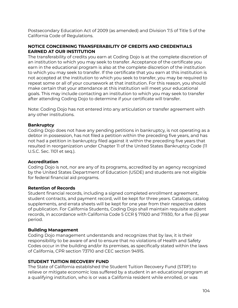Postsecondary Education Act of 2009 (as amended) and Division 7.5 of Title 5 of the California Code of Regulations.

### **NOTICE CONCERNING TRANSFERABILITY OF CREDITS AND CREDENTIALS EARNED AT OUR INSTITUTION**

The transferability of credits you earn at Coding Dojo is at the complete discretion of an institution to which you may seek to transfer. Acceptance of the certificate you earn in the educational program is also at the complete discretion of the institution to which you may seek to transfer. If the certificate that you earn at this institution is not accepted at the institution to which you seek to transfer, you may be required to repeat some or all of your coursework at that institution. For this reason, you should make certain that your attendance at this institution will meet your educational goals. This may include contacting an institution to which you may seek to transfer after attending Coding Dojo to determine if your certificate will transfer.

Note: Coding Dojo has not entered into any articulation or transfer agreement with any other institutions.

### **Bankruptcy**

Coding Dojo does not have any pending petitions in bankruptcy, is not operating as a debtor in possession, has not filed a petition within the preceding five years, and has not had a petition in bankruptcy filed against it within the preceding five years that resulted in reorganization under Chapter 11 of the United States Bankruptcy Code (11 U.S.C. Sec. 1101 et seq.).

#### **Accreditation**

Coding Dojo is not, nor are any of its programs, accredited by an agency recognized by the United States Department of Education (USDE) and students are not eligible for federal financial aid programs.

#### **Retention of Records**

Student financial records, including a signed completed enrollment agreement, student contracts, and payment record, will be kept for three years. Catalogs, catalog supplements, and errata sheets will be kept for one year from their respective dates of publication. For California Students, Coding Dojo shall maintain requisite student records, in accordance with California Code 5 CCR § 71920 and 71930, for a five (5) year period.

### **Building Management**

Coding Dojo management understands and recognizes that by law, it is their responsibility to be aware of and to ensure that no violations of Health and Safety Codes occur in the building and/or its premises, as specifically stated within the laws of California, CPR section 73710 and CEC section 94915.

### **STUDENT TUITION RECOVERY FUND**

The State of California established the Student Tuition Recovery Fund (STRF) to relieve or mitigate economic loss suffered by a student in an educational program at a qualifying institution, who is or was a California resident while enrolled, or was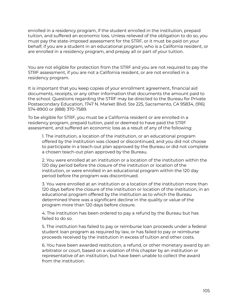enrolled in a residency program, if the student enrolled in the institution, prepaid tuition, and suffered an economic loss. Unless relieved of the obligation to do so, you must pay the state-imposed assessment for the STRF, or it must be paid on your behalf, if you are a student in an educational program, who is a California resident, or are enrolled in a residency program, and prepay all or part of your tuition.

You are not eligible for protection from the STRF and you are not required to pay the STRF assessment, if you are not a California resident, or are not enrolled in a residency program.

It is important that you keep copies of your enrollment agreement, financial aid documents, receipts, or any other information that documents the amount paid to the school. Questions regarding the STRF may be directed to the Bureau for Private Postsecondary Education, 1747 N. Market Blvd. Ste 225, Sacramento, CA 95834, (916) 574-8900 or (888) 370-7589.

To be eligible for STRF, you must be a California resident or are enrolled in a residency program, prepaid tuition, paid or deemed to have paid the STRF assessment, and suffered an economic loss as a result of any of the following:

1. The institution, a location of the institution, or an educational program offered by the institution was closed or discontinued, and you did not choose to participate in a teach-out plan approved by the Bureau or did not complete a chosen teach-out plan approved by the Bureau.

2. You were enrolled at an institution or a location of the institution within the 120 day period before the closure of the institution or location of the institution, or were enrolled in an educational program within the 120 day period before the program was discontinued.

3. You were enrolled at an institution or a location of the institution more than 120 days before the closure of the institution or location of the institution, in an educational program offered by the institution as to which the Bureau determined there was a significant decline in the quality or value of the program more than 120 days before closure.

4. The institution has been ordered to pay a refund by the Bureau but has failed to do so.

5. The institution has failed to pay or reimburse loan proceeds under a federal student loan program as required by law, or has failed to pay or reimburse proceeds received by the institution in excess of tuition and other costs.

6. You have been awarded restitution, a refund, or other monetary award by an arbitrator or court, based on a violation of this chapter by an institution or representative of an institution, but have been unable to collect the award from the institution.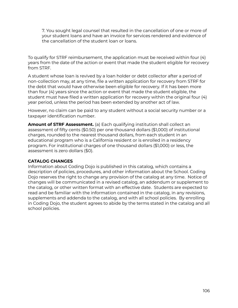7. You sought legal counsel that resulted in the cancellation of one or more of your student loans and have an invoice for services rendered and evidence of the cancellation of the student loan or loans.

To qualify for STRF reimbursement, the application must be received within four (4) years from the date of the action or event that made the student eligible for recovery from STRF.

A student whose loan is revived by a loan holder or debt collector after a period of non-collection may, at any time, file a written application for recovery from STRF for the debt that would have otherwise been eligible for recovery. If it has been more than four (4) years since the action or event that made the student eligible, the student must have filed a written application for recovery within the original four (4) year period, unless the period has been extended by another act of law.

However, no claim can be paid to any student without a social security number or a taxpayer identification number.

**Amount of STRF Assessment.** (a) Each qualifying institution shall collect an assessment of fifty cents (\$0.50) per one thousand dollars (\$1,000) of institutional charges, rounded to the nearest thousand dollars, from each student in an educational program who is a California resident or is enrolled in a residency program. For institutional charges of one thousand dollars (\$1,000) or less, the assessment is zero dollars (\$0).

### **CATALOG CHANGES**

Information about Coding Dojo is published in this catalog, which contains a description of policies, procedures, and other information about the School. Coding Dojo reserves the right to change any provision of the catalog at any time. Notice of changes will be communicated in a revised catalog, an addendum or supplement to the catalog, or other written format with an effective date. Students are expected to read and be familiar with the information contained in the catalog, in any revisions, supplements and addenda to the catalog, and with all school policies. By enrolling in Coding Dojo, the student agrees to abide by the terms stated in the catalog and all school policies.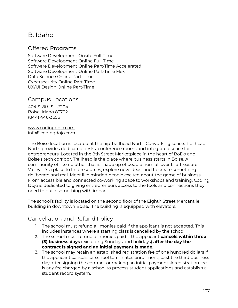# B. Idaho

### Offered Programs

Software Development Onsite Full-Time Software Development Online Full-Time Software Development Online Part-Time Accelerated Software Development Online Part-Time Flex Data Science Online Part-Time Cybersecurity Online Part-Time UX/UI Design Online Part-Time

### Campus Locations

404 S. 8th St. #204 Boise, Idaho 83702 (844) 446-3656

[www.codingdojo.com](http://www.codingdojo.com) [info@codingdojo.com](mailto:info@codingdojo.com)

The Boise location is located at the hip Trailhead North Co-working space. Trailhead North provides dedicated desks, conference rooms and integrated space for entrepreneurs. Located in the 8th Street Marketplace in the heart of BoDo and Boise's tech corridor. Trailhead is the place where business starts in Boise. A community of like no other that is made up of people from all over the Treasure Valley. It's a place to find resources, explore new ideas, and to create something deliberate and real. Meet like minded people excited about the game of business. From accessible and connected co-working space to workshops and training, Coding Dojo is dedicated to giving entrepreneurs access to the tools and connections they need to build something with impact.

The school's facility is located on the second floor of the Eighth Street Mercantile building in downtown Boise. The building is equipped with elevators.

## Cancellation and Refund Policy

- 1. The school must refund all monies paid if the applicant is not accepted. This includes instances where a starting class is cancelled by the school.
- 2. The school must refund all monies paid if the applicant **cancels within three (3) business days** (excluding Sundays and holidays) **after the day the contract is signed and an initial payment is made.**
- 3. The school may retain an established registration fee of one hundred dollars if the applicant cancels, or school terminates enrollment, past the third business day after signing the contract or making an initial payment. A registration fee is any fee charged by a school to process student applications and establish a student record system.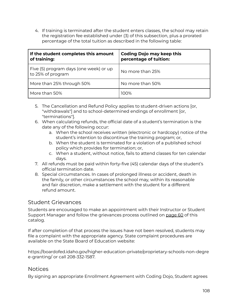4. If training is terminated after the student enters classes, the school may retain the registration fee established under (3) of this subsection, plus a prorated percentage of the total tuition as described in the following table:

| If the student completes this amount<br>of training:        | <b>Coding Dojo may keep this</b><br>percentage of tuition: |  |
|-------------------------------------------------------------|------------------------------------------------------------|--|
| Five (5) program days (one week) or up<br>to 25% of program | No more than 25%                                           |  |
| More than 25% through 50%                                   | No more than 50%                                           |  |
| More than 50%                                               | 100%                                                       |  |

- 5. The Cancellation and Refund Policy applies to student-driven actions [or, "withdrawals"] and to school-determined endings of enrollment [or, "terminations"].
- 6. When calculating refunds, the official date of a student's termination is the date any of the following occur:
	- a. When the school receives written (electronic or hardcopy) notice of the student's intention to discontinue the training program; or,
	- b. When the student is terminated for a violation of a published school policy which provides for termination; or,
	- c. When a student, without notice, fails to attend classes for ten calendar days.
- 7. All refunds must be paid within forty-five (45) calendar days of the student's official termination date.
- 8. Special circumstances. In cases of prolonged illness or accident, death in the family, or other circumstances the school may, within its reasonable and fair discretion, make a settlement with the student for a different refund amount.

## Student Grievances

Students are encouraged to make an appointment with their Instructor or Student Support Manager and follow the grievances process outlined on page 60 of this catalog.

If after completion of that process the issues have not been resolved, students may file a complaint with the appropriate agency. State complaint procedures are available on the State Board of Education website:

https://boardofed.idaho.gov/higher-education-private/proprietary-schools-non-degre e-granting/ or call 208-332-1587.

## Notices

By signing an appropriate Enrollment Agreement with Coding Dojo, Student agrees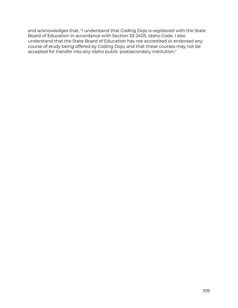and acknowledges that, "I understand that Coding Dojo is registered with the State Board of Education in accordance with Section 33-2403, Idaho Code. I also understand that the State Board of Education has not accredited or endorsed any course of study being offered by Coding Dojo, and that these courses may not be accepted for transfer into any Idaho public postsecondary institution."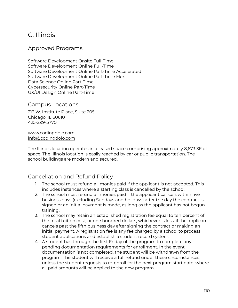# C. Illinois

# Approved Programs

Software Development Onsite Full-Time Software Development Online Full-Time Software Development Online Part-Time Accelerated Software Development Online Part-Time Flex Data Science Online Part-Time Cybersecurity Online Part-Time UX/UI Design Online Part-Time

# Campus Locations

213 W. Institute Place, Suite 205 Chicago, IL 60610 425-299-5770

[www.codingdojo.com](http://www.codingdojo.com) [info@codingdojo.com](mailto:info@codingdojo.com)

The Illinois location operates in a leased space comprising approximately 8,673 SF of space. The Illinois location is easily reached by car or public transportation. The school buildings are modern and secured.

# Cancellation and Refund Policy

- 1. The school must refund all monies paid if the applicant is not accepted. This includes instances where a starting class is cancelled by the school.
- 2. The school must refund all monies paid if the applicant cancels within five business days (excluding Sundays and holidays) after the day the contract is signed or an initial payment is made, as long as the applicant has not begun training.
- 3. The school may retain an established registration fee equal to ten percent of the total tuition cost, or one hundred dollars, whichever is less, if the applicant cancels past the fifth business day after signing the contract or making an initial payment. A registration fee is any fee charged by a school to process student applications and establish a student record system.
- 4. A student has through the first Friday of the program to complete any pending documentation requirements for enrollment. In the event documentation is not completed, the student will be withdrawn from the program. The student will receive a full refund under these circumstances, unless the student requests to re-enroll for the next program start date, where all paid amounts will be applied to the new program.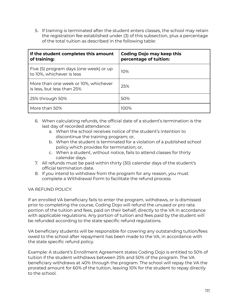5. If training is terminated after the student enters classes, the school may retain the registration fee established under (3) of this subsection, plus a percentage of the total tuition as described in the following table:

| If the student completes this amount<br>of training:                | <b>Coding Dojo may keep this</b><br>percentage of tuition: |
|---------------------------------------------------------------------|------------------------------------------------------------|
| Five (5) program days (one week) or up<br>to 10%, whichever is less | 10%                                                        |
| More than one week or 10%, whichever<br>is less, but less than 25%  | 25%                                                        |
| 25% through 50%                                                     | 50%                                                        |
| More than 50%                                                       | 100%                                                       |

- 6. When calculating refunds, the official date of a student's termination is the last day of recorded attendance:
	- a. When the school receives notice of the student's intention to discontinue the training program; or,
	- b. When the student is terminated for a violation of a published school policy which provides for termination; or,
	- c. When a student, without notice, fails to attend classes for thirty calendar days.
- 7. All refunds must be paid within thirty (30) calendar days of the student's official termination date.
- 8. If you intend to withdraw from the program for any reason, you must complete a Withdrawal Form to facilitate the refund process.

# VA REFUND POLICY:

If an enrolled VA beneficiary fails to enter the program, withdraws, or is dismissed prior to completing the course, Coding Dojo will refund the unused or pro rata portion of the tuition and fees, paid on their behalf, directly to the VA in accordance with applicable regulations. Any portion of tuition and fees paid by the student will be refunded according to the state specific refund regulations.

VA beneficiary students will be responsible for covering any outstanding tuition/fees owed to the school after repayment has been made to the VA, in accordance with the state specific refund policy.

Example: A student's Enrollment Agreement states Coding Dojo is entitled to 50% of tuition if the student withdraws between 25% and 50% of the program. The VA beneficiary withdraws at 40% through the program. The school will repay the VA the prorated amount for 60% of the tuition, leaving 10% for the student to repay directly to the school.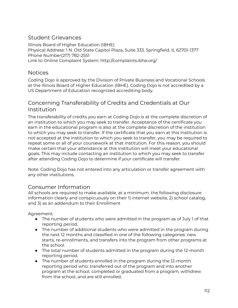# Student Grievances

Illinois Board of Higher Education (IBHE) Physical Address: 1 N. Old State Capitol Plaza, Suite 333, Springfield, IL 62701-1377 Phone Number(217) 782-2551 Link to Online Complaint System: http://complaints.ibhe.org/

# **Notices**

Coding Dojo is approved by the Division of Private Business and Vocational Schools at the Illinois Board of Higher Education (IBHE). Coding Dojo is not accredited by a US Department of Education recognized accrediting body.

# Concerning Transferability of Credits and Credentials at Our Institution

The transferability of credits you earn at Coding Dojo is at the complete discretion of an institution to which you may seek to transfer. Acceptance of the certificate you earn in the educational program is also at the complete discretion of the institution to which you may seek to transfer. If the certificate that you earn at this institution is not accepted at the institution to which you seek to transfer, you may be required to repeat some or all of your coursework at that institution. For this reason, you should make certain that your attendance at this institution will meet your educational goals. This may include contacting an institution to which you may seek to transfer after attending Coding Dojo to determine if your certificate will transfer.

Note: Coding Dojo has not entered into any articulation or transfer agreement with any other institutions.

# Consumer Information

All schools are required to make available, at a minimum, the following disclosure information clearly and conspicuously on their 1) internet website, 2) school catalog, and 3) as an addendum to their Enrollment

Agreement:

- $\bullet$  The number of students who were admitted in the program as of July 1 of that reporting period.
- The number of additional students who were admitted in the program during the next 12 months and classified in one of the following categories: new starts, re-enrollments, and transfers into the program from other programs at the school.
- The total number of students admitted in the program during the 12-month reporting period.
- The number of students enrolled in the program during the 12-month reporting period who: transferred out of the program and into another program at the school, completed or graduated from a program, withdrew from the school, and are still enrolled.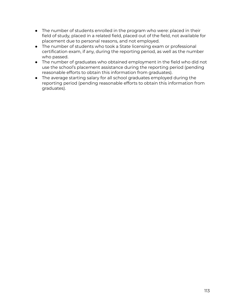- The number of students enrolled in the program who were: placed in their field of study, placed in a related field, placed out of the field, not available for placement due to personal reasons, and not employed.
- The number of students who took a State licensing exam or professional certification exam, if any, during the reporting period, as well as the number who passed.
- The number of graduates who obtained employment in the field who did not use the school's placement assistance during the reporting period (pending reasonable efforts to obtain this information from graduates).
- The average starting salary for all school graduates employed during the reporting period (pending reasonable efforts to obtain this information from graduates).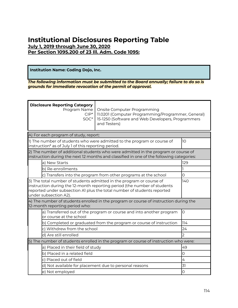# **Institutional Disclosures Reporting Table July 1, 2019 through June 30, 2020 Per Section 1095.200 of 23 Ill. Adm. Code 1095:**

**Institution Name: Coding Dojo, Inc.**

*The following information must be submitted to the Board annually; failure to do so is grounds for immediate revocation of the permit of approval.*

| <b>Disclosure Reporting Category</b><br>Program Name<br>Onsite Computer Programming<br>$CIP^*$<br>11.0201 (Computer Programming/Programmer, General)<br>15-1250 (Software and Web Developers, Programmers<br>SOC*<br>and Testers)                           |                                                                                                                                                                                |                |
|-------------------------------------------------------------------------------------------------------------------------------------------------------------------------------------------------------------------------------------------------------------|--------------------------------------------------------------------------------------------------------------------------------------------------------------------------------|----------------|
| A) For each program of study, report:                                                                                                                                                                                                                       |                                                                                                                                                                                |                |
| instruction* as of July 1 of this reporting period.                                                                                                                                                                                                         | 1) The number of students who were admitted to the program or course of                                                                                                        | 10             |
|                                                                                                                                                                                                                                                             | 2) The number of additional students who were admitted in the program or course of<br>instruction during the next 12 months and classified in one of the following categories: |                |
| a) New Starts                                                                                                                                                                                                                                               |                                                                                                                                                                                | 129            |
| b) Re-enrollments                                                                                                                                                                                                                                           |                                                                                                                                                                                |                |
| c) Transfers into the program from other programs at the school                                                                                                                                                                                             |                                                                                                                                                                                | $\overline{O}$ |
| 3) The total number of students admitted in the program or course of<br>140<br>instruction during the 12-month reporting period (the number of students<br>reported under subsection A1 plus the total number of students reported<br>under subsection A2). |                                                                                                                                                                                |                |
| 12-month reporting period who:                                                                                                                                                                                                                              | $\left  4\right\rangle$ The number of students enrolled in the program or course of instruction during the                                                                     |                |
| $\circ$<br>a) Transferred out of the program or course and into another program<br>or course at the school                                                                                                                                                  |                                                                                                                                                                                |                |
| b) Completed or graduated from the program or course of instruction                                                                                                                                                                                         |                                                                                                                                                                                | 114            |
| c) Withdrew from the school                                                                                                                                                                                                                                 |                                                                                                                                                                                | 24             |
| d) Are still enrolled                                                                                                                                                                                                                                       |                                                                                                                                                                                | フ              |
| [5] The number of students enrolled in the program or course of instruction who were:                                                                                                                                                                       |                                                                                                                                                                                |                |
| a) Placed in their field of study                                                                                                                                                                                                                           |                                                                                                                                                                                | 49             |
| b) Placed in a related field                                                                                                                                                                                                                                |                                                                                                                                                                                | 0              |
| c) Placed out of field                                                                                                                                                                                                                                      |                                                                                                                                                                                | 4              |
| d) Not available for placement due to personal reasons                                                                                                                                                                                                      |                                                                                                                                                                                | 31             |
| 0<br>e) Not employed                                                                                                                                                                                                                                        |                                                                                                                                                                                |                |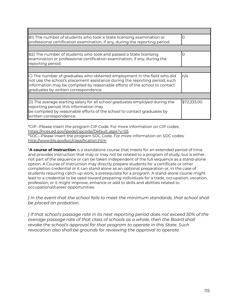| BI) The number of students who took a State licensing examination or<br>professional certification examination, if any, during the reporting period.                                                                                                                         |             |
|------------------------------------------------------------------------------------------------------------------------------------------------------------------------------------------------------------------------------------------------------------------------------|-------------|
|                                                                                                                                                                                                                                                                              |             |
| B2) The number of students who took and passed a State licensing<br>examination or professional certification examination, if any, during the<br>reporting period.                                                                                                           | ( )         |
|                                                                                                                                                                                                                                                                              |             |
| C) The number of graduates who obtained employment in the field who did<br>not use the school's placement assistance during the reporting period; such<br>information may be compiled by reasonable efforts of the school to contact<br>graduates by written correspondence. | n/a         |
|                                                                                                                                                                                                                                                                              |             |
| D) The average starting salary for all school graduates employed during the<br>reporting period; this information may<br>be compiled by reasonable efforts of the school to contact graduates by<br>written correspondence.                                                  | \$72,333.00 |

\*CIP--Please insert the program CIP Code. For more information on CIP codes: <https://nces.ed.gov/ipeds/cipcode/Default.aspx?y=55> \*SOC--Please insert the program SOC Code. For more information on SOC codes: <http://www.bls.gov/soc/classification.htm>

\***A course of instruction** is a standalone course that meets for an extended period of time and provides instruction that may or may not be related to a program of study, but is either not part of the sequence or can be taken independent of the full sequence as a stand-alone option. A Course of Instruction may directly prepare students for a certificate or other completion credential or it can stand alone as an optional preparation or, in the case of students requiring catch-up work, a prerequisite for a program. A stand-alone course might lead to a credential to be used toward preparing individuals for a trade, occupation, vocation, profession; or it might improve, enhance or add to skills and abilities related to occupational/career opportunities.

*} In the event that the school fails to meet the minimum standards, that school shall be placed on probation.*

*} If that school's passage rate in its next reporting period does not exceed 50% of the average passage rate of that class of schools as a whole, then the Board shall revoke the school's approval for that program to operate in this State. Such revocation also shall be grounds for reviewing the approval to operate.*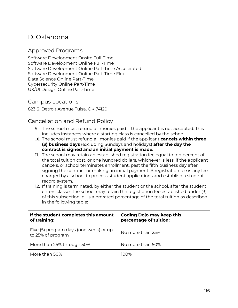# D. Oklahoma

# Approved Programs

Software Development Onsite Full-Time Software Development Online Full-Time Software Development Online Part-Time Accelerated Software Development Online Part-Time Flex Data Science Online Part-Time Cybersecurity Online Part-Time UX/UI Design Online Part-Time

# Campus Locations

823 S. Detroit Avenue Tulsa, OK 74120

# Cancellation and Refund Policy

- 9. The school must refund all monies paid if the applicant is not accepted. This includes instances where a starting class is cancelled by the school.
- 10. The school must refund all monies paid if the applicant **cancels within three (3) business days** (excluding Sundays and holidays) **after the day the contract is signed and an initial payment is made.**
- 11. The school may retain an established registration fee equal to ten percent of the total tuition cost, or one hundred dollars, whichever is less, if the applicant cancels, or school terminates enrollment, past the fifth business day after signing the contract or making an initial payment. A registration fee is any fee charged by a school to process student applications and establish a student record system.
- 12. If training is terminated, by either the student or the school, after the student enters classes the school may retain the registration fee established under (3) of this subsection, plus a prorated percentage of the total tuition as described in the following table:

| If the student completes this amount<br>of training:        | <b>Coding Dojo may keep this</b><br>percentage of tuition: |  |
|-------------------------------------------------------------|------------------------------------------------------------|--|
| Five (5) program days (one week) or up<br>to 25% of program | No more than 25%                                           |  |
| More than 25% through 50%                                   | No more than 50%                                           |  |
| More than 50%                                               | 100%                                                       |  |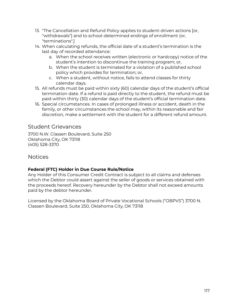- 13. "The Cancellation and Refund Policy applies to student-driven actions [or, "withdrawals"] and to school-determined endings of enrollment (or, "terminations".]
- 14. When calculating refunds, the official date of a student's termination is the last day of recorded attendance:
	- a. When the school receives written (electronic or hardcopy) notice of the student's intention to discontinue the training program; or,
	- b. When the student is terminated for a violation of a published school policy which provides for termination; or,
	- c. When a student, without notice, fails to attend classes for thirty calendar days.
- 15. All refunds must be paid within sixty (60) calendar days of the student's official termination date. If a refund is paid directly to the student, the refund must be paid within thirty (30) calendar days of the student's official termination date.
- 16. Special circumstances. In cases of prolonged illness or accident, death in the family, or other circumstances the school may, within its reasonable and fair discretion, make a settlement with the student for a different refund amount.

# Student Grievances

3700 N.W. Classen Boulevard, Suite 250 Oklahoma City, OK 73118 (405) 528-3370

# Notices

# **Federal (FTC) Holder in Due Course Rule/Notice**

Any Holder of this Consumer Credit Contract is subject to all claims and defenses which the Debtor could assert against the seller of goods or services obtained with the proceeds hereof. Recovery hereunder by the Debtor shall not exceed amounts paid by the debtor hereunder.

Licensed by the Oklahoma Board of Private Vocational Schools ("OBPVS") 3700 N. Classen Boulevard, Suite 250, Oklahoma City, OK 73118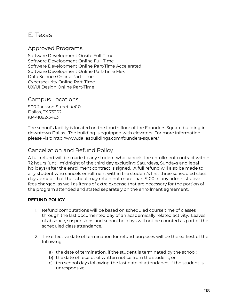# E. Texas

# Approved Programs

Software Development Onsite Full-Time Software Development Online Full-Time Software Development Online Part-Time Accelerated Software Development Online Part-Time Flex Data Science Online Part-Time Cybersecurity Online Part-Time UX/UI Design Online Part-Time

# Campus Locations

900 Jackson Street, #410 Dallas, TX 75202 (844)892-3463

The school's facility is located on the fourth floor of the Founders Square building in downtown Dallas. The building is equipped with elevators. For more information please visit: http://www.dallasbuildings.com/founders-square/

# Cancellation and Refund Policy

A full refund will be made to any student who cancels the enrollment contract within 72 hours (until midnight of the third day excluding Saturdays, Sundays and legal holidays) after the enrollment contract is signed. A full refund will also be made to any student who cancels enrollment within the student's first three scheduled class days, except that the school may retain not more than \$100 in any administrative fees charged, as well as items of extra expense that are necessary for the portion of the program attended and stated separately on the enrollment agreement.

# **REFUND POLICY**

- 1. Refund computations will be based on scheduled course time of classes through the last documented day of an academically related activity. Leaves of absence, suspensions and school holidays will not be counted as part of the scheduled class attendance.
- 2. The effective date of termination for refund purposes will be the earliest of the following:
	- a) the date of termination, if the student is terminated by the school;
	- b) the date of receipt of written notice from the student; or
	- c) ten school days following the last date of attendance, if the student is unresponsive.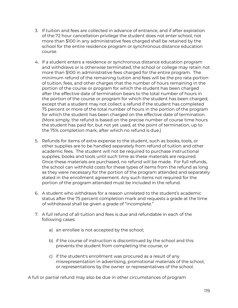- 3. If tuition and fees are collected in advance of entrance, and if after expiration of the 72 hour cancellation privilege the student does not enter school, not more than \$100 in any administrative fees charged shall be retained by the school for the entire residence program or synchronous distance education course*.*
- 4. If a student enters a residence or synchronous distance education program and withdraws or is otherwise terminated, the school or college may retain not more than \$100 in administrative fees charged for the entire program. The minimum refund of the remaining tuition and fees will be the pro rata portion of tuition, fees, and other charges that the number of hours remaining in the portion of the course or program for which the student has been charged after the effective date of termination bears to the total number of hours in the portion of the course or program for which the student has been charged, except that a student may not collect a refund if the student has completed 75 percent or more of the total number of hours in the portion of the program for which the student has been charged on the effective date of termination. (More simply, the refund is based on the precise number of course time hours the student has paid for, but not yet used, at the point of termination, up to the 75% completion mark, after which no refund is due.)
- 5. Refunds for items of extra expense to the student, such as books, tools, or other supplies are to be handled separately from refund of tuition and other academic fees. The student will not be required to purchase instructional supplies, books and tools until such time as these materials are required. Once these materials are purchased, no refund will be made. For full refunds, the school can withhold costs for these types of items from the refund as long as they were necessary for the portion of the program attended and separately stated in the enrollment agreement. Any such items not required for the portion of the program attended must be included in the refund.
- 6. A student who withdraws for a reason unrelated to the student's academic status after the 75 percent completion mark and requests a grade at the time of withdrawal shall be given a grade of "incomplete."
- 7. A full refund of all tuition and fees is due and refundable in each of the following cases:
	- a) an enrollee is not accepted by the school;
	- b) if the course of instruction is discontinued by the school and this prevents the student from completing the course; or
	- c) if the student's enrollment was procured as a result of any misrepresentation in advertising, promotional materials of the school, or representations by the owner or representatives of the school.

A full or partial refund may also be due in other circumstances of program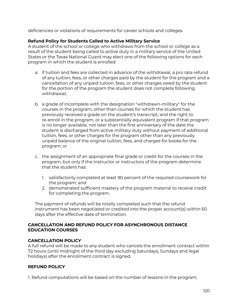deficiencies or violations of requirements for career schools and colleges.

#### **Refund Policy for Students Called to Active Military Service**

A student of the school or college who withdraws from the school or college as a result of the student being called to active duty in a military service of the United States or the Texas National Guard may elect one of the following options for each program in which the student is enrolled:

- a. if tuition and fees are collected in advance of the withdrawal, a pro rata refund of any tuition, fees, or other charges paid by the student for the program and a cancellation of any unpaid tuition, fees, or other charges owed by the student for the portion of the program the student does not complete following withdrawal;
- b. a grade of incomplete with the designation "withdrawn-military" for the courses in the program, other than courses for which the student has previously received a grade on the student's transcript, and the right to re-enroll in the program, or a substantially equivalent program if that program is no longer available, not later than the first anniversary of the date the student is discharged from active military duty without payment of additional tuition, fees, or other charges for the program other than any previously unpaid balance of the original tuition, fees, and charges for books for the program; or
- c. the assignment of an appropriate final grade or credit for the courses in the program, but only if the instructor or instructors of the program determine that the student has:
	- 1. satisfactorily completed at least 90 percent of the required coursework for the program; and
	- 2. demonstrated sufficient mastery of the program material to receive credit for completing the program.

The payment of refunds will be totally completed such that the refund instrument has been negotiated or credited into the proper account(s) within 60 days after the effective date of termination.

#### **CANCELLATION AND REFUND POLICY FOR ASYNCHRONOUS DISTANCE EDUCATION COURSES**

## **CANCELLATION POLICY**

A full refund will be made to any student who cancels the enrollment contract within 72 hours (until midnight of the third day excluding Saturdays, Sundays and legal holidays) after the enrollment contract is signed.

## **REFUND POLICY**

1. Refund computations will be based on the number of lessons in the program.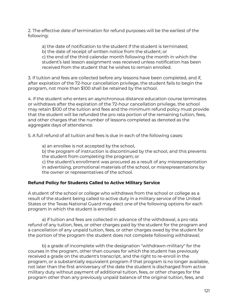2. The effective date of termination for refund purposes will be the earliest of the following:

a) the date of notification to the student if the student is terminated; b) the date of receipt of written notice from the student; or c) the end of the third calendar month following the month in which the student's last lesson assignment was received unless notification has been received from the student that he wishes to remain enrolled.

3. If tuition and fees are collected before any lessons have been completed, and if, after expiration of the 72-hour cancellation privilege, the student fails to begin the program, not more than \$100 shall be retained by the school.

4. If the student who enters an asynchronous distance education course terminates or withdraws after the expiration of the 72-hour cancellation privilege, the school may retain \$100 of the tuition and fees and the minimum refund policy must provide that the student will be refunded the pro rata portion of the remaining tuition, fees, and other charges that the number of lessons completed as denoted as the aggregate days of attendance.

5. A full refund of all tuition and fees is due in each of the following cases:

a) an enrollee is not accepted by the school,

b) the program of instruction is discontinued by the school, and this prevents the student from completing the program; or

c) the student's enrollment was procured as a result of any misrepresentation in advertising, promotional materials of the school, or misrepresentations by the owner or representatives of the school.

# **Refund Policy for Students Called to Active Military Service**

A student of the school or college who withdraws from the school or college as a result of the student being called to active duty in a military service of the United States or the Texas National Guard may elect one of the following options for each program in which the student is enrolled:

a) if tuition and fees are collected in advance of the withdrawal, a pro rata refund of any tuition, fees, or other charges paid by the student for the program and a cancellation of any unpaid tuition, fees, or other charges owed by the student for the portion of the program the student does not complete following withdrawal;

b) a grade of incomplete with the designation "withdrawn-military" for the courses in the program, other than courses for which the student has previously received a grade on the student's transcript, and the right to re-enroll in the program, or a substantially equivalent program if that program is no longer available, not later than the first anniversary of the date the student is discharged from active military duty without payment of additional tuition, fees, or other charges for the program other than any previously unpaid balance of the original tuition, fees, and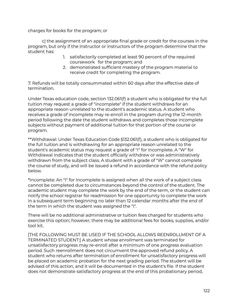charges for books for the program; or

c) the assignment of an appropriate final grade or credit for the courses in the program, but only if the instructor or instructors of the program determine that the student has:

- 1. satisfactorily completed at least 90 percent of the required coursework for the program; and
- 2. demonstrated sufficient mastery of the program material to receive credit for completing the program.

7. Refunds will be totally consummated within 60 days after the effective date of termination.

Under Texas education code, section 132.061(f) a student who is obligated for the full tuition may request a grade of "incomplete" if the student withdraws for an appropriate reason unrelated to the student's academic status. A student who receives a grade of incomplete may re-enroll in the program during the 12-month period following the date the student withdraws and completes those incomplete subjects without payment of additional tuition for that portion of the course or program.

\*\*Withdrawal: Under Texas Education Code §132.061(f), a student who is obligated for the full tuition and is withdrawing for an appropriate reason unrelated to the student's academic status may request a grade of "I" for incomplete. A "W" for Withdrawal indicates that the student officially withdrew or was administratively withdrawn from the subject class. A student with a grade of "W" cannot complete the course of study, and will be issued a refund in accordance with the refund policy below.

\*Incomplete: An "I" for Incomplete is assigned when all the work of a subject class cannot be completed due to circumstances beyond the control of the student. The academic student may complete the work by the end of the term, or the student can notify the school registrar for readmission for one opportunity to complete the work in a subsequent term beginning no later than 12 calendar months after the end of the term in which the student was assigned the "I".

There will be no additional administrative or tuition fees charged for students who exercise this option; however, there may be additional fees for books, supplies, and/or tool kit.

[THE FOLLOWING MUST BE USED IF THE SCHOOL ALLOWS REENROLLMENT OF A TERMINATED STUDENT:] A student whose enrollment was terminated for unsatisfactory progress may re-enroll after a minimum of one progress evaluation period. Such reenrollment does not circumvent the approved refund policy. A student who returns after termination of enrollment for unsatisfactory progress will be placed on academic probation for the next grading period. The student will be advised of this action, and it will be documented in the student's file. If the student does not demonstrate satisfactory progress at the end of this probationary period,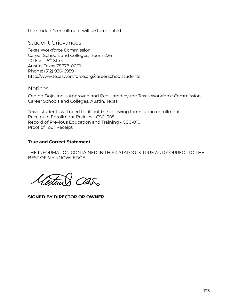the student's enrollment will be terminated.

# Student Grievances

Texas Workforce Commission Career Schools and Colleges, Room 226T 101 East 15<sup>th</sup> Street Austin, Texas 78778-0001 Phone: (512) 936-6959 http://www.texasworkforce.org/careerschoolstudents

# **Notices**

Coding Dojo, Inc is Approved and Regulated by the Texas Workforce Commission, Career Schools and Colleges, Austin, Texas

Texas students will need to fill out the following forms upon enrollment: Receipt of Enrollment Policies - CSC-005 Record of Previous Education and Training - CSC-010 Proof of Tour Receipt

# **True and Correct Statement**

THE INFORMATION CONTAINED IN THIS CATALOG IS TRUE AND CORRECT TO THE BEST OF MY KNOWLEDGE.

 $C25$ 

\_\_\_\_\_\_\_\_\_\_\_\_\_\_\_\_\_\_\_\_\_\_\_\_\_\_\_\_\_\_\_\_\_\_\_ **SIGNED BY DIRECTOR OR OWNER**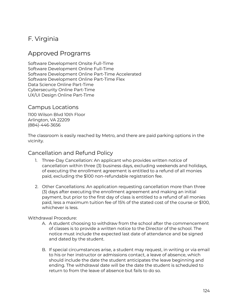# F. Virginia

# Approved Programs

Software Development Onsite Full-Time Software Development Online Full-Time Software Development Online Part-Time Accelerated Software Development Online Part-Time Flex Data Science Online Part-Time Cybersecurity Online Part-Time UX/UI Design Online Part-Time

# Campus Locations

1100 Wilson Blvd 10th Floor Arlington, VA 22209 (884)-446-3656

The classroom is easily reached by Metro, and there are paid parking options in the vicinity.

# Cancellation and Refund Policy

- 1. Three-Day Cancellation: An applicant who provides written notice of cancellation within three (3) business days, excluding weekends and holidays, of executing the enrollment agreement is entitled to a refund of all monies paid, excluding the \$100 non-refundable registration fee.
- 2. Other Cancellations: An application requesting cancellation more than three (3) days after executing the enrollment agreement and making an initial payment, but prior to the first day of class is entitled to a refund of all monies paid, less a maximum tuition fee of 15% of the stated cost of the course or \$100, whichever is less.

## Withdrawal Procedure:

- A. A student choosing to withdraw from the school after the commencement of classes is to provide a written notice to the Director of the school. The notice must include the expected last date of attendance and be signed and dated by the student.
- B. If special circumstances arise, a student may request, in writing or via email to his or her instructor or admissions contact, a leave of absence, which should include the date the student anticipates the leave beginning and ending. The withdrawal date will be the date the student is scheduled to return to from the leave of absence but fails to do so.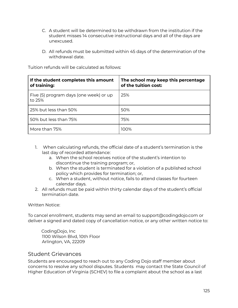- C. A student will be determined to be withdrawn from the institution if the student misses 14 consecutive instructional days and all of the days are unexcused.
- D. All refunds must be submitted within 45 days of the determination of the withdrawal date.

| If the student completes this amount<br>of training: | The school may keep this percentage<br>of the tuition cost: |
|------------------------------------------------------|-------------------------------------------------------------|
| Five (5) program days (one week) or up<br>to 25%     | 25%                                                         |
| 25% but less than 50%                                | 50%                                                         |
| 50% but less than 75%                                | 75%                                                         |
| More than 75%                                        | 100%                                                        |

Tuition refunds will be calculated as follows:

- 1. When calculating refunds, the official date of a student's termination is the last day of recorded attendance:
	- a. When the school receives notice of the student's intention to discontinue the training program; or,
	- b. When the student is terminated for a violation of a published school policy which provides for termination; or,
	- c. When a student, without notice, fails to attend classes for fourteen calendar days.
- 2. All refunds must be paid within thirty calendar days of the student's official termination date.

Written Notice:

To cancel enrollment, students may send an email to support@codingdojo.com or deliver a signed and dated copy of cancellation notice, or any other written notice to:

CodingDojo, Inc 1100 Wilson Blvd, 10th Floor Arlington, VA, 22209

# Student Grievances

Students are encouraged to reach out to any Coding Dojo staff member about concerns to resolve any school disputes. Students may contact the State Council of Higher Education of Virginia (SCHEV) to file a complaint about the school as a last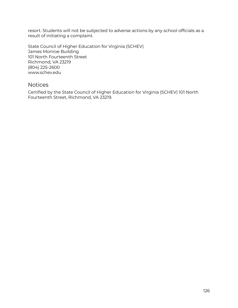resort. Students will not be subjected to adverse actions by any school officials as a result of initiating a complaint.

State Council of Higher Education for Virginia (SCHEV) James Monroe Building 101 North Fourteenth Street Richmond, VA 23219 (804) 225-2600 www.schev.edu

# Notices

Certified by the State Council of Higher Education for Virginia (SCHEV) 101 North Fourteenth Street, Richmond, VA 23219.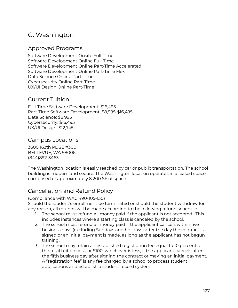# G. Washington

# Approved Programs

Software Development Onsite Full-Time Software Development Online Full-Time Software Development Online Part-Time Accelerated Software Development Online Part-Time Flex Data Science Online Part-Time Cybersecurity Online Part-Time UX/UI Design Online Part-Time

# Current Tuition

Full-Time Software Development: \$16,495 Part-Time Software Development: \$8,995-\$16,495 Data Science: \$8,995 Cybersecurity: \$16,495 UX/UI Design: \$12,745

# Campus Locations

3600 163th PL SE #300 BELLEVUE, WA 98006 (844)892-3463

The Washington location is easily reached by car or public transportation. The school building is modern and secure. The Washington location operates in a leased space comprised of approximately 8,200 SF of space

# Cancellation and Refund Policy

## (Compliance with WAC 490-105-130)

Should the student's enrollment be terminated or should the student withdraw for any reason, all refunds will be made according to the following refund schedule.

- 1. The school must refund all money paid if the applicant is not accepted. This includes instances where a starting class is canceled by the school.
- 2. The school must refund all money paid if the applicant cancels within five business days (excluding Sundays and holidays) after the day the contract is signed or an initial payment is made, as long as the applicant has not begun training.
- 3. The school may retain an established registration fee equal to 10 percent of the total tuition cost, or \$100, whichever is less, if the applicant cancels after the fifth business day after signing the contract or making an initial payment. A "registration fee" is any fee charged by a school to process student applications and establish a student record system.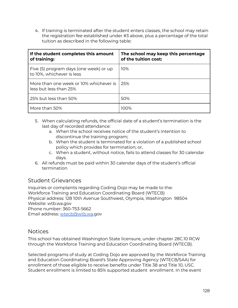4. If training is terminated after the student enters classes, the school may retain the registration fee established under #3 above, plus a percentage of the total tuition as described in the following table:

| If the student completes this amount<br>of training:                | The school may keep this percentage<br>of the tuition cost: |
|---------------------------------------------------------------------|-------------------------------------------------------------|
| Five (5) program days (one week) or up<br>to 10%, whichever is less | 10%                                                         |
| More than one week or 10% whichever is<br>less but less than 25%    | 25%                                                         |
| 25% but less than 50%                                               | 50%                                                         |
| More than 50%                                                       | 100%                                                        |

- 5. When calculating refunds, the official date of a student's termination is the last day of recorded attendance:
	- a. When the school receives notice of the student's intention to discontinue the training program;
	- b. When the student is terminated for a violation of a published school policy which provides for termination; or,
	- c. When a student, without notice, fails to attend classes for 30 calendar days.
- 6. All refunds must be paid within 30 calendar days of the student's official termination

# Student Grievances

Inquiries or complaints regarding Coding Dojo may be made to the: Workforce Training and Education Coordinating Board (WTECB) Physical address: 128 10th Avenue Southwest, Olympia, Washington 98504 Website: wtb.wa.gov Phone number: 360-753-5662 Email address: [wtecb@wtb.wa.](mailto:wtecb@wtb.wa)gov

# **Notices**

This school has obtained Washington State licensure, under chapter 28C.10 RCW through the Workforce Training and Education Coordinating Board (WTECB).

Selected programs of study at Coding Dojo are approved by the Workforce Training and Education Coordinating Board's State Approving Agency (WTECB/SAA) for enrollment of those eligible to receive benefits under Title 38 and Title 10, USC. Student enrollment is limited to 85% supported student enrollment. In the event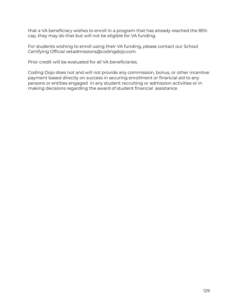that a VA beneficiary wishes to enroll in a program that has already reached the 85% cap, they may do that but will not be eligible for VA funding.

For students wishing to enroll using their VA funding, please contact our School Certifying Official vetadmissions@codingdojo.com.

Prior credit will be evaluated for all VA beneficiaries.

Coding Dojo does not and will not provide any commission, bonus, or other incentive payment based directly on success in securing enrollment or financial aid to any persons or entities engaged in any student recruiting or admission activities or in making decisions regarding the award of student financial assistance.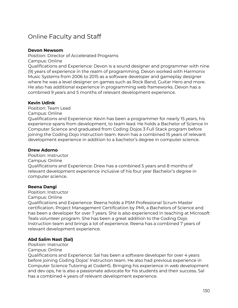# Online Faculty and Staff

#### **Devon Newsom**

Position: Director of Accelerated Programs Campus: Online

Qualifications and Experience: Devon is a sound designer and programmer with nine (9) years of experience in the realm of programming. Devon worked with Harmonix Music Systems from 2006 to 2015 as a software developer and gameplay designer where he was a level designer on games such as Rock Band, Guitar Hero and more. He also has additional experience in programming web frameworks. Devon has a combined 9 years and 5 months of relevant development experience.

#### **Kevin Udink**

Position: Team Lead Campus: Online

Qualifications and Experience: Kevin has been a programmer for nearly 15 years, his experience spans from development, to team lead. He holds a Bachelor of Science in Computer Science and graduated from Coding Dojos 3 Full Stack program before joining the Coding Dojo instruction team. Kevin has a combined 15 years of relevant development experience in addition to a bachelor's degree in computer science.

## **Drew Adorno**

Position: Instructor Campus: Online Qualifications and Experience: Drew has a combined 5 years and 8 months of relevant development experience inclusive of his four year Bachelor's degree in computer science.

## **Reena Dangi**

Position: Instructor

Campus: Online

Qualifications and Experience: Reena holds a PSM Professional Scrum Master certification, Project Management Certification by PMI, a Bachelors of Science and has been a developer for over 7 years. She is also experienced in teaching at Microsoft Teals volunteer program. She has been a great addition to the Coding Dojo Instruction team and brings a lot of experience. Reena has a combined 7 years of relevant development experience.

## **Abd Salim Nast (Sal)**

Position: Instructor

#### Campus: Online

Qualifications and Experience: Sal has been a software developer for over 4 years before joining Coding Dojos' Instruction team. He also had previous experience in Computer Science Tutoring at CodeHS. Bringing his experience in web development and dev ops, he is also a passionate advocate for his students and their success. Sal has a combined 4 years of relevant development experience.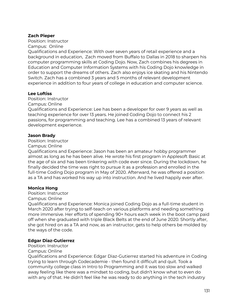#### **Zach Pieper**

Position: Instructor

Campus: Online

Qualifications and Experience: With over seven years of retail experience and a background in education, Zach moved from Buffalo to Dallas in 2018 to sharpen his computer programming skills at Coding Dojo. Now, Zach combines his degrees in Education and Computer Information Systems with his Coding Dojo knowledge in order to support the dreams of others. Zach also enjoys ice skating and his Nintendo Switch. Zach has a combined 3 years and 5 months of relevant development experience in addition to four years of college in education and computer science.

#### **Lee Loftiss**

Position: Instructor

Campus: Online

Qualifications and Experience: Lee has been a developer for over 9 years as well as teaching experience for over 13 years. He joined Coding Dojo to connect his 2 passions, for programming and teaching. Lee has a combined 13 years of relevant development experience.

#### **Jason Brady**

Position: Instructor

Campus: Online

Qualifications and Experience: Jason has been an amateur hobby programmer almost as long as he has been alive. He wrote his first program in Applesoft Basic at the age of six and has been tinkering with code ever since. During the lockdown, he finally decided the time was right to pursue it as a profession and enrolled in the full-time Coding Dojo program in May of 2020. Afterward, he was offered a position as a TA and has worked his way up into instruction. And he lived happily ever after.

#### **Monica Hong**

Position: Instructor

Campus: Online

Qualifications and Experience: Monica joined Coding Dojo as a full-time student in March 2020 after trying to self-teach on various platforms and needing something more immersive. Her efforts of spending 90+ hours each week in the boot camp paid off when she graduated with triple Black Belts at the end of June 2020. Shortly after, she got hired on as a TA and now, as an instructor, gets to help others be molded by the ways of the code.

## **Edgar Diaz-Gutierrez**

Position: Instructor

#### Campus: Online

Qualifications and Experience: Edgar Diaz-Gutierrez started his adventure in Coding trying to learn through Codecademie - then found it difficult and quit. Took a community college class in Intro to Programming and it was too slow and walked away feeling like there was a mindset to coding, but didn't know what to even do with any of that. He didn't feel like he was ready to do anything in the tech industry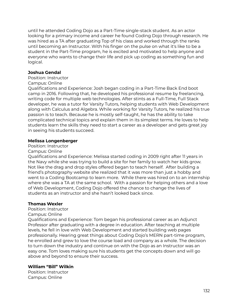until he attended Coding Dojo as a Part-Time single-stack student. As an actor looking for a primary income and career he found Coding Dojo through research. He was hired as a TA after graduating Top of his class and worked through the ranks until becoming an Instructor. With his finger on the pulse on what it's like to be a student in the Part-Time program, he is excited and motivated to help anyone and everyone who wants to change their life and pick up coding as something fun and logical.

#### **Joshua Gendal**

Position: Instructor

Campus: Online

Qualifications and Experience: Josh began coding in a Part-Time Back End boot camp in 2016. Following that, he developed his professional resume by freelancing, writing code for multiple web technologies. After stints as a Full-Time, Full Stack developer, he was a tutor for Varsity Tutors, helping students with Web Development along with Calculus and Algebra. While working for Varsity Tutors, he realized his true passion is to teach. Because he is mostly self-taught, he has the ability to take complicated technical topics and explain them in its simplest terms. He loves to help students learn the skills they need to start a career as a developer and gets great joy in seeing his students succeed.

## **Melissa Longenberger**

Position: Instructor

Campus: Online

Qualifications and Experience: Melissa started coding in 2009 right after 11 years in the Navy while she was trying to build a site for her family to watch her kids grow. Not like the drag and drop styles offered began to teach herself. After building a friend's photography website she realized that it was more than just a hobby and went to a Coding Bootcamp to learn more. While there was hired on to an internship where she was a TA at the same school. With a passion for helping others and a love of Web Development, Coding Dojo offered the chance to change the lives of students as an instructor and she hasn't looked back since.

## **Thomas Wexler**

Position: Instructor

Campus: Online

Qualifications and Experience: Tom began his professional career as an Adjunct Professor after graduating with a degree in education. After teaching at multiple levels, he fell in love with Web Development and started building web pages professionally. Hearing great things about Coding Dojo's MERN part-time program, he enrolled and grew to love the course load and company as a whole. The decision to turn down the industry and continue on with the Dojo as an Instructor was an easy one. Tom loves making sure his students get the concepts down and will go above and beyond to ensure their success.

## **William "Bill" Wilkin**

Position: Instructor Campus: Online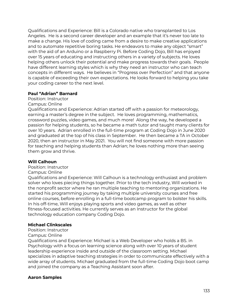Qualifications and Experience: Bill is a Colorado native who transplanted to Los Angeles. He is a second career developer and an example that it's never too late to make a change. His love of coding came from a desire to make creative applications and to automate repetitive boring tasks. He endeavors to make any object "smart" with the aid of an Arduino or a Raspberry Pi. Before Coding Dojo, Bill has enjoyed over 15 years of educating and instructing others in a variety of subjects. He loves helping others unlock their potential and make progress towards their goals. People have different learning styles which is why they need an instructor who can teach concepts in different ways. He believes in "Progress over Perfection" and that anyone is capable of exceeding their own expectations. He looks forward to helping you take your coding career to the next level.

#### **Paul "Adrian" Barnard**

Position: Instructor

#### Campus: Online

Qualifications and Experience: Adrian started off with a passion for meteorology, earning a master's degree in the subject. He loves programming, mathematics, crossword puzzles, video games, and much more! Along the way, he developed a passion for helping students, so he became a math tutor and taught many clients for over 10 years. Adrian enrolled in the full-time program at Coding Dojo in June 2020 and graduated at the top of his class in September. He then became a TA in October 2020, then an instructor in May 2021. You will not find someone with more passion for teaching and helping students than Adrian; he loves nothing more than seeing them grow and thrive.

## **Will Calhoun**

Position: Instructor

#### Campus: Online

Qualifications and Experience: Will Calhoun is a technology enthusiast and problem solver who loves piecing things together. Prior to the tech industry, Will worked in the nonprofit sector where he ran multiple teaching to mentoring organizations. He started his programming journey by taking multiple university courses and free online courses, before enrolling in a full-time bootcamp program to bolster his skills. In his off-time, Will enjoys playing sports and video games, as well as other fitness-focused activities. He currently serves as an Instructor for the global technology education company Coding Dojo.

## **Michael Clinkscales**

Position: Instructor

## Campus: Online

Qualifications and Experience: Michael is a Web Developer who holds a BS. in Psychology with a focus on learning science along with over 10 years of student leadership experience inside and outside of the classroom setting. Michael specializes in adaptive teaching strategies in order to communicate effectively with a wide array of students. Michael graduated from the full-time Coding Dojo boot camp and joined the company as a Teaching Assistant soon after.

## **Aaron Samples**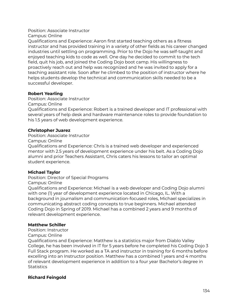#### Position: Associate Instructor Campus: Online

Qualifications and Experience: Aaron first started teaching others as a fitness instructor and has provided training in a variety of other fields as his career changed industries until settling on programming. Prior to the Dojo he was self-taught and enjoyed teaching kids to code as well. One day he decided to commit to the tech field, quit his job, and joined the Coding Dojo boot camp. His willingness to proactively reach out and help was recognized and he was invited to apply for a teaching assistant role. Soon after he climbed to the position of instructor where he helps students develop the technical and communication skills needed to be a successful developer.

# **Robert Yearling**

Position: Associate Instructor

Campus: Online

Qualifications and Experience: Robert is a trained developer and IT professional with several years of help desk and hardware maintenance roles to provide foundation to his 1.5 years of web development experience.

# **Christopher Juarez**

Position: Associate Instructor

Campus: Online

Qualifications and Experience: Chris is a trained web developer and experienced mentor with 2.5 years of development experience under his belt. As a Coding Dojo alumni and prior Teachers Assistant, Chris caters his lessons to tailor an optimal student experience.

# **Michael Taylor**

Position: Director of Special Programs

Campus: Online

Qualifications and Experience: Michael is a web developer and Coding Dojo alumni with one (1) year of development experience located in Chicago, IL. With a background in journalism and communication-focused roles, Michael specializes in communicating abstract coding concepts to true beginners. Michael attended Coding Dojo in Spring of 2019. Michael has a combined 2 years and 9 months of relevant development experience.

## **Matthew Schiller**

Position: Instructor

Campus: Online

Qualifications and Experience: Matthew is a statistics major from Diablo Valley College, he has been involved in IT for 5 years before he completed his Coding Dojo 3 Full Stack program. He worked as a TA and instructor in training for 6 months before excelling into an Instructor position. Matthew has a combined 1 years and 4 months of relevant development experience in addition to a four year Bachelor's degree in **Statistics** 

# **Richard Feingold**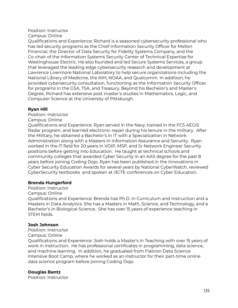#### Position: Instructor

Campus: Online

Qualifications and Experience: Richard is a seasoned cybersecurity professional who has led security programs as the Chief Information Security Officer for Mellon Financial, the Director of Data Security for Fidelity Systems Company, and the Co-chair of the Information Systems Security Center of Technical Expertise for Westinghouse Electric. He also founded and led Secure Systems Services, a group that leveraged the leading edge cybersecurity research and development at Lawrence Livermore National Laboratory to help secure organizations including the National Library of Medicine, the NIH, NOAA, and Qualcomm. In addition, he provided cybersecurity consultation, functioning as the Information Security Officer for programs in the GSA, TSA, and Treasury. Beyond his Bachelor's and Master's Degree, Richard has extensive post master's studies in Mathematics, Logic, and Computer Science at the University of Pittsburgh.

## **Ryan Hill**

Position: Instructor

Campus: Online

Qualifications and Experience: Ryan served in the Navy, trained in the FCS AEGIS Radar program, and learned electronic repair during his tenure in the military. After the Military, he obtained a Bachelor's in IT with a Specialization in Network Administration along with a Masters in Information Assurance and Security. Ryan worked in the IT field for 20 years in VOIP, MSP, and Sr Network Engineer Security positions before getting into Education. He taught at technical schools and community colleges that awarded Cyber Security in an AAS degree for the past 8 years before joining Coding Dojo. Ryan has been published in the Innovations in Cyber Security Education Awards for several years by National CyberWatch, reviewed CyberSecurity textbooks and spoken at i3CTE conferences on Cyber Education.

## **Brenda Hungerford**

Position: Instructor

Campus: Online

Qualifications and Experience: Brenda has Ph.D. in Curriculum and Instruction and a Masters in Data Analytics. She has a Masters in Math, Science, and Technology, and a Bachelor's in Biological Science. She has over 15 years of experience teaching in STEM fields.

## **Josh Johnson**

Position: Instructor Campus: Online

Qualifications and Experience: Josh holds a Master's in Teaching with over 15 years of work in instruction. He has professional certificates in programming, data science, and machine learning. In addition, he graduated from Flatiron Data Science Intensive Boot Camp, where he worked as an instructor for their part-time online data science program before joining Coding Dojo.

## **Douglas Bantz**

Position: Instructor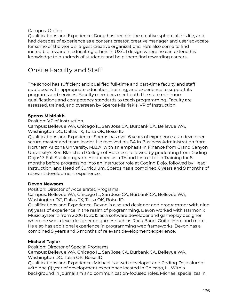Campus: Online

Qualifications and Experience: Doug has been in the creative sphere all his life, and had decades of experience as a content creator, creative manager and user advocate for some of the world's largest creative organizations. He's also come to find incredible reward in educating others in UX/UI design where he can extend his knowledge to hundreds of students and help them find rewarding careers.

# Onsite Faculty and Staff

The school has sufficient and qualified full-time and part-time faculty and staff equipped with appropriate education, training, and experience to support its programs and services. Faculty members meet both the state minimum qualifications and competency standards to teach programming. Faculty are assessed, trained, and overseen by Speros Misirlakis, VP of Instruction.

## **Speros Misirlakis**

Position: VP of Instruction

Campus: Bellevue WA, Chicago IL, San Jose CA, Burbank CA, Bellevue WA, Washington DC, Dallas TX, Tulsa OK, Boise ID

Qualifications and Experience: Speros has over 6 years of experience as a developer, scrum master and team leader. He received his BA in Business Administration from Northern Arizona University, M.B.A. with an emphasis in Finance from Grand Canyon University's Ken Blanchard College of Business, followed by graduating from Coding Dojos' 3 Full Stack program. He trained as a TA and Instructor in Training for 8 months before progressing into an Instructor role at Coding Dojo, followed by Head Instruction, and Head of Curriculum. Speros has a combined 6 years and 9 months of relevant development experience.

## **Devon Newsom**

Position: Director of Accelerated Programs

Campus: Bellevue WA, Chicago IL, San Jose CA, Burbank CA, Bellevue WA, Washington DC, Dallas TX, Tulsa OK, Boise ID

Qualifications and Experience: Devon is a sound designer and programmer with nine (9) years of experience in the realm of programming. Devon worked with Harmonix Music Systems from 2006 to 2015 as a software developer and gameplay designer where he was a level designer on games such as Rock Band, Guitar Hero and more. He also has additional experience in programming web frameworks. Devon has a combined 9 years and 5 months of relevant development experience.

# **Michael Taylor**

Position: Director of Special Programs

Campus: Bellevue WA, Chicago IL, San Jose CA, Burbank CA, Bellevue WA, Washington DC, Tulsa OK, Boise ID

Qualifications and Experience: Michael is a web developer and Coding Dojo alumni with one (1) year of development experience located in Chicago, IL. With a background in journalism and communication-focused roles, Michael specializes in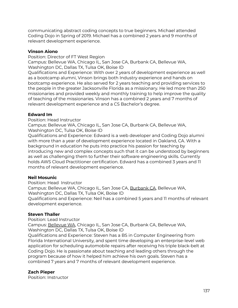communicating abstract coding concepts to true beginners. Michael attended Coding Dojo in Spring of 2019. Michael has a combined 2 years and 9 months of relevant development experience.

#### **Vinson Aiono**

Position: Director of FT West Region Campus: Bellevue WA, Chicago IL, San Jose CA, Burbank CA, Bellevue WA,

Washington DC, Dallas TX, Tulsa OK, Boise ID

Qualifications and Experience: With over 2 years of development experience as well as a bootcamp alumni, Vinson brings both Industry experience and hands on bootcamp experience. He also served for 2 years teaching and providing services to the people in the greater Jacksonville Florida as a missionary. He led more than 250 missionaries and provided weekly and monthly training to help improve the quality of teaching of the missionaries. Vinson has a combined 2 years and 7 months of relevant development experience and a CS Bachelor's degree.

#### **Edward Im**

Position: Head Instructor

Campus: Bellevue WA, Chicago IL, San Jose CA, Burbank CA, Bellevue WA, Washington DC, Tulsa OK, Boise ID

Qualifications and Experience: Edward is a web developer and Coding Dojo alumni with more than a year of development experience located in Oakland, CA. With a background in education he puts into practice his passion for teaching by introducing new and complex concepts such that it can be understood by beginners as well as challenging them to further their software engineering skills. Currently holds AWS Cloud Practitioner certification. Edward has a combined 3 years and 11 months of relevant development experience.

## **Neil Mosunic**

Position: Head Instructor Campus: Bellevue WA, Chicago IL, San Jose CA, Burbank CA, Bellevue WA, Washington DC, Dallas TX, Tulsa OK, Boise ID Qualifications and Experience: Neil has a combined 5 years and 11 months of relevant development experience.

## **Steven Thaller**

Position: Lead Instructor

Campus: Bellevue WA, Chicago IL, San Jose CA, Burbank CA, Bellevue WA, Washington DC, Dallas TX, Tulsa OK, Boise ID

Qualifications and Experience: Steven has a BS in Computer Engineering from Florida International University, and spent time developing an enterprise-level web application for scheduling automobile repairs after receiving his triple black-belt at Coding Dojo. He is passionate about teaching and leading others through the program because of how it helped him achieve his own goals. Steven has a combined 7 years and 7 months of relevant development experience.

## **Zach Pieper**

Position: Instructor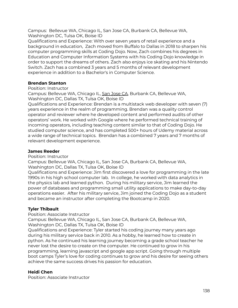Campus: Bellevue WA, Chicago IL, San Jose CA, Burbank CA, Bellevue WA, Washington DC, Tulsa OK, Boise ID

Qualifications and Experience: With over seven years of retail experience and a background in education, Zach moved from Buffalo to Dallas in 2018 to sharpen his computer programming skills at Coding Dojo. Now, Zach combines his degrees in Education and Computer Information Systems with his Coding Dojo knowledge in order to support the dreams of others. Zach also enjoys ice skating and his Nintendo Switch. Zach has a combined 3 years and 5 months of relevant development experience in addition to a Bachelor's in Computer Science.

## **Brendan Stanton**

Position: Instructor

Campus: Bellevue WA, Chicago IL, San Jose CA, Burbank CA, Bellevue WA, Washington DC, Dallas TX, Tulsa OK, Boise ID

Qualifications and Experience: Brendan is a multistack web developer with seven (7) years experience in the realm of programming. Brendan was a quality control operator and reviewer where he developed content and performed audits of other operators' work. He worked with Google where he performed technical training of incoming operators, including teaching content similar to that of Coding Dojo. He studied computer science, and has completed 500+ hours of Udemy material across a wide range of technical topics. Brendan has a combined 7 years and 7 months of relevant development experience.

#### **James Reeder**

Position: Instructor

Campus: Bellevue WA, Chicago IL, San Jose CA, Burbank CA, Bellevue WA, Washington DC, Dallas TX, Tulsa OK, Boise ID

Qualifications and Experience: Jim first discovered a love for programming in the late 1990s in his high school computer lab. In college, he worked with data analytics in the physics lab and learned python. During his military service, Jim learned the power of databases and programming small utility applications to make day-to-day operations easier. After his military service, Jim joined the Coding Dojo as a student and became an instructor after completing the Bootcamp in 2020.

## **Tyler Thibault**

Position: Associate Instructor

Campus: Bellevue WA, Chicago IL, San Jose CA, Burbank CA, Bellevue WA, Washington DC, Dallas TX, Tulsa OK, Boise ID

Qualifications and Experience: Tyler started his coding journey many years ago during his military service back in 2010. As a hobby, he learned how to create in python. As he continued his learning journey becoming a grade school teacher he never lost the desire to create on the computer. He continued to grow in his programming, learning javascript and google app script. Going through multiple boot camps Tyler's love for coding continues to grow and his desire for seeing others achieve the same success drives his passion for education.

## **Heidi Chen**

Position: Associate Instructor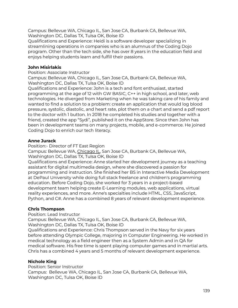Campus: Bellevue WA, Chicago IL, San Jose CA, Burbank CA, Bellevue WA, Washington DC, Dallas TX, Tulsa OK, Boise ID

Qualifications and Experience: Heidi is a software developer specializing in streamlining operations in companies who is an alumnus of the Coding Dojo program. Other than the tech side, she has over 8 years in the education field and enjoys helping students learn and fulfill their passions.

## **John Misirlakis**

Position: Associate Instructor

Campus: Bellevue WA, Chicago IL, San Jose CA, Burbank CA, Bellevue WA, Washington DC, Dallas TX, Tulsa OK, Boise ID

Qualifications and Experience: John is a tech and font enthusiast, started programming at the age of 12 with GW BASIC, C++ in high school, and later, web technologies. He diverged from Marketing when he was taking care of his family and wanted to find a solution to a problem: create an application that would log blood pressure, systolic, diastolic, and heart rate, plot them on a chart and send a pdf report to the doctor with 1 button. In 2018 he completed his studies and together with a friend, created the app "Sydi", published it on the AppStore. Since then John has been in development teams on many projects, mobile, and e-commerce. He joined Coding Dojo to enrich our tech literacy.

# **Anne Jurack**

Position:- Director of FT East Region

Campus: Bellevue WA, Chicago IL, San Jose CA, Burbank CA, Bellevue WA, Washington DC, Dallas TX, Tulsa OK, Boise ID

Qualifications and Experience: Anne started her development journey as a teaching assistant for digital multimedia design, where she discovered a passion for programming and instruction. She finished her BS in Interactive Media Development at DePaul University while doing full stack freelance and children's programming education. Before Coding Dojo, she worked for 3 years in a project-based development team helping create E-Learning modules, web applications, virtual reality experiences, and more. Anne's specialties include HTML, CSS, JavaScript, Python, and C#. Anne has a combined 8 years of relevant development experience.

## **Chris Thompson**

Position: Lead Instructor

Campus: Bellevue WA, Chicago IL, San Jose CA, Burbank CA, Bellevue WA, Washington DC, Dallas TX, Tulsa OK, Boise ID

Qualifications and Experience: Chris Thompson served in the Navy for six years before attending Olympic College, majoring in Computer Engineering. He worked in medical technology as a field engineer then as a System Admin and in QA for medical software. His free time is spent playing computer games and in martial arts. Chris has a combined 4 years and 5 months of relevant development experience.

# **Nichole King**

Position: Senior Instructor Campus: Bellevue WA, Chicago IL, San Jose CA, Burbank CA, Bellevue WA, Washington DC, Tulsa OK, Boise ID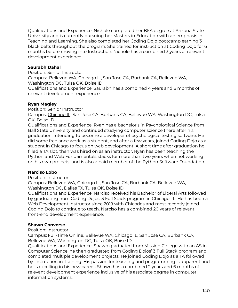Qualifications and Experience: Nichole completed her BFA degree at Arizona State University and is currently pursuing her Masters in Education with an emphasis in Teaching and Learning. She also completed her Coding Dojo bootcamp earning 3 black belts throughout the program. She trained for instruction at Coding Dojo for 6 months before moving into Instruction. Nichole has a combined 3 years of relevant development experience.

#### **Saurabh Dahal**

Position: Senior Instructor

Campus: Bellevue WA, Chicago IL, San Jose CA, Burbank CA, Bellevue WA, Washington DC, Tulsa OK, Boise ID

Qualifications and Experience: Saurabh has a combined 4 years and 6 months of relevant development experience.

## **Ryan Magley**

Position: Senior Instructor

Campus: Chicago IL, San Jose CA, Burbank CA, Bellevue WA, Washington DC, Tulsa OK, Boise ID

Qualifications and Experience: Ryan has a bachelor's in Psychological Science from Ball State University and continued studying computer science there after his graduation, intending to become a developer of psychological testing software. He did some freelance work as a student, and after a few years, joined Coding Dojo as a student in Chicago to focus on web development. A short time after graduation he filled a TA slot, then was hired on as an instructor. Ryan has been teaching the Python and Web Fundamentals stacks for more than two years when not working on his own projects, and is also a paid member of the Python Software Foundation.

## **Narciso Lobo**

Position: Instructor

Campus: Bellevue WA, Chicago IL, San Jose CA, Burbank CA, Bellevue WA, Washington DC, Dallas TX, Tulsa OK, Boise ID

Qualifications and Experience: Narciso received his Bachelor of Liberal Arts followed by graduating from Coding Dojos' 3 Full Stack program in Chicago, IL. He has been a Web Development instructor since 2019 with Chicodes and most recently joined Coding Dojo to continue to teach. Narciso has a combined 20 years of relevant front-end development experience.

#### **Shawn Converse**

Position: Instructor

Campus: Full-Time Online, Bellevue WA, Chicago IL, San Jose CA, Burbank CA, Bellevue WA, Washington DC, Tulsa OK, Boise ID

Qualifications and Experience: Shawn graduated from Mission College with an AS in Computer Science, he then graduated from Coding Dojos' 3 Full Stack program and completed multiple development projects. He joined Coding Dojo as a TA followed by Instruction in Training. His passion for teaching and programming is apparent and he is excelling in his new career. Shawn has a combined 2 years and 6 months of relevant development experience inclusive of his associate degree in computer information systems.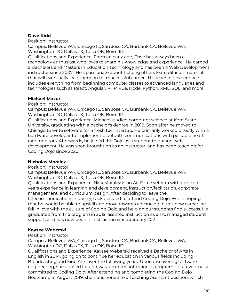#### **Dave Kidd**

Position: Instructor

Campus: Bellevue WA, Chicago IL, San Jose CA, Burbank CA, Bellevue WA, Washington DC, Dallas TX, Tulsa OK, Boise ID

Qualifications and Experience: From an early age, Dave has always been a technology enthusiast who loves to share his knowledge and experience. He earned a Bachelors and Masters in Education Technology and has been a Web Development instructor since 2007. He's passionate about helping others learn difficult material that will eventually lead them on to a successful career. His teaching experience includes everything from beginning computer classes to advanced languages and technologies such as React, Angular, PHP, Vue, Node, Python, XML, SQL, and more.

#### **Michael Mazur**

Position: Instructor

Campus: Bellevue WA, Chicago IL, San Jose CA, Burbank CA, Bellevue WA, Washington DC, Dallas TX, Tulsa OK, Boise ID

Qualifications and Experience: Michael studied computer science at Kent State University, graduating with a bachelor's degree in 2018. Soon after he moved to Chicago to write software for a fresh tech startup. He primarily worked directly with a hardware developer to implement bluetooth communications with portable heart rate monitors. Afterwards, he joined the Dojo as a student to pursue web development. He was soon brought on as an instructor, and has been teaching for Coding Dojo since 2020.

## **Nicholas Moralez**

#### Position: Instructor

Campus: Bellevue WA, Chicago IL, San Jose CA, Burbank CA, Bellevue WA, Washington DC, Dallas TX, Tulsa OK, Boise ID

Qualifications and Experience: Nick Moralez is an Air Force veteran with over ten years experience in learning and development, instruction/facilitation, corporate management, and curriculum design. After deciding to leave the telecommunications industry, Nick decided to attend Coding Dojo. While hoping that he would be able to upskill and move towards advancing in this new career, he fell in love with the culture of Coding Dojo and helping our students find success. He graduated from the program in 2019, assisted instruction as a TA, managed student support, and has now been in instruction since January 2021.

#### **Kaysee Weberski**

#### Position: Instructor

Campus: Bellevue WA, Chicago IL, San Jose CA, Burbank CA, Bellevue WA, Washington DC, Dallas TX, Tulsa OK, Boise ID

Qualifications and Experience: Kaysee Weberski received a Bachelor of Arts in English in 2014, going on to continue her education in various fields including Broadcasting and Fine Arts over the following years. Upon discovering software engineering, she applied for and was accepted into various programs, but eventually committed to Coding Dojo! After attending and completing the Coding Dojo Bootcamp in August 2019, she transitioned to a Teaching Assistant position, which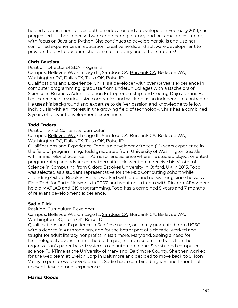helped advance her skills as both an educator and a developer. In February 2021, she progressed further in her software engineering journey and became an instructor, with focus on Java and Python. She continues to develop her skills and use her combined experiences in education, creative fields, and software development to provide the best education she can offer to every one of her students!

#### **Chris Bautista**

Position: DIrector of SDA Programs

Campus: Bellevue WA, Chicago IL, San Jose CA, Burbank CA, Bellevue WA, Washington DC, Dallas TX, Tulsa OK, Boise ID

Qualifications and Experience: Chris is a developer with over (3) years experience in computer programming, graduate from Enderun Colleges with a Bachelors of Science in Business Administration Entrepreneurship, and Coding Dojo alumni. He has experience in various size companies and working as an independent contractor. He uses his background and expertise to deliver passion and knowledge to fellow individuals with an interest in the growing field of technology. Chris has a combined 8 years of relevant development experience.

#### **Todd Enders**

Position: VP of Content & Curriculum

Campus: Bellevue WA, Chicago IL, San Jose CA, Burbank CA, Bellevue WA, Washington DC, Dallas TX, Tulsa OK, Boise ID

Qualifications and Experience: Todd is a developer with ten (10) years experience in the field of programming. Todd graduated from University of Washington Seattle with a Bachelor of Science in Atmospheric Science where he studied object oriented programming and advanced mathematics. He went on to receive his Master of Science in Computing from Oxford Brookes University in Oxford, UK in 2015. Todd was selected as a student representative for the MSc Computing cohort while attending Oxford Brookes. He has worked with data and networking since he was a Field Tech for Earth Networks in 2007, and went on to intern with Ricardo-AEA where he did MATLAB and GIS programming. Todd has a combined 5 years and 7 months of relevant development experience.

#### **Sadie Flick**

Position: Curriculum Developer

Campus: Bellevue WA, Chicago IL, San Jose CA, Burbank CA, Bellevue WA, Washington DC, Tulsa OK, Boise ID

Qualifications and Experience: a San Jose native, originally graduated from UCSC with a degree in Anthropology, and for the better part of a decade, worked and taught for adult literacy nonprofits in Baltimore, Maryland. Seeing a need for technological advancement, she built a project from scratch to transition the organization's paper-based system to an automated one. She studied computer science Full-Time at the University of Maryland, Baltimore County. She then worked for the web team at Exelon Corp in Baltimore and decided to move back to Silicon Valley to pursue web development. Sadie has a combined 4 years and 1 month of relevant development experience.

#### **Marisa Goode**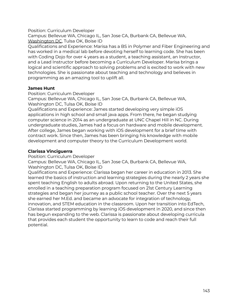#### Position: Curriculum Developer

Campus: Bellevue WA, Chicago IL, San Jose CA, Burbank CA, Bellevue WA, Washington DC, Tulsa OK, Boise ID

Qualifications and Experience: Marisa has a BS in Polymer and Fiber Engineering and has worked in a medical lab before devoting herself to learning code. She has been with Coding Dojo for over 4 years as a student, a teaching assistant, an Instructor, and a Lead Instructor before becoming a Curriculum Developer. Marisa brings a logical and scientific approach to solving problems and is excited to work with new technologies. She is passionate about teaching and technology and believes in programming as an amazing tool to uplift all.

#### **James Hunt**

Position: Curriculum Developer

Campus: Bellevue WA, Chicago IL, San Jose CA, Burbank CA, Bellevue WA, Washington DC, Tulsa OK, Boise ID

Qualifications and Experience: James started developing very simple iOS applications in high school and small java apps. From there, he began studying computer science in 2014 as an undergraduate at UNC Chapel Hill in NC. During undergraduate studies, James had a focus on hardware and mobile development. After college, James began working with iOS development for a brief time with contract work. Since then, James has been bringing his knowledge with mobile development and computer theory to the Curriculum Development world.

## **Clarissa Vinciguerra**

Position: Curriculum Developer

Campus: Bellevue WA, Chicago IL, San Jose CA, Burbank CA, Bellevue WA, Washington DC, Tulsa OK, Boise ID

Qualifications and Experience: Clarissa began her career in education in 2013. She learned the basics of instruction and learning strategies during the nearly 2 years she spent teaching English to adults abroad. Upon returning to the United States, she enrolled in a teaching preparation program focused on 21st Century Learning strategies and began her journey as a public school teacher. Over the next 5 years she earned her M.Ed. and became an advocate for integration of technology, innovation, and STEM education in the classroom. Upon her transition into EdTech, Clarissa started programming by learning iOS development in 2020, and since then has begun expanding to the web. Clarissa is passionate about developing curricula that provides each student the opportunity to learn to code and reach their full potential.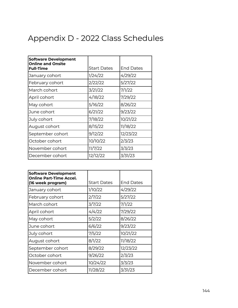# Appendix D - 2022 Class Schedules

| <b>Software Development</b><br><b>Online and Onsite</b> |                    |                  |
|---------------------------------------------------------|--------------------|------------------|
| <b>Full-Time</b>                                        | <b>Start Dates</b> | <b>End Dates</b> |
| January cohort                                          | 1/24/22            | 4/29/22          |
| February cohort                                         | 2/22/22            | 5/27/22          |
| March cohort                                            | 3/21/22            | 7/1/22           |
| April cohort                                            | 4/18/22            | 7/29/22          |
| May cohort                                              | 5/16/22            | 8/26/22          |
| June cohort                                             | 6/21/22            | 9/23/22          |
| July cohort                                             | 7/18/22            | 10/21/22         |
| August cohort                                           | 8/15/22            | 11/18/22         |
| September cohort                                        | 9/12/22            | 12/23/22         |
| October cohort                                          | 10/10/22           | 2/3/23           |
| November cohort                                         | 11/7/22            | 3/3/23           |
| December cohort                                         | 12/12/22           | 3/31/23          |

| <b>Software Development</b><br><b>Online Part-Time Accel.</b><br>(16 week program) | <b>Start Dates</b> | <b>End Dates</b> |
|------------------------------------------------------------------------------------|--------------------|------------------|
| January cohort                                                                     | 1/10/22            | 4/29/22          |
| February cohort                                                                    | 2/7/22             | 5/27/22          |
| March cohort                                                                       | 3/7/22             | 7/1/22           |
| April cohort                                                                       | 4/4/22             | 7/29/22          |
| May cohort                                                                         | 5/2/22             | 8/26/22          |
| June cohort                                                                        | 6/6/22             | 9/23/22          |
| July cohort                                                                        | 7/5/22             | 10/21/22         |
| August cohort                                                                      | 8/1/22             | 11/18/22         |
| September cohort                                                                   | 8/29/22            | 12/23/22         |
| October cohort                                                                     | 9/26/22            | 2/3/23           |
| November cohort                                                                    | 10/24/22           | 3/3/23           |
| December cohort                                                                    | 11/28/22           | 3/31/23          |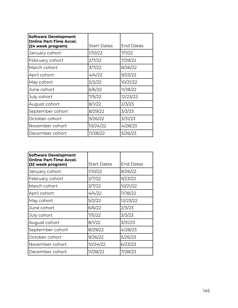| <b>Software Development</b><br><b>Online Part-Time Accel.</b><br>(24 week program) | <b>Start Dates</b> | <b>End Dates</b> |
|------------------------------------------------------------------------------------|--------------------|------------------|
| January cohort                                                                     | 1/10/22            | 7/1/22           |
| February cohort                                                                    | 2/7/22             | 7/29/22          |
| March cohort                                                                       | 3/7/22             | 8/26/22          |
| April cohort                                                                       | 4/4/22             | 9/23/22          |
| May cohort                                                                         | 5/2/22             | 10/21/22         |
| June cohort                                                                        | 6/6/22             | 11/18/22         |
| July cohort                                                                        | 7/5/22             | 12/23/22         |
| August cohort                                                                      | 8/1/22             | 2/3/23           |
| September cohort                                                                   | 8/29/22            | 3/3/23           |
| October cohort                                                                     | 9/26/22            | 3/31/23          |
| November cohort                                                                    | 10/24/22           | 4/28/23          |
| December cohort                                                                    | 11/28/22           | 5/26/23          |
|                                                                                    |                    |                  |

| <b>Software Development</b><br><b>Online Part-Time Accel.</b> |                    |                  |
|---------------------------------------------------------------|--------------------|------------------|
| (32 week program)                                             | <b>Start Dates</b> | <b>End Dates</b> |
| January cohort                                                | 1/10/22            | 8/26/22          |
| February cohort                                               | 2/7/22             | 9/23/22          |
| March cohort                                                  | 3/7/22             | 10/21/22         |
| April cohort                                                  | 4/4/22             | 11/18/22         |
| May cohort                                                    | 5/2/22             | 12/23/22         |
| June cohort                                                   | 6/6/22             | 2/3/23           |
| July cohort                                                   | 7/5/22             | 3/3/23           |
| August cohort                                                 | 8/1/22             | 3/31/23          |
| September cohort                                              | 8/29/22            | 4/28/23          |
| October cohort                                                | 9/26/22            | 5/26/23          |
| November cohort                                               | 10/24/22           | 6/23/23          |
| December cohort                                               | 11/28/22           | 7/28/23          |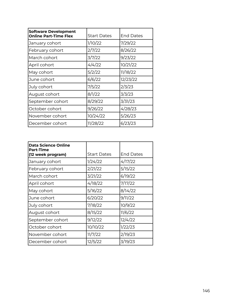| <b>Software Development</b><br><b>Online Part-Time Flex</b> | <b>Start Dates</b> | <b>End Dates</b> |
|-------------------------------------------------------------|--------------------|------------------|
| January cohort                                              | 1/10/22            | 7/29/22          |
| February cohort                                             | 2/7/22             | 8/26/22          |
| March cohort                                                | 3/7/22             | 9/23/22          |
| April cohort                                                | 4/4/22             | 10/21/22         |
| May cohort                                                  | 5/2/22             | 11/18/22         |
| June cohort                                                 | 6/6/22             | 12/23/22         |
| July cohort                                                 | 7/5/22             | 2/3/23           |
| August cohort                                               | 8/1/22             | 3/3/23           |
| September cohort                                            | 8/29/22            | 3/31/23          |
| October cohort                                              | 9/26/22            | 4/28/23          |
| November cohort                                             | 10/24/22           | 5/26/23          |
| December cohort                                             | 11/28/22           | 6/23/23          |

| <b>Data Science Online</b><br><b>Part-Time</b><br>(12 week program) | <b>Start Dates</b> | <b>End Dates</b> |
|---------------------------------------------------------------------|--------------------|------------------|
| January cohort                                                      | 1/24/22            | 4/17/22          |
| February cohort                                                     | 2/21/22            | 5/15/22          |
| March cohort                                                        | 3/21/22            | 6/19/22          |
| April cohort                                                        | 4/18/22            | 7/17/22          |
| May cohort                                                          | 5/16/22            | 8/14/22          |
| June cohort                                                         | 6/20/22            | 9/11/22          |
| July cohort                                                         | 7/18/22            | 10/9/22          |
| August cohort                                                       | 8/15/22            | 11/6/22          |
| September cohort                                                    | 9/12/22            | 12/4/22          |
| October cohort                                                      | 10/10/22           | 1/22/23          |
| November cohort                                                     | 11/7/22            | 2/19/23          |
| December cohort                                                     | 12/5/22            | 3/19/23          |
|                                                                     |                    |                  |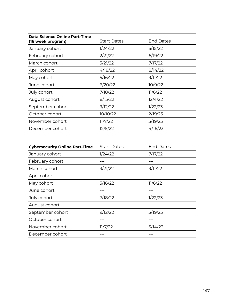| <b>Data Science Online Part-Time</b><br>(16 week program) | <b>Start Dates</b> | <b>End Dates</b> |
|-----------------------------------------------------------|--------------------|------------------|
| January cohort                                            | 1/24/22            | 5/15/22          |
| February cohort                                           | 2/21/22            | 6/19/22          |
| March cohort                                              | 3/21/22            | 7/17/22          |
| April cohort                                              | 4/18/22            | 8/14/22          |
| May cohort                                                | 5/16/22            | 9/11/22          |
| June cohort                                               | 6/20/22            | 10/9/22          |
| July cohort                                               | 7/18/22            | 11/6/22          |
| August cohort                                             | 8/15/22            | 12/4/22          |
| September cohort                                          | 9/12/22            | 1/22/23          |
| October cohort                                            | 10/10/22           | 2/19/23          |
| November cohort                                           | 11/7/22            | 3/19/23          |
| December cohort                                           | 12/5/22            | 4/16/23          |

| <b>Cybersecurity Online Part-Time</b> | <b>Start Dates</b> | <b>End Dates</b> |
|---------------------------------------|--------------------|------------------|
| January cohort                        | 1/24/22            | 7/17/22          |
| February cohort                       |                    |                  |
| March cohort                          | 3/21/22            | 9/11/22          |
| April cohort                          |                    |                  |
| May cohort                            | 5/16/22            | 11/6/22          |
| lJune cohort                          |                    |                  |
| July cohort                           | 7/18/22            | 1/22/23          |
| August cohort                         |                    |                  |
| September cohort                      | 9/12/22            | 3/19/23          |
| October cohort                        |                    |                  |
| November cohort                       | 11/7/22            | 5/14/23          |
| December cohort                       |                    |                  |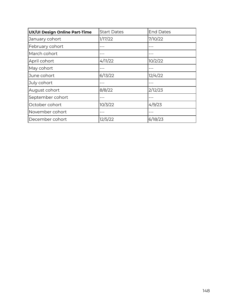| UX/UI Design Online Part-Time | <b>Start Dates</b> | <b>End Dates</b> |
|-------------------------------|--------------------|------------------|
| January cohort                | 1/17/22            | 7/10/22          |
| February cohort               |                    |                  |
| March cohort                  |                    |                  |
| April cohort                  | 4/11/22            | 10/2/22          |
| May cohort                    |                    |                  |
| June cohort                   | 6/13/22            | 12/4/22          |
| July cohort                   |                    |                  |
| August cohort                 | 8/8/22             | 2/12/23          |
| September cohort              |                    |                  |
| October cohort                | 10/3/22            | 4/9/23           |
| November cohort               |                    |                  |
| December cohort               | 12/5/22            | 6/18/23          |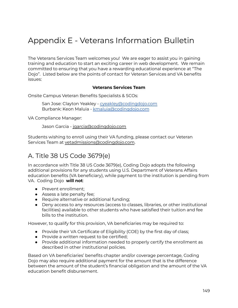# Appendix E - Veterans Information Bulletin

The Veterans Services Team welcomes you! We are eager to assist you in gaining training and education to start an exciting career in web development. We remain committed to ensuring that you have a rewarding educational experience at "The Dojo". Listed below are the points of contact for Veteran Services and VA benefits issues:

#### **Veterans Services Team**

Onsite Campus Veteran Benefits Specialists & SCOs:

San Jose: Clayton Yeakley - [cyeakley@codingdojo.com](mailto:cyeakley@codingdojo.com) Burbank: Keon Maluia - [kmaluia@codingdojo.com](mailto:kmaluia@codingdojo.com)

VA Compliance Manager:

Jason Garcia - [jgarcia@codingdojo.com](mailto:jgarcia@codingdojo.com)

Students wishing to enroll using their VA funding, please contact our Veteran Services Team at [vetadmissions@codingdojo.com](mailto:vetadmissions@codingdojo.com).

#### A. Title 38 US Code 3679(e)

In accordance with Title 38 US Code 3679(e), Coding Dojo adopts the following additional provisions for any students using U.S. Department of Veterans Affairs education benefits (VA beneficiary), while payment to the institution is pending from VA. Coding Dojo **will not**:

- Prevent enrollment;
- Assess a late penalty fee;
- Require alternative or additional funding;
- Deny access to any resources (access to classes, libraries, or other institutional facilities) available to other students who have satisfied their tuition and fee bills to the institution.

However, to qualify for this provision, VA beneficiaries may be required to:

- Provide their VA Certificate of Eligibility (COE) by the first day of class;
- Provide a written request to be certified;
- Provide additional information needed to properly certify the enrollment as described in other institutional policies.

Based on VA beneficiaries' benefits chapter and/or coverage percentage, Coding Dojo may also require additional payment for the amount that is the difference between the amount of the student's financial obligation and the amount of the VA education benefit disbursement.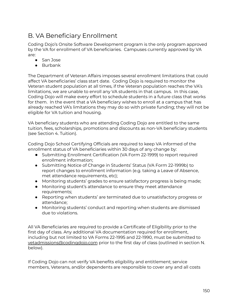### B. VA Beneficiary Enrollment

Coding Dojo's Onsite Software Development program is the only program approved by the VA for enrollment of VA beneficiaries. Campuses currently approved by VA are:

- San Jose
- Burbank

The Department of Veteran Affairs imposes several enrollment limitations that could affect VA beneficiaries' class start date. Coding Dojo is required to monitor the Veteran student population at all times, if the Veteran population reaches the VA's limitations, we are unable to enroll any VA students in that campus. In this case, Coding Dojo will make every effort to schedule students in a future class that works for them. In the event that a VA beneficiary wishes to enroll at a campus that has already reached VA's limitations they may do so with private funding; they will not be eligible for VA tuition and housing.

VA beneficiary students who are attending Coding Dojo are entitled to the same tuition, fees, scholarships, promotions and discounts as non-VA beneficiary students (see Section 4. Tuition).

Coding Dojo School Certifying Officials are required to keep VA informed of the enrollment status of VA beneficiaries within 30 days of any change by:

- Submitting Enrollment Certification (VA Form 22-1999) to report required enrollment information;
- Submitting Notice of Change in Students' Status (VA Form 22-1999b) to report changes to enrollment information (e.g. taking a Leave of Absence, met attendance requirements, etc);
- Monitoring students' grades to ensure satisfactory progress is being made;
- Monitoring student's attendance to ensure they meet attendance requirements;
- Reporting when students' are terminated due to unsatisfactory progress or attendance;
- Monitoring students' conduct and reporting when students are dismissed due to violations.

All VA Beneficiaries are required to provide a Certificate of Eligibility prior to the first day of class. Any additional VA documentation required for enrollment, including but not limited to VA Forms 22-1995 and 22-1990, must be submitted to [vetadmissions@codingdojo.com](mailto:vetadmissions@codingdojo.com) prior to the first day of class (outlined in section N. below).

If Coding Dojo can not verify VA benefits eligibility and entitlement; service members, Veterans, and/or dependents are responsible to cover any and all costs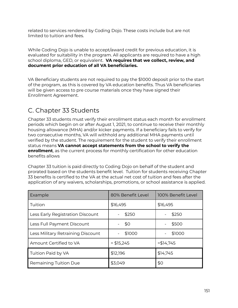related to services rendered by Coding Dojo. These costs include but are not limited to tuition and fees.

While Coding Dojo is unable to accept/award credit for previous education, it is evaluated for suitability in the program. All applicants are required to have a high school diploma, GED, or equivalent. **VA requires that we collect, review, and document prior education of all VA beneficiaries.**

VA Beneficiary students are not required to pay the \$1000 deposit prior to the start of the program, as this is covered by VA education benefits. Thus VA beneficiaries will be given access to pre course materials once they have signed their Enrollment Agreement.

### C. Chapter 33 Students

Chapter 33 students must verify their enrollment status each month for enrollment periods which begin on or after August 1, 2021, to continue to receive their monthly housing allowance (MHA) and/or kicker payments. If a beneficiary fails to verify for two consecutive months, VA will withhold any additional MHA payments until verified by the student. The requirement for the student to verify their enrollment status means **VA cannot accept statements from the school to verify the enrollment**, as the current process for monthly certification for other education benefits allows

Chapter 33 tuition is paid directly to Coding Dojo on behalf of the student and prorated based on the students benefit level. Tuition for students receiving Chapter 33 benefits is certified to the VA at the actual net cost of tuition and fees after the application of any waivers, scholarships, promotions, or school assistance is applied.

| Example                           | 80% Benefit Level | 100% Benefit Level |
|-----------------------------------|-------------------|--------------------|
| Tuition                           | \$16,495          | \$16,495           |
| Less Early Registration Discount  | \$250             | \$250              |
| Less Full Payment Discount        | \$0               | \$500              |
| Less Military Retraining Discount | \$1000            | \$1000             |
| Amount Certified to VA            | $= $15,245$       | $= $14,745$        |
| Tuition Paid by VA                | \$12,196          | \$14,745           |
| <b>Remaining Tuition Due</b>      | \$3,049           | \$0                |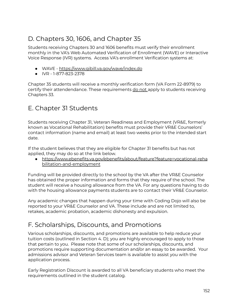## D. Chapters 30, 1606, and Chapter 35

Students receiving Chapters 30 and 1606 benefits must verify their enrollment monthly in the VA's Web Automated Verification of Enrollment (WAVE) or Interactive Voice Response (IVR) systems. Access VA's enrollment Verification systems at:

- WAVE <https://www.gibill.va.gov/wave/index.do>
- IVR 1-877-823-2378

Chapter 35 students will receive a monthly verification form (VA Form 22-8979) to certify their attendendance. These requirements do not apply to students receiving Chapters 33.

#### E. Chapter 31 Students

Students receiving Chapter 31, Veteran Readiness and Employment (VR&E, formerly known as Vocational Rehabilitation) benefits must provide their VR&E Counselors' contact information (name and email) at least two weeks prior to the intended start date.

If the student believes that they are eligible for Chapter 31 benefits but has not applied, they may do so at the link below.

● [https://www.ebenefits.va.gov/ebenefits/about/feature?feature=vocational-reha](https://www.ebenefits.va.gov/ebenefits/about/feature?feature=vocational-rehabilitation-and-employment) [bilitation-and-employment](https://www.ebenefits.va.gov/ebenefits/about/feature?feature=vocational-rehabilitation-and-employment)

Funding will be provided directly to the school by the VA after the VR&E Counselor has obtained the proper information and forms that they require of the school. The student will receive a housing allowance from the VA. For any questions having to do with the housing allowance payments students are to contact their VR&E Counselor.

Any academic changes that happen during your time with Coding Dojo will also be reported to your VR&E Counselor and VA. These include and are not limited to, retakes, academic probation, academic dishonesty and expulsion.

### F. Scholarships, Discounts, and Promotions

Various scholarships, discounts, and promotions are available to help reduce your tuition costs (outlined in Section 4. D); you are highly encouraged to apply to those that pertain to you. Please note that some of our scholarships, discounts, and promotions require supporting documentation and/or an essay to be awarded. Your admissions advisor and Veteran Services team is available to assist you with the application process.

Early Registration Discount is awarded to all VA beneficiary students who meet the requirements outlined in the student catalog.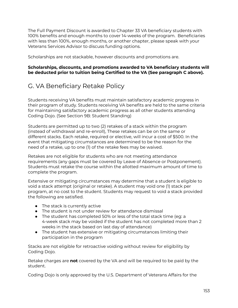The Full Payment Discount is awarded to Chapter 33 VA beneficiary students with 100% benefits and enough months to cover 14-weeks of the program. Beneficiaries with less than 100%, enough months, or another chapter, please speak with your Veterans Services Advisor to discuss funding options.

Scholarships are not stackable, however discounts and promotions are.

#### **Scholarships, discounts, and promotions awarded to VA beneficiary students will be deducted prior to tuition being Certified to the VA (See paragraph C above).**

#### G. VA Beneficiary Retake Policy

Students receiving VA benefits must maintain satisfactory academic progress in their program of study. Students receiving VA benefits are held to the same criteria for maintaining satisfactory academic progress as all other students attending Coding Dojo. (See Section 9B: Student Standing)

Students are permitted up to two (2) retakes of a stack within the program (instead of withdrawal and re-enroll), These retakes can be on the same or different stacks. Each retake, required or elective, will incur a cost of \$500. In the event that mitigating circumstances are determined to be the reason for the need of a retake, up to one (1) of the retake fees may be waived.

Retakes are not eligible for students who are not meeting attendance requirements (any gaps must be covered by Leave of Absence or Postponement). Students must retake the course within the allotted maximum amount of time to complete the program.

Extensive or mitigating circumstances may determine that a student is eligible to void a stack attempt (original or retake). A student may void one (1) stack per program, at no cost to the student. Students may request to void a stack provided the following are satisfied.

- The stack is currently active
- The student is not under review for attendance dismissal
- The student has completed 50% or less of the total stack time (eg: a 4-week stack may be voided if the student has not completed more than 2 weeks in the stack based on last day of attendance)
- The student has extensive or mitigating circumstances limiting their participation in the program

Stacks are not eligible for retroactive voiding without review for eligibility by Coding Dojo.

Retake charges are **not** covered by the VA and will be required to be paid by the student.

Coding Dojo is only approved by the U.S. Department of Veterans Affairs for the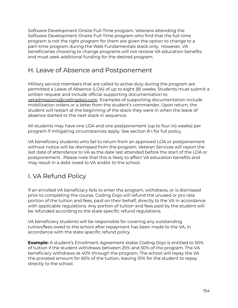Software Development Onsite Full-Time program. Veterans attending the Software Development Onsite Full-Time program who find that the full-time program is not the right program for them are given the option to change to a part-time program during the Web Fundamentals stack only. However, VA beneficiaries choosing to change programs will not receive VA education benefits and must seek additional funding for the desired program.

#### H. Leave of Absence and Postponement

Military service members that are called to active duty during the program are permitted a Leave of Absence (LOA) of up to eight (8) weeks. Students must submit a written request and include official supporting documentation to [vetadmissions@codingdojo.com](mailto:vetadmissions@codingdojo.com). Examples of supporting documentation include mobilization orders or a letter from the student's commander. Upon return, the student will restart at the beginning of the stack they were in when the leave of absence started or the next stack in sequence.

All students may have one LOA and one postponement (up to four (4) weeks) per program if mitigating circumstances apply. See section 8-I for full policy.

VA beneficiary students who fail to return from an approved LOA or postponement without notice will be dismissed from the program. Veteran Services will report the last date of attendance to VA as the date last attended before the start of the LOA or postponement. Please note that this is likely to affect VA education benefits and may result in a debt owed to VA and/or to the school.

### I. VA Refund Policy

If an enrolled VA beneficiary fails to enter the program, withdraws, or is dismissed prior to completing the course, Coding Dojo will refund the unused or pro rata portion of the tuition and fees, paid on their behalf, directly to the VA in accordance with applicable regulations. Any portion of tuition and fees paid by the student will be refunded according to the state specific refund regulations.

VA beneficiary students will be responsible for covering any outstanding tuition/fees owed to the school after repayment has been made to the VA, in accordance with the state specific refund policy.

**Example:** A student's Enrollment Agreement states Coding Dojo is entitled to 50% of tuition if the student withdraws between 25% and 50% of the program. The VA beneficiary withdraws at 40% through the program. The school will repay the VA the prorated amount for 60% of the tuition, leaving 10% for the student to repay directly to the school.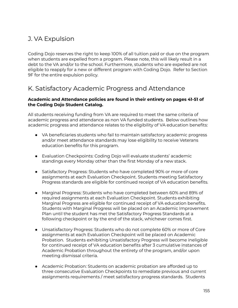#### J. VA Expulsion

Coding Dojo reserves the right to keep 100% of all tuition paid or due on the program when students are expelled from a program. Please note, this will likely result in a debt to the VA and/or to the school. Furthermore, students who are expelled are not eligible to reapply for a new or different program with Coding Dojo. Refer to Section 9F for the entire expulsion policy.

#### K. Satisfactory Academic Progress and Attendance

#### **Academic and Attendance policies are found in their entirety on pages 41-51 of the Coding Dojo Student Catalog.**

All students receiving funding from VA are required to meet the same criteria of academic progress and attendance as non VA funded students. Below outlines how academic progress and attendance relates to the eligibility of VA education benefits:

- VA beneficiaries students who fail to maintain satisfactory academic progress and/or meet attendance standards may lose eligibility to receive Veterans education benefits for this program.
- Evaluation Checkpoints: Coding Dojo will evaluate students' academic standings every Monday other than the first Monday of a new stack.
- Satisfactory Progress: Students who have completed 90% or more of core assignments at each Evaluation Checkpoint. Students meeting Satisfactory Progress standards are eligible for continued receipt of VA education benefits.
- Marginal Progress: Students who have completed between 60% and 89% of required assignments at each Evaluation Checkpoint. Students exhibiting Marginal Progress are eligible for continued receipt of VA education benefits. Students with Marginal Progress will be placed on an Academic Improvement Plan until the student has met the Satisfactory Progress Standards at a following checkpoint or by the end of the stack, whichever comes first.
- Unsatisfactory Progress: Students who do not complete 60% or more of Core assignments at each Evaluation Checkpoint will be placed on Academic Probation. Students exhibiting Unsatisfactory Progress will become ineligible for continued receipt of VA education benefits after 3 cumulative instances of Academic Probation throughout the entirety of the program, and/or upon meeting dismissal criteria.
- Academic Probation: Students on academic probation are afforded up to three consecutive Evaluation Checkpoints to remediate previous and current assignments requirements / meet satisfactory progress standards. Students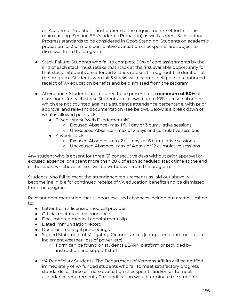on Academic Probation must adhere to the requirements set forth in the main catalog (Section 9E: Academic Probation) as well as meet Satisfactory Progress standards to be considered in Good Standing. Students on academic probation for 3 or more cumulative evaluation checkpoints are subject to dismissal from the program.

- Stack Failure: Students who fail to complete 90% of core assignments by the end of each stack must retake that stack at the first available opportunity for that stack. Students are afforded 2 stack retakes throughout the duration of the program. Students who fail 3 stacks will become ineligible for continued receipt of VA education benefits and be dismissed from the program.
- Attendance: Students are required to be present for a **minimum of 80%** of class hours for each stack. Students are allowed up to 10% excused absences, which are not counted against a student's attendance percentage, with prior approval and relevant documentation (see below). Below is a break down of what is allowed per stack:
	- 2 week stack (Web Fundamentals)
		- Excused Absence- max 1 full day or 3 cumulative sessions
		- Unexcused Absence max of 2 days or 3 cumulative sessions
	- 4 week stack
		- Excused Absence- max 2 full days or 6 cumulative sessions
		- Unexcused Absence- max of 4 days or 12 cumulative sessions

Any student who is absent for three (3) consecutive days without prior approval or excused absence, or absent more than 20% of each scheduled stack time at the end of the stack, whichever is less, will be withdrawn from the program.

Students who fail to meet the attendance requirements as laid out above will become ineligible for continued receipt of VA education benefits and be dismissed from the program.

Relevant documentation that support excused absences include but are not limited to:

- Letter from a licensed medical provider
- Official military correspondence
- Documented medical appointment slip
- Dated immunization record
- Documented legal proceedings
- Signed Statement of Mitigating Circumstances (computer or internet failure, inclement weather, loss of power, etc)
	- Form can be found on students LEARN platform or provided by instruction and support staff
- VA Beneficiary Students: The Department of Veterans Affairs will be notified immediately of VA funded students who fail to meet satisfactory progress standards for three or more evaluation checkpoints and/or fail to meet attendance requirements. This notification would terminate the students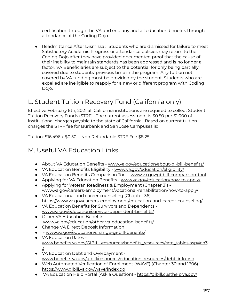certification through the VA and end any and all education benefits through attendance at the Coding Dojo.

● Readmittance After Dismissal: Students who are dismissed for failure to meet Satisfactory Academic Progress or attendance policies may return to the Coding Dojo after they have provided documented proof that the cause of their inability to maintain standards has been addressed and is no longer a factor. VA Beneficiaries are subject to the potential for only being partially covered due to students' previous time in the program. Any tuition not covered by VA funding must be provided by the student. Students who are expelled are ineligible to reapply for a new or different program with Coding Dojo.

# L. Student Tuition Recovery Fund (California only)

Effective February 8th, 2021 all California institutions are required to collect Student Tuition Recovery Funds (STRF). The current assessment is \$0.50 per \$1,000 of institutional charges payable to the state of California. Based on current tuition charges the STRF fee for Burbank and San Jose Campuses is:

Tuition: \$16,496 x \$0.50 = Non Refundable STRF Fee \$8.25

#### M. Useful VA Education Links

- About VA Education Benefits [www.va.gov/education/about-gi-bill-benefits/](http://www.va.gov/education/about-gi-bill-benefits/)
- VA Education Benefits Eligibility [www.va.gov/education/eligibility/](https://www.va.gov/education/eligibility/)
- VA Education Benefits Comparison Tool [www.va.gov/gi-bill-comparison-tool](http://www.va.gov/gi-bill-comparison-tool)
- Applying for VA Education Benefits [www.va.gov/education/how-to-apply/](https://www.va.gov/education/how-to-apply/)
- Applying for Veteran Readiness & Employment (Chapter 31) [www.va.gov/careers-employment/vocational-rehabilitation/how-to-apply/](https://www.va.gov/careers-employment/vocational-rehabilitation/how-to-apply/)
- VA Educational and career counseling (Chapter 36) <https://www.va.gov/careers-employment/education-and-career-counseling/>
- VA Education Benefits for Survivors and Dependents [www.va.gov/education/survivor-dependent-benefits/](http://www.va.gov/education/survivor-dependent-benefits/)
- Other VA Education Benefits [www.va.gov/education/other-va-education-benefits/](http://www.va.gov/education/other-va-education-benefits/)
- Change VA Direct Deposit Information
- - [www.va.gov/education/change-gi-bill-benefits/](https://www.va.gov/education/change-gi-bill-benefits/)
- VA Education Rates [www.benefits.va.gov/GIBILL/resources/benefits\\_resources/rate\\_tables.asp#ch3](https://www.benefits.va.gov/GIBILL/resources/benefits_resources/rate_tables.asp#ch33) [3](https://www.benefits.va.gov/GIBILL/resources/benefits_resources/rate_tables.asp#ch33)
- VA Education Debt and Overpayment [www.benefits.va.gov/gibill/resources/education\\_resources/debt\\_info.asp](http://www.benefits.va.gov/gibill/resources/education_resources/debt_info.asp)
- Web Automated Verification of Enrollment (WAVE) (Chapter 30 and 1606) <https://www.gibill.va.gov/wave/index.do>
- VA Education Help Portal (Ask a Question) <https://gibill.custhelp.va.gov/>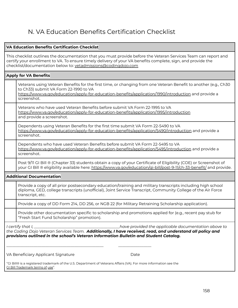### N. VA Education Benefits Certification Checklist

#### **VA Education Benefits Certification Checklist**

This checklist outlines the documentation that you must provide before the Veteran Services Team can report and certify your enrollment to VA. To ensure timely delivery of your VA benefits complete, sign, and provide the checklist/documentation below to: [vetadmissions@codingdojo.com](mailto:vetadmissions@codingdojo.com)

#### **Apply for VA Benefits** Veterans using Veteran Benefits for the first time, or changing from one Veteran Benefit to another (e.g., Ch30 to Ch33) submit VA Form 22-1990 to VA <https://www.va.gov/education/apply-for-education-benefits/application/1990/introduction> and provide a screenshot. Veterans who have used Veteran Benefits before submit VA Form 22-1995 to VA <https://www.va.gov/education/apply-for-education-benefits/application/1995/introduction> and provide a screenshot. Dependents using Veteran Benefits for the first time submit VA Form 22-5490 to VA <https://www.va.gov/education/apply-for-education-benefits/application/5490/introduction> and provide a screenshot. Dependents who have used Veteran Benefits before submit VA Form 22-5495 to V[A](https://www.va.gov/education/apply-for-education-benefits/application/5495/introduction) <https://www.va.gov/education/apply-for-education-benefits/application/5495/introduction> and provide a screenshot. Post 9/11 GI Bill ® (Chapter 33) students obtain a copy of your Certificate of Eligibility (COE) or Screenshot of your GI Bill ® eligibility available here: <https://www.va.gov/education/gi-bill/post-9-11/ch-33-benefit/> and provide. **Additional Documentation** Provide a copy of all prior postsecondary education/training and military transcripts including high school diploma, GED, college transcripts (unofficial), Joint Service Transcript, Community College of the Air Force transcript, etc. Provide a copy of DD Form 214, DD 256, or NGB 22 (for Military Retraining Scholarship application). Provide other documentation specific to scholarship and promotions applied for (e.g., recent pay stub for "Fresh Start Fund Scholarship" promotion). *I certify that I, \_\_\_\_\_\_\_\_\_\_\_\_\_\_\_\_\_\_\_\_\_\_\_\_\_\_\_\_\_\_\_\_\_\_\_\_\_\_\_\_\_\_\_\_have provided the applicable documentation above to the Coding Dojo Veteran Services Team. Additionally, I have received, read, and understand all policy and provisions outlined in the school's Veteran Information Bulletin and Student Catalog.* \_\_\_\_\_\_\_\_\_\_\_\_\_\_\_\_\_\_\_\_\_\_\_\_\_\_\_\_\_\_\_\_\_\_\_\_\_\_\_\_\_\_\_\_\_\_\_\_\_\_ \_\_\_\_\_\_\_\_\_\_\_\_\_\_\_\_\_ VA Beneficiary Applicant Signature **Date** Date

''GI Bill® is a registered trademark of the U.S. Department of Veterans Affairs (VA). For more information see the GI Bill [Trademark](http://www.benefits.va.gov/GIBILL/Trademark_Terms_of_Use.asp) terms of [use"](http://www.benefits.va.gov/GIBILL/Trademark_Terms_of_Use.asp).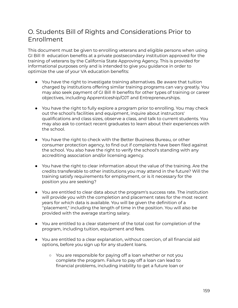#### O. Students Bill of Rights and Considerations Prior to Enrollment

This document must be given to enrolling veterans and eligible persons when using GI Bill ® education benefits at a private postsecondary institution approved for the training of veterans by the California State Approving Agency. This is provided for informational purposes only and is intended to give you guidance in order to optimize the use of your VA education benefits:

- You have the right to investigate training alternatives. Be aware that tuition charged by institutions offering similar training programs can vary greatly. You may also seek payment of GI Bill ® benefits for other types of training or career objectives, including Apprenticeship/OJT and Entrepreneurships.
- You have the right to fully explore a program prior to enrolling. You may check out the school's facilities and equipment, inquire about instructors' qualifications and class sizes, observe a class, and talk to current students. You may also ask to contact recent graduates to learn about their experiences with the school.
- You have the right to check with the Better Business Bureau, or other consumer protection agency, to find out if complaints have been filed against the school. You also have the right to verify the school's standing with any accrediting association and/or licensing agency.
- You have the right to clear information about the value of the training. Are the credits transferable to other institutions you may attend in the future? Will the training satisfy requirements for employment, or is it necessary for the position you are seeking?
- You are entitled to clear data about the program's success rate. The institution will provide you with the completion and placement rates for the most recent years for which data is available. You will be given the definition of a ''placement," including the length of time in the position. You will also be provided with the average starting salary.
- You are entitled to a clear statement of the total cost for completion of the program, including tuition, equipment and fees.
- You are entitled to a clear explanation, without coercion, of all financial aid options, before you sign up for any student loans.
	- You are responsible for paying off a loan whether or not you complete the program. Failure to pay off a loan can lead to financial problems, including inability to get a future loan or